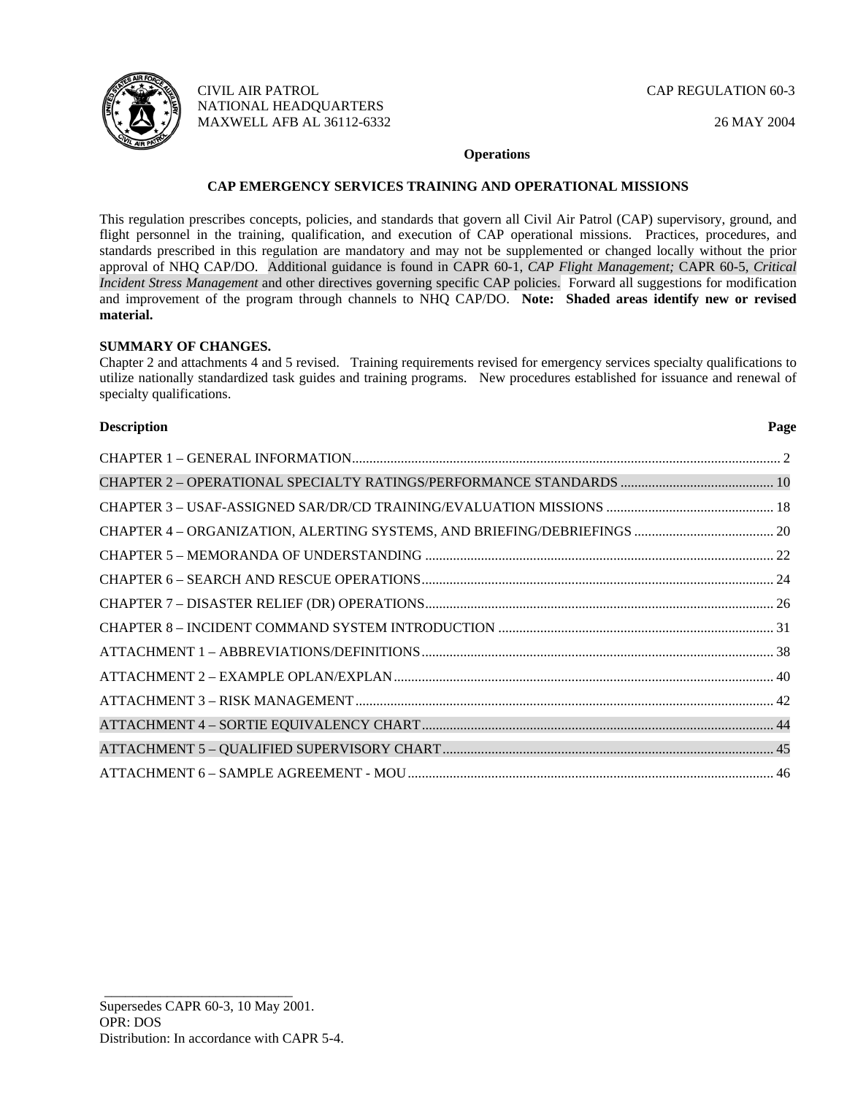

CIVIL AIR PATROL CAP REGULATION 60-3 NATIONAL HEADQUARTERS MAXWELL AFB AL 36112-6332 26 MAY 2004

### **Operations**

## **CAP EMERGENCY SERVICES TRAINING AND OPERATIONAL MISSIONS**

This regulation prescribes concepts, policies, and standards that govern all Civil Air Patrol (CAP) supervisory, ground, and flight personnel in the training, qualification, and execution of CAP operational missions. Practices, procedures, and standards prescribed in this regulation are mandatory and may not be supplemented or changed locally without the prior approval of NHQ CAP/DO. Additional guidance is found in CAPR 60-1, *CAP Flight Management;* CAPR 60-5, *Critical Incident Stress Management* and other directives governing specific CAP policies. Forward all suggestions for modification and improvement of the program through channels to NHQ CAP/DO. **Note: Shaded areas identify new or revised material.** 

## **SUMMARY OF CHANGES.**

Chapter 2 and attachments 4 and 5 revised. Training requirements revised for emergency services specialty qualifications to utilize nationally standardized task guides and training programs. New procedures established for issuance and renewal of specialty qualifications.

### **Description Page**

\_\_\_\_\_\_\_\_\_\_\_\_\_\_\_\_\_\_\_\_\_\_\_\_\_\_\_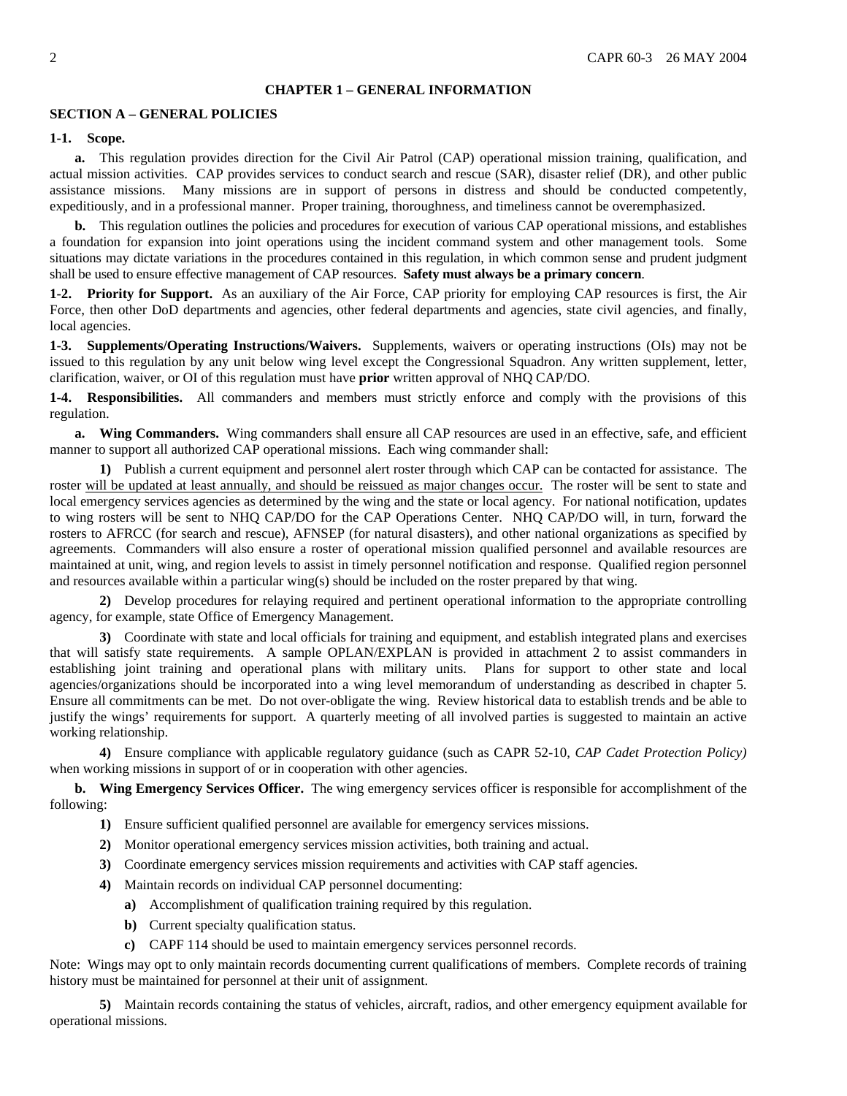#### **CHAPTER 1 – GENERAL INFORMATION**

### <span id="page-1-0"></span>**SECTION A – GENERAL POLICIES**

#### **1-1. Scope.**

**a.** This regulation provides direction for the Civil Air Patrol (CAP) operational mission training, qualification, and actual mission activities. CAP provides services to conduct search and rescue (SAR), disaster relief (DR), and other public assistance missions. Many missions are in support of persons in distress and should be conducted competently, expeditiously, and in a professional manner. Proper training, thoroughness, and timeliness cannot be overemphasized.

**b.** This regulation outlines the policies and procedures for execution of various CAP operational missions, and establishes a foundation for expansion into joint operations using the incident command system and other management tools. Some situations may dictate variations in the procedures contained in this regulation, in which common sense and prudent judgment shall be used to ensure effective management of CAP resources. **Safety must always be a primary concern**.

**1-2. Priority for Support.** As an auxiliary of the Air Force, CAP priority for employing CAP resources is first, the Air Force, then other DoD departments and agencies, other federal departments and agencies, state civil agencies, and finally, local agencies.

**1-3. Supplements/Operating Instructions/Waivers.** Supplements, waivers or operating instructions (OIs) may not be issued to this regulation by any unit below wing level except the Congressional Squadron. Any written supplement, letter, clarification, waiver, or OI of this regulation must have **prior** written approval of NHQ CAP/DO.

**1-4. Responsibilities.** All commanders and members must strictly enforce and comply with the provisions of this regulation.

**a. Wing Commanders.** Wing commanders shall ensure all CAP resources are used in an effective, safe, and efficient manner to support all authorized CAP operational missions. Each wing commander shall:

**1)** Publish a current equipment and personnel alert roster through which CAP can be contacted for assistance. The roster will be updated at least annually, and should be reissued as major changes occur. The roster will be sent to state and local emergency services agencies as determined by the wing and the state or local agency. For national notification, updates to wing rosters will be sent to NHQ CAP/DO for the CAP Operations Center. NHQ CAP/DO will, in turn, forward the rosters to AFRCC (for search and rescue), AFNSEP (for natural disasters), and other national organizations as specified by agreements. Commanders will also ensure a roster of operational mission qualified personnel and available resources are maintained at unit, wing, and region levels to assist in timely personnel notification and response. Qualified region personnel and resources available within a particular wing(s) should be included on the roster prepared by that wing.

**2)** Develop procedures for relaying required and pertinent operational information to the appropriate controlling agency, for example, state Office of Emergency Management.

**3)** Coordinate with state and local officials for training and equipment, and establish integrated plans and exercises that will satisfy state requirements. A sample OPLAN/EXPLAN is provided in attachment 2 to assist commanders in establishing joint training and operational plans with military units. Plans for support to other state and local agencies/organizations should be incorporated into a wing level memorandum of understanding as described in chapter 5. Ensure all commitments can be met. Do not over-obligate the wing. Review historical data to establish trends and be able to justify the wings' requirements for support. A quarterly meeting of all involved parties is suggested to maintain an active working relationship.

**4)** Ensure compliance with applicable regulatory guidance (such as CAPR 52-10, *CAP Cadet Protection Policy)*  when working missions in support of or in cooperation with other agencies.

**b. Wing Emergency Services Officer.** The wing emergency services officer is responsible for accomplishment of the following:

- **1)** Ensure sufficient qualified personnel are available for emergency services missions.
- **2)** Monitor operational emergency services mission activities, both training and actual.
- **3)** Coordinate emergency services mission requirements and activities with CAP staff agencies.
- **4)** Maintain records on individual CAP personnel documenting:
	- **a)** Accomplishment of qualification training required by this regulation.
	- **b)** Current specialty qualification status.
	- **c)** CAPF 114 should be used to maintain emergency services personnel records.

Note: Wings may opt to only maintain records documenting current qualifications of members. Complete records of training history must be maintained for personnel at their unit of assignment.

**5)** Maintain records containing the status of vehicles, aircraft, radios, and other emergency equipment available for operational missions.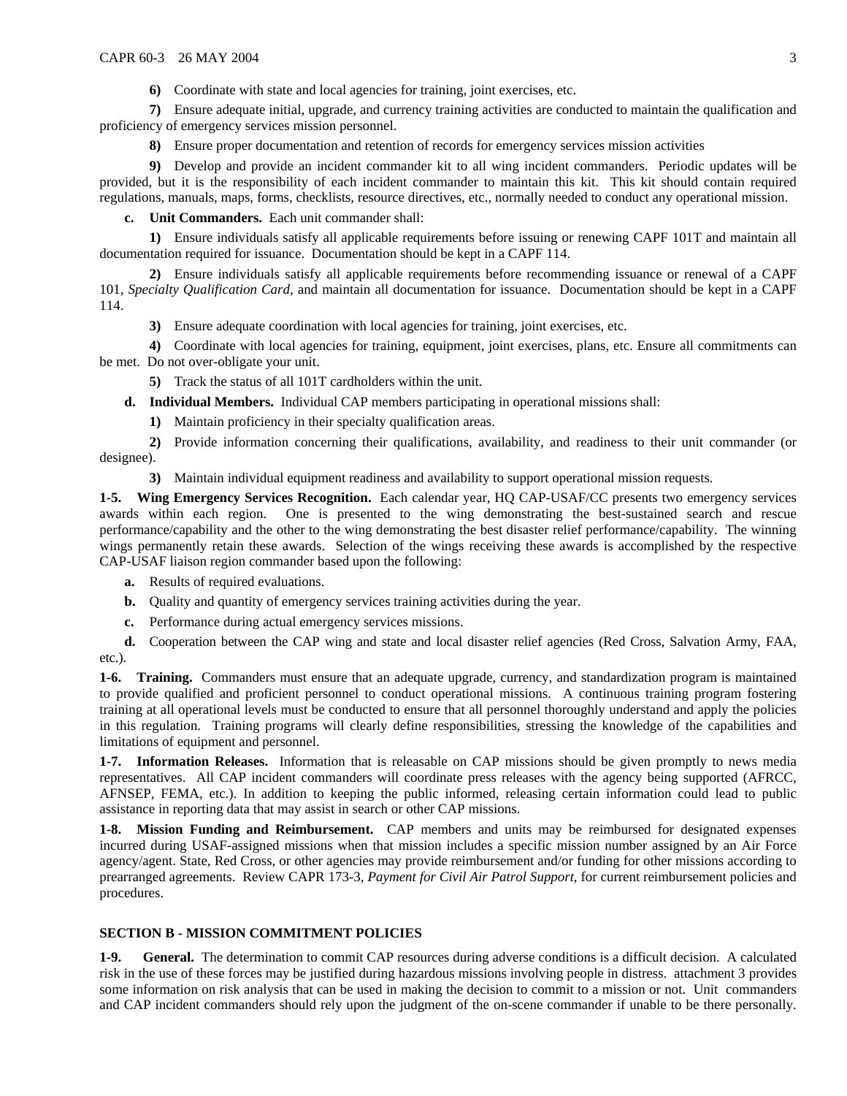**6)** Coordinate with state and local agencies for training, joint exercises, etc.

**7)** Ensure adequate initial, upgrade, and currency training activities are conducted to maintain the qualification and proficiency of emergency services mission personnel.

**8)** Ensure proper documentation and retention of records for emergency services mission activities

**9)** Develop and provide an incident commander kit to all wing incident commanders. Periodic updates will be provided, but it is the responsibility of each incident commander to maintain this kit. This kit should contain required regulations, manuals, maps, forms, checklists, resource directives, etc., normally needed to conduct any operational mission.

**c. Unit Commanders.** Each unit commander shall:

**1)** Ensure individuals satisfy all applicable requirements before issuing or renewing CAPF 101T and maintain all documentation required for issuance. Documentation should be kept in a CAPF 114.

**2)** Ensure individuals satisfy all applicable requirements before recommending issuance or renewal of a CAPF 101, *Specialty Qualification Card*, and maintain all documentation for issuance. Documentation should be kept in a CAPF 114.

**3)** Ensure adequate coordination with local agencies for training, joint exercises, etc.

**4)** Coordinate with local agencies for training, equipment, joint exercises, plans, etc. Ensure all commitments can be met. Do not over-obligate your unit.

**5)** Track the status of all 101T cardholders within the unit.

**d. Individual Members.** Individual CAP members participating in operational missions shall:

**1)** Maintain proficiency in their specialty qualification areas.

**2)** Provide information concerning their qualifications, availability, and readiness to their unit commander (or designee).

**3)** Maintain individual equipment readiness and availability to support operational mission requests.

**1-5. Wing Emergency Services Recognition.** Each calendar year, HQ CAP-USAF/CC presents two emergency services awards within each region. One is presented to the wing demonstrating the best-sustained search and rescue performance/capability and the other to the wing demonstrating the best disaster relief performance/capability. The winning wings permanently retain these awards. Selection of the wings receiving these awards is accomplished by the respective CAP-USAF liaison region commander based upon the following:

**a.** Results of required evaluations.

- **b.** Quality and quantity of emergency services training activities during the year.
- **c.** Performance during actual emergency services missions.

**d.** Cooperation between the CAP wing and state and local disaster relief agencies (Red Cross, Salvation Army, FAA, etc.).

**1-6. Training.** Commanders must ensure that an adequate upgrade, currency, and standardization program is maintained to provide qualified and proficient personnel to conduct operational missions. A continuous training program fostering training at all operational levels must be conducted to ensure that all personnel thoroughly understand and apply the policies in this regulation. Training programs will clearly define responsibilities, stressing the knowledge of the capabilities and limitations of equipment and personnel.

**1-7. Information Releases.** Information that is releasable on CAP missions should be given promptly to news media representatives. All CAP incident commanders will coordinate press releases with the agency being supported (AFRCC, AFNSEP, FEMA, etc.). In addition to keeping the public informed, releasing certain information could lead to public assistance in reporting data that may assist in search or other CAP missions.

**1-8. Mission Funding and Reimbursement.** CAP members and units may be reimbursed for designated expenses incurred during USAF-assigned missions when that mission includes a specific mission number assigned by an Air Force agency/agent. State, Red Cross, or other agencies may provide reimbursement and/or funding for other missions according to prearranged agreements. Review CAPR 173-3, *Payment for Civil Air Patrol Support*, for current reimbursement policies and procedures.

## **SECTION B - MISSION COMMITMENT POLICIES**

**1-9. General.** The determination to commit CAP resources during adverse conditions is a difficult decision. A calculated risk in the use of these forces may be justified during hazardous missions involving people in distress. attachment 3 provides some information on risk analysis that can be used in making the decision to commit to a mission or not. Unit commanders and CAP incident commanders should rely upon the judgment of the on-scene commander if unable to be there personally.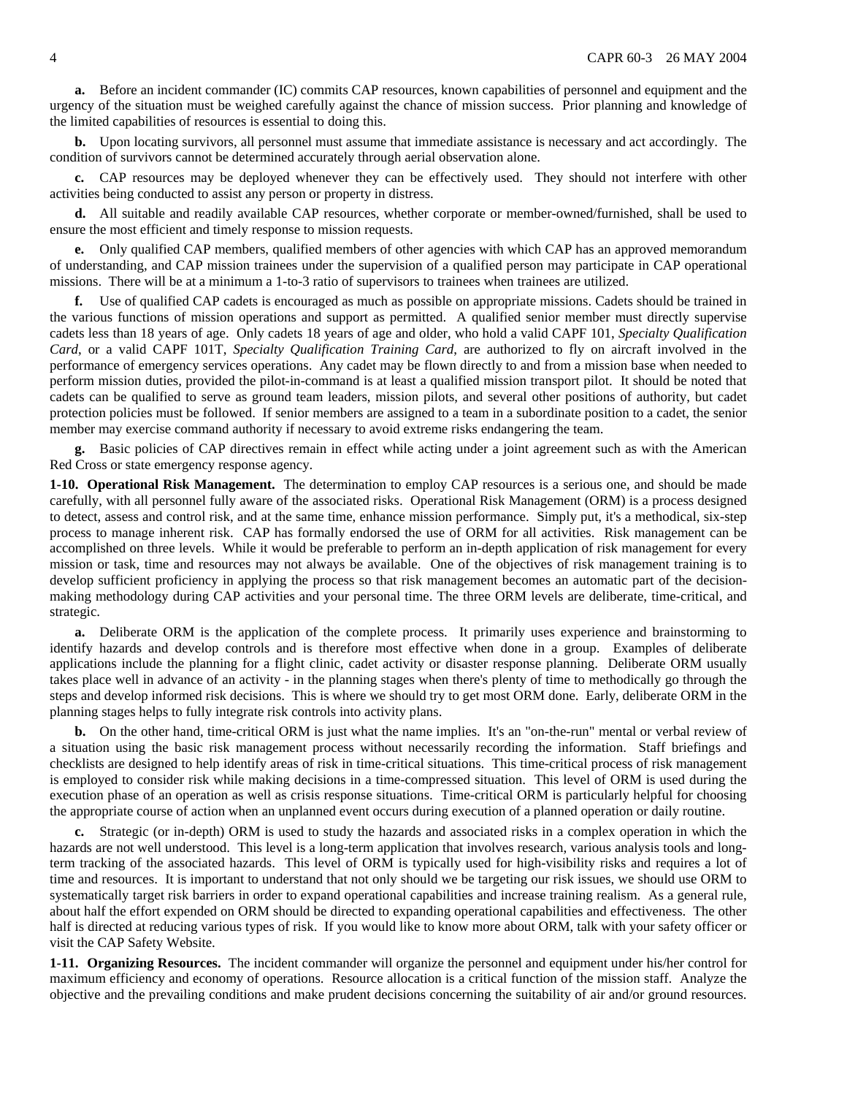**a.** Before an incident commander (IC) commits CAP resources, known capabilities of personnel and equipment and the urgency of the situation must be weighed carefully against the chance of mission success. Prior planning and knowledge of the limited capabilities of resources is essential to doing this.

**b.** Upon locating survivors, all personnel must assume that immediate assistance is necessary and act accordingly. The condition of survivors cannot be determined accurately through aerial observation alone.

**c.** CAP resources may be deployed whenever they can be effectively used. They should not interfere with other activities being conducted to assist any person or property in distress.

**d.** All suitable and readily available CAP resources, whether corporate or member-owned/furnished, shall be used to ensure the most efficient and timely response to mission requests.

**e.** Only qualified CAP members, qualified members of other agencies with which CAP has an approved memorandum of understanding, and CAP mission trainees under the supervision of a qualified person may participate in CAP operational missions. There will be at a minimum a 1-to-3 ratio of supervisors to trainees when trainees are utilized.

**f.** Use of qualified CAP cadets is encouraged as much as possible on appropriate missions. Cadets should be trained in the various functions of mission operations and support as permitted. A qualified senior member must directly supervise cadets less than 18 years of age. Only cadets 18 years of age and older, who hold a valid CAPF 101, *Specialty Qualification Card*, or a valid CAPF 101T, *Specialty Qualification Training Card*, are authorized to fly on aircraft involved in the performance of emergency services operations. Any cadet may be flown directly to and from a mission base when needed to perform mission duties, provided the pilot-in-command is at least a qualified mission transport pilot. It should be noted that cadets can be qualified to serve as ground team leaders, mission pilots, and several other positions of authority, but cadet protection policies must be followed. If senior members are assigned to a team in a subordinate position to a cadet, the senior member may exercise command authority if necessary to avoid extreme risks endangering the team.

**g.** Basic policies of CAP directives remain in effect while acting under a joint agreement such as with the American Red Cross or state emergency response agency.

**1-10. Operational Risk Management.** The determination to employ CAP resources is a serious one, and should be made carefully, with all personnel fully aware of the associated risks. Operational Risk Management (ORM) is a process designed to detect, assess and control risk, and at the same time, enhance mission performance. Simply put, it's a methodical, six-step process to manage inherent risk. CAP has formally endorsed the use of ORM for all activities. Risk management can be accomplished on three levels. While it would be preferable to perform an in-depth application of risk management for every mission or task, time and resources may not always be available. One of the objectives of risk management training is to develop sufficient proficiency in applying the process so that risk management becomes an automatic part of the decisionmaking methodology during CAP activities and your personal time. The three ORM levels are deliberate, time-critical, and strategic.

**a.** Deliberate ORM is the application of the complete process. It primarily uses experience and brainstorming to identify hazards and develop controls and is therefore most effective when done in a group. Examples of deliberate applications include the planning for a flight clinic, cadet activity or disaster response planning. Deliberate ORM usually takes place well in advance of an activity - in the planning stages when there's plenty of time to methodically go through the steps and develop informed risk decisions. This is where we should try to get most ORM done. Early, deliberate ORM in the planning stages helps to fully integrate risk controls into activity plans.

**b.** On the other hand, time-critical ORM is just what the name implies. It's an "on-the-run" mental or verbal review of a situation using the basic risk management process without necessarily recording the information. Staff briefings and checklists are designed to help identify areas of risk in time-critical situations. This time-critical process of risk management is employed to consider risk while making decisions in a time-compressed situation. This level of ORM is used during the execution phase of an operation as well as crisis response situations. Time-critical ORM is particularly helpful for choosing the appropriate course of action when an unplanned event occurs during execution of a planned operation or daily routine.

**c.** Strategic (or in-depth) ORM is used to study the hazards and associated risks in a complex operation in which the hazards are not well understood. This level is a long-term application that involves research, various analysis tools and longterm tracking of the associated hazards. This level of ORM is typically used for high-visibility risks and requires a lot of time and resources. It is important to understand that not only should we be targeting our risk issues, we should use ORM to systematically target risk barriers in order to expand operational capabilities and increase training realism. As a general rule, about half the effort expended on ORM should be directed to expanding operational capabilities and effectiveness. The other half is directed at reducing various types of risk. If you would like to know more about ORM, talk with your safety officer or visit the CAP Safety Website.

**1-11. Organizing Resources.** The incident commander will organize the personnel and equipment under his/her control for maximum efficiency and economy of operations. Resource allocation is a critical function of the mission staff. Analyze the objective and the prevailing conditions and make prudent decisions concerning the suitability of air and/or ground resources.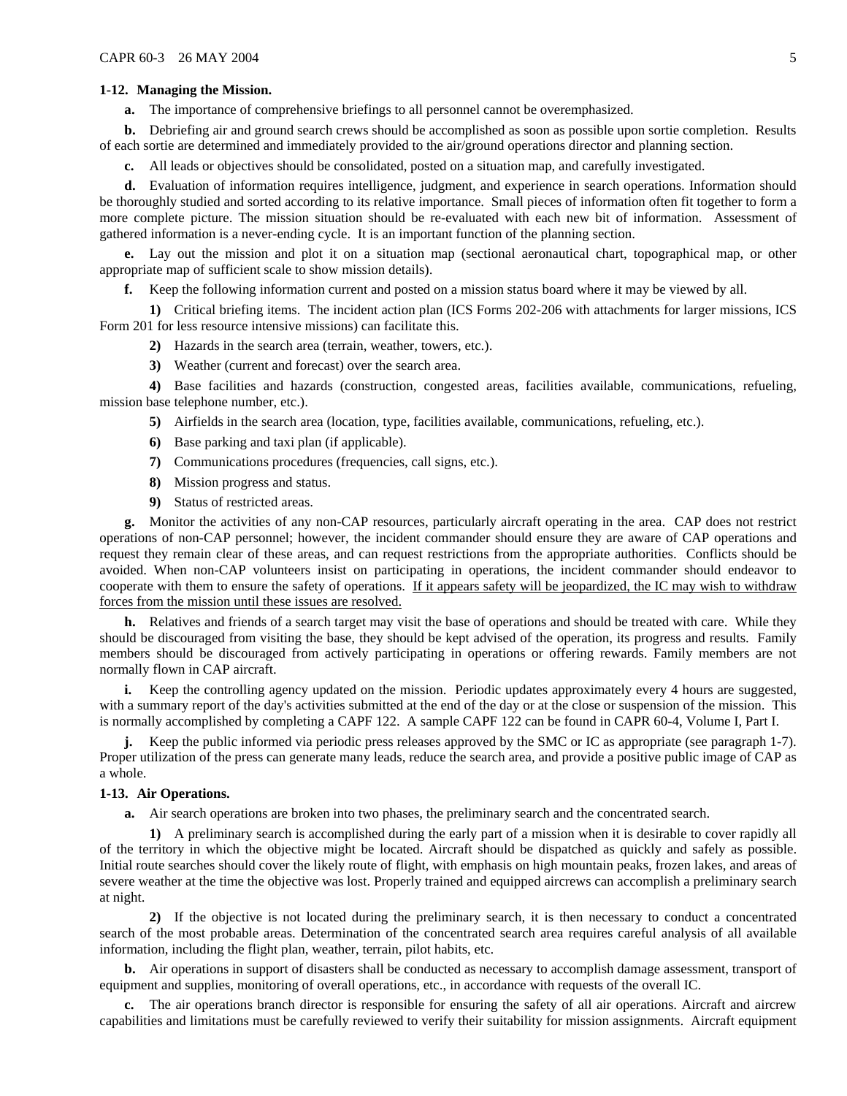#### **1-12. Managing the Mission.**

**a.** The importance of comprehensive briefings to all personnel cannot be overemphasized.

**b.** Debriefing air and ground search crews should be accomplished as soon as possible upon sortie completion. Results of each sortie are determined and immediately provided to the air/ground operations director and planning section.

**c.** All leads or objectives should be consolidated, posted on a situation map, and carefully investigated.

**d.** Evaluation of information requires intelligence, judgment, and experience in search operations. Information should be thoroughly studied and sorted according to its relative importance. Small pieces of information often fit together to form a more complete picture. The mission situation should be re-evaluated with each new bit of information. Assessment of gathered information is a never-ending cycle. It is an important function of the planning section.

**e.** Lay out the mission and plot it on a situation map (sectional aeronautical chart, topographical map, or other appropriate map of sufficient scale to show mission details).

**f.** Keep the following information current and posted on a mission status board where it may be viewed by all.

**1)** Critical briefing items. The incident action plan (ICS Forms 202-206 with attachments for larger missions, ICS Form 201 for less resource intensive missions) can facilitate this.

**2)** Hazards in the search area (terrain, weather, towers, etc.).

**3)** Weather (current and forecast) over the search area.

**4)** Base facilities and hazards (construction, congested areas, facilities available, communications, refueling, mission base telephone number, etc.).

**5)** Airfields in the search area (location, type, facilities available, communications, refueling, etc.).

- **6)** Base parking and taxi plan (if applicable).
- **7)** Communications procedures (frequencies, call signs, etc.).
- **8)** Mission progress and status.
- **9)** Status of restricted areas.

**g.** Monitor the activities of any non-CAP resources, particularly aircraft operating in the area. CAP does not restrict operations of non-CAP personnel; however, the incident commander should ensure they are aware of CAP operations and request they remain clear of these areas, and can request restrictions from the appropriate authorities. Conflicts should be avoided. When non-CAP volunteers insist on participating in operations, the incident commander should endeavor to cooperate with them to ensure the safety of operations. If it appears safety will be jeopardized, the IC may wish to withdraw forces from the mission until these issues are resolved.

**h.** Relatives and friends of a search target may visit the base of operations and should be treated with care. While they should be discouraged from visiting the base, they should be kept advised of the operation, its progress and results. Family members should be discouraged from actively participating in operations or offering rewards. Family members are not normally flown in CAP aircraft.

**i.** Keep the controlling agency updated on the mission. Periodic updates approximately every 4 hours are suggested, with a summary report of the day's activities submitted at the end of the day or at the close or suspension of the mission. This is normally accomplished by completing a CAPF 122. A sample CAPF 122 can be found in CAPR 60-4, Volume I, Part I.

**j.** Keep the public informed via periodic press releases approved by the SMC or IC as appropriate (see paragraph 1-7). Proper utilization of the press can generate many leads, reduce the search area, and provide a positive public image of CAP as a whole.

#### **1-13. Air Operations.**

**a.** Air search operations are broken into two phases, the preliminary search and the concentrated search.

**1)** A preliminary search is accomplished during the early part of a mission when it is desirable to cover rapidly all of the territory in which the objective might be located. Aircraft should be dispatched as quickly and safely as possible. Initial route searches should cover the likely route of flight, with emphasis on high mountain peaks, frozen lakes, and areas of severe weather at the time the objective was lost. Properly trained and equipped aircrews can accomplish a preliminary search at night.

**2)** If the objective is not located during the preliminary search, it is then necessary to conduct a concentrated search of the most probable areas. Determination of the concentrated search area requires careful analysis of all available information, including the flight plan, weather, terrain, pilot habits, etc.

**b.** Air operations in support of disasters shall be conducted as necessary to accomplish damage assessment, transport of equipment and supplies, monitoring of overall operations, etc., in accordance with requests of the overall IC.

**c.** The air operations branch director is responsible for ensuring the safety of all air operations. Aircraft and aircrew capabilities and limitations must be carefully reviewed to verify their suitability for mission assignments. Aircraft equipment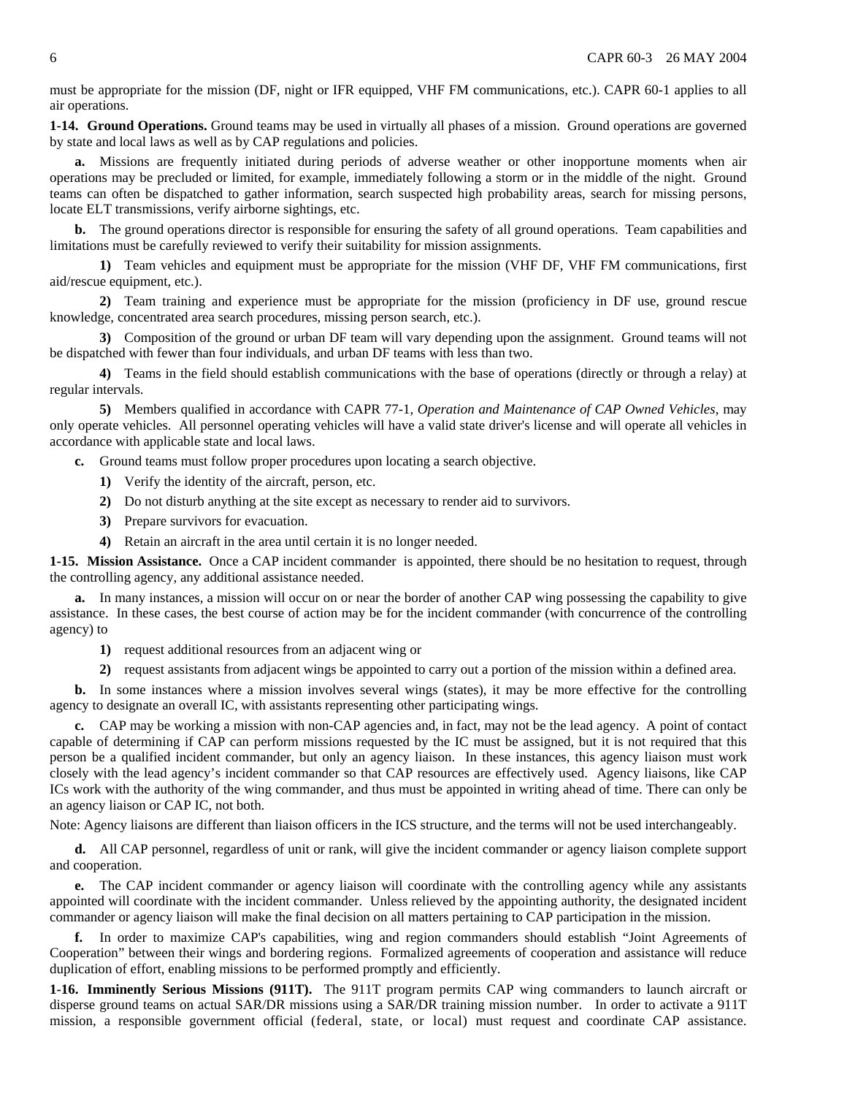must be appropriate for the mission (DF, night or IFR equipped, VHF FM communications, etc.). CAPR 60-1 applies to all air operations.

**1-14. Ground Operations.** Ground teams may be used in virtually all phases of a mission. Ground operations are governed by state and local laws as well as by CAP regulations and policies.

**a.** Missions are frequently initiated during periods of adverse weather or other inopportune moments when air operations may be precluded or limited, for example, immediately following a storm or in the middle of the night. Ground teams can often be dispatched to gather information, search suspected high probability areas, search for missing persons, locate ELT transmissions, verify airborne sightings, etc.

**b.** The ground operations director is responsible for ensuring the safety of all ground operations. Team capabilities and limitations must be carefully reviewed to verify their suitability for mission assignments.

**1)** Team vehicles and equipment must be appropriate for the mission (VHF DF, VHF FM communications, first aid/rescue equipment, etc.).

**2)** Team training and experience must be appropriate for the mission (proficiency in DF use, ground rescue knowledge, concentrated area search procedures, missing person search, etc.).

**3)** Composition of the ground or urban DF team will vary depending upon the assignment. Ground teams will not be dispatched with fewer than four individuals, and urban DF teams with less than two.

**4)** Teams in the field should establish communications with the base of operations (directly or through a relay) at regular intervals.

**5)** Members qualified in accordance with CAPR 77-1, *Operation and Maintenance of CAP Owned Vehicles*, may only operate vehicles. All personnel operating vehicles will have a valid state driver's license and will operate all vehicles in accordance with applicable state and local laws.

**c.** Ground teams must follow proper procedures upon locating a search objective.

- **1)** Verify the identity of the aircraft, person, etc.
- **2)** Do not disturb anything at the site except as necessary to render aid to survivors.
- **3)** Prepare survivors for evacuation.
- **4)** Retain an aircraft in the area until certain it is no longer needed.

**1-15. Mission Assistance.** Once a CAP incident commander is appointed, there should be no hesitation to request, through the controlling agency, any additional assistance needed.

**a.** In many instances, a mission will occur on or near the border of another CAP wing possessing the capability to give assistance. In these cases, the best course of action may be for the incident commander (with concurrence of the controlling agency) to

**1)** request additional resources from an adjacent wing or

**2)** request assistants from adjacent wings be appointed to carry out a portion of the mission within a defined area.

**b.** In some instances where a mission involves several wings (states), it may be more effective for the controlling agency to designate an overall IC, with assistants representing other participating wings.

**c.** CAP may be working a mission with non-CAP agencies and, in fact, may not be the lead agency. A point of contact capable of determining if CAP can perform missions requested by the IC must be assigned, but it is not required that this person be a qualified incident commander, but only an agency liaison. In these instances, this agency liaison must work closely with the lead agency's incident commander so that CAP resources are effectively used. Agency liaisons, like CAP ICs work with the authority of the wing commander, and thus must be appointed in writing ahead of time. There can only be an agency liaison or CAP IC, not both.

Note: Agency liaisons are different than liaison officers in the ICS structure, and the terms will not be used interchangeably.

**d.** All CAP personnel, regardless of unit or rank, will give the incident commander or agency liaison complete support and cooperation.

**e.** The CAP incident commander or agency liaison will coordinate with the controlling agency while any assistants appointed will coordinate with the incident commander. Unless relieved by the appointing authority, the designated incident commander or agency liaison will make the final decision on all matters pertaining to CAP participation in the mission.

**f.** In order to maximize CAP's capabilities, wing and region commanders should establish "Joint Agreements of Cooperation" between their wings and bordering regions. Formalized agreements of cooperation and assistance will reduce duplication of effort, enabling missions to be performed promptly and efficiently.

**1-16. Imminently Serious Missions (911T).** The 911T program permits CAP wing commanders to launch aircraft or disperse ground teams on actual SAR/DR missions using a SAR/DR training mission number. In order to activate a 911T mission, a responsible government official (federal, state, or local) must request and coordinate CAP assistance.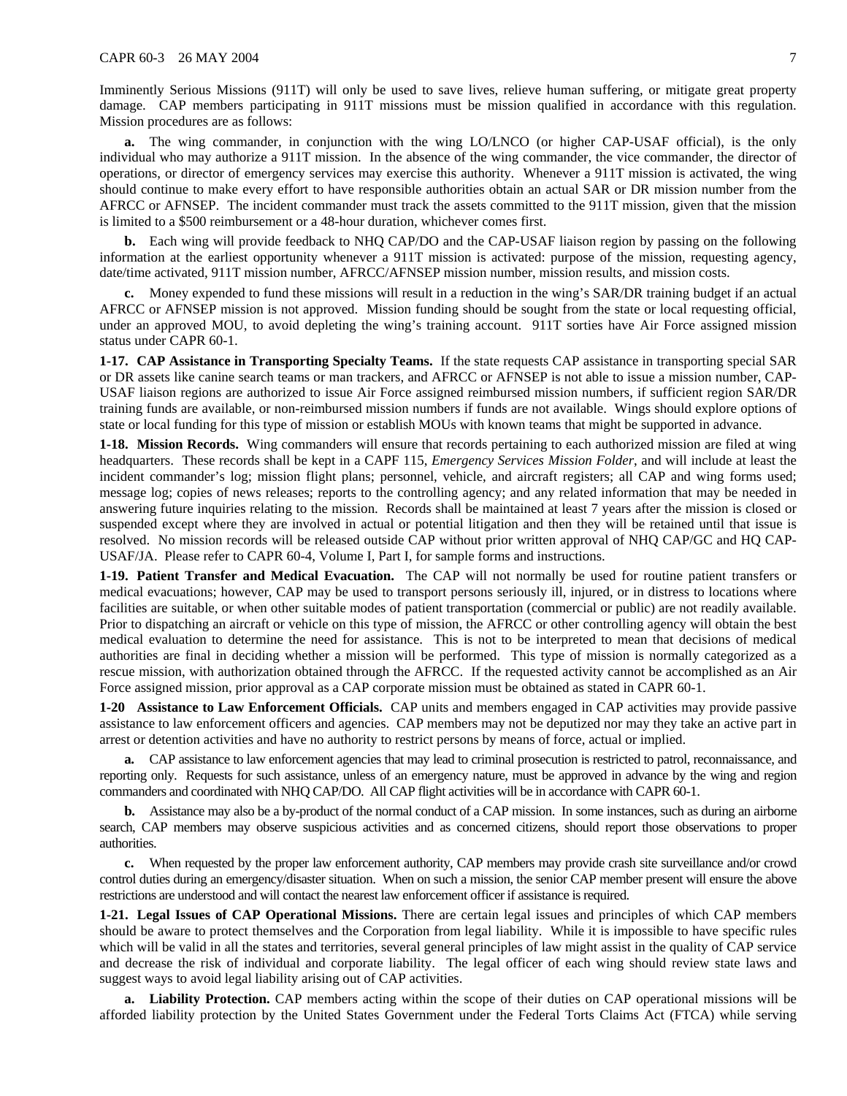#### CAPR 60-3 26 MAY 2004 7

Imminently Serious Missions (911T) will only be used to save lives, relieve human suffering, or mitigate great property damage. CAP members participating in 911T missions must be mission qualified in accordance with this regulation. Mission procedures are as follows:

**a.** The wing commander, in conjunction with the wing LO/LNCO (or higher CAP-USAF official), is the only individual who may authorize a 911T mission. In the absence of the wing commander, the vice commander, the director of operations, or director of emergency services may exercise this authority. Whenever a 911T mission is activated, the wing should continue to make every effort to have responsible authorities obtain an actual SAR or DR mission number from the AFRCC or AFNSEP. The incident commander must track the assets committed to the 911T mission, given that the mission is limited to a \$500 reimbursement or a 48-hour duration, whichever comes first.

**b.** Each wing will provide feedback to NHQ CAP/DO and the CAP-USAF liaison region by passing on the following information at the earliest opportunity whenever a 911T mission is activated: purpose of the mission, requesting agency, date/time activated, 911T mission number, AFRCC/AFNSEP mission number, mission results, and mission costs.

**c.** Money expended to fund these missions will result in a reduction in the wing's SAR/DR training budget if an actual AFRCC or AFNSEP mission is not approved. Mission funding should be sought from the state or local requesting official, under an approved MOU, to avoid depleting the wing's training account. 911T sorties have Air Force assigned mission status under CAPR 60-1.

**1-17. CAP Assistance in Transporting Specialty Teams.** If the state requests CAP assistance in transporting special SAR or DR assets like canine search teams or man trackers, and AFRCC or AFNSEP is not able to issue a mission number, CAP-USAF liaison regions are authorized to issue Air Force assigned reimbursed mission numbers, if sufficient region SAR/DR training funds are available, or non-reimbursed mission numbers if funds are not available. Wings should explore options of state or local funding for this type of mission or establish MOUs with known teams that might be supported in advance.

**1-18. Mission Records.** Wing commanders will ensure that records pertaining to each authorized mission are filed at wing headquarters. These records shall be kept in a CAPF 115, *Emergency Services Mission Folder*, and will include at least the incident commander's log; mission flight plans; personnel, vehicle, and aircraft registers; all CAP and wing forms used; message log; copies of news releases; reports to the controlling agency; and any related information that may be needed in answering future inquiries relating to the mission. Records shall be maintained at least 7 years after the mission is closed or suspended except where they are involved in actual or potential litigation and then they will be retained until that issue is resolved. No mission records will be released outside CAP without prior written approval of NHQ CAP/GC and HQ CAP-USAF/JA. Please refer to CAPR 60-4, Volume I, Part I, for sample forms and instructions.

**1-19. Patient Transfer and Medical Evacuation.** The CAP will not normally be used for routine patient transfers or medical evacuations; however, CAP may be used to transport persons seriously ill, injured, or in distress to locations where facilities are suitable, or when other suitable modes of patient transportation (commercial or public) are not readily available. Prior to dispatching an aircraft or vehicle on this type of mission, the AFRCC or other controlling agency will obtain the best medical evaluation to determine the need for assistance. This is not to be interpreted to mean that decisions of medical authorities are final in deciding whether a mission will be performed. This type of mission is normally categorized as a rescue mission, with authorization obtained through the AFRCC. If the requested activity cannot be accomplished as an Air Force assigned mission, prior approval as a CAP corporate mission must be obtained as stated in CAPR 60-1.

**1-20 Assistance to Law Enforcement Officials.** CAP units and members engaged in CAP activities may provide passive assistance to law enforcement officers and agencies. CAP members may not be deputized nor may they take an active part in arrest or detention activities and have no authority to restrict persons by means of force, actual or implied.

**a.** CAP assistance to law enforcement agencies that may lead to criminal prosecution is restricted to patrol, reconnaissance, and reporting only. Requests for such assistance, unless of an emergency nature, must be approved in advance by the wing and region commanders and coordinated with NHQ CAP/DO. All CAP flight activities will be in accordance with CAPR 60-1.

**b.** Assistance may also be a by-product of the normal conduct of a CAP mission. In some instances, such as during an airborne search, CAP members may observe suspicious activities and as concerned citizens, should report those observations to proper authorities.

**c.** When requested by the proper law enforcement authority, CAP members may provide crash site surveillance and/or crowd control duties during an emergency/disaster situation. When on such a mission, the senior CAP member present will ensure the above restrictions are understood and will contact the nearest law enforcement officer if assistance is required.

**1-21. Legal Issues of CAP Operational Missions.** There are certain legal issues and principles of which CAP members should be aware to protect themselves and the Corporation from legal liability. While it is impossible to have specific rules which will be valid in all the states and territories, several general principles of law might assist in the quality of CAP service and decrease the risk of individual and corporate liability. The legal officer of each wing should review state laws and suggest ways to avoid legal liability arising out of CAP activities.

**a. Liability Protection.** CAP members acting within the scope of their duties on CAP operational missions will be afforded liability protection by the United States Government under the Federal Torts Claims Act (FTCA) while serving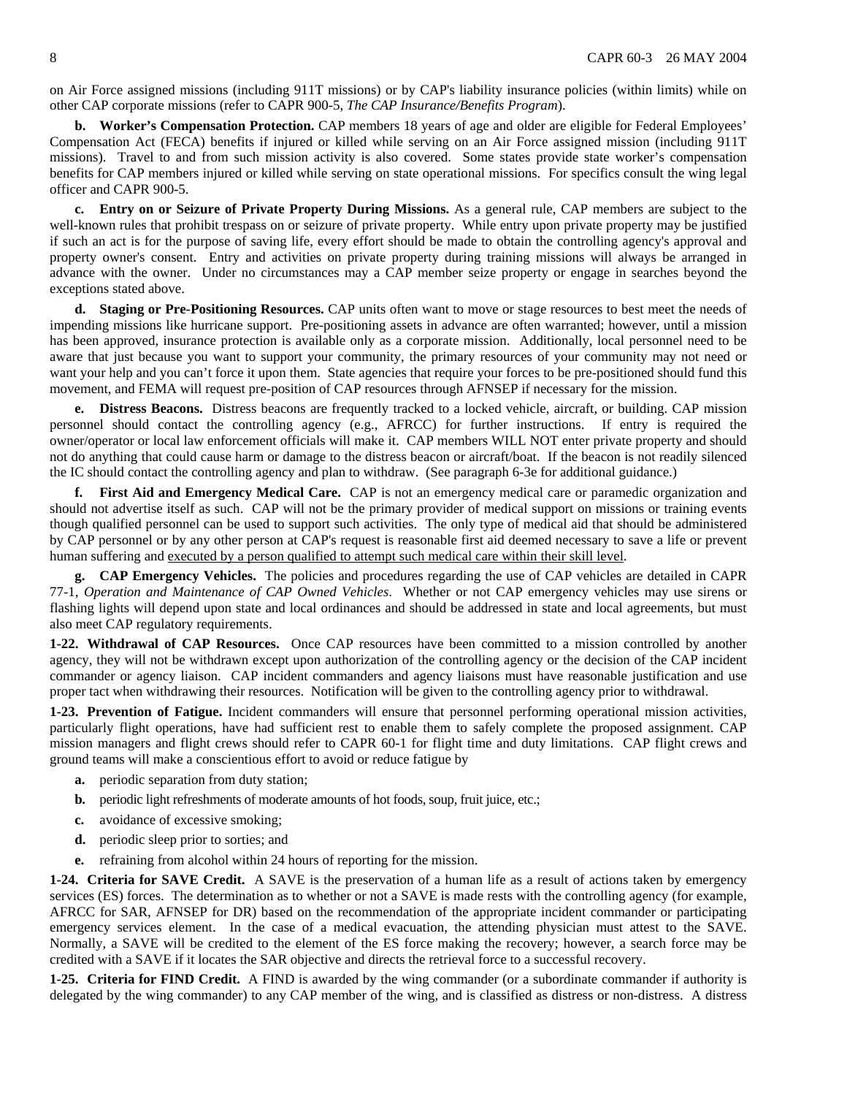on Air Force assigned missions (including 911T missions) or by CAP's liability insurance policies (within limits) while on other CAP corporate missions (refer to CAPR 900-5, *The CAP Insurance/Benefits Program*).

**b. Worker's Compensation Protection.** CAP members 18 years of age and older are eligible for Federal Employees' Compensation Act (FECA) benefits if injured or killed while serving on an Air Force assigned mission (including 911T missions). Travel to and from such mission activity is also covered. Some states provide state worker's compensation benefits for CAP members injured or killed while serving on state operational missions. For specifics consult the wing legal officer and CAPR 900-5.

**c. Entry on or Seizure of Private Property During Missions.** As a general rule, CAP members are subject to the well-known rules that prohibit trespass on or seizure of private property. While entry upon private property may be justified if such an act is for the purpose of saving life, every effort should be made to obtain the controlling agency's approval and property owner's consent. Entry and activities on private property during training missions will always be arranged in advance with the owner. Under no circumstances may a CAP member seize property or engage in searches beyond the exceptions stated above.

**d. Staging or Pre-Positioning Resources.** CAP units often want to move or stage resources to best meet the needs of impending missions like hurricane support. Pre-positioning assets in advance are often warranted; however, until a mission has been approved, insurance protection is available only as a corporate mission. Additionally, local personnel need to be aware that just because you want to support your community, the primary resources of your community may not need or want your help and you can't force it upon them. State agencies that require your forces to be pre-positioned should fund this movement, and FEMA will request pre-position of CAP resources through AFNSEP if necessary for the mission.

**e. Distress Beacons.** Distress beacons are frequently tracked to a locked vehicle, aircraft, or building. CAP mission personnel should contact the controlling agency (e.g., AFRCC) for further instructions. If entry is required the owner/operator or local law enforcement officials will make it. CAP members WILL NOT enter private property and should not do anything that could cause harm or damage to the distress beacon or aircraft/boat. If the beacon is not readily silenced the IC should contact the controlling agency and plan to withdraw. (See paragraph 6-3e for additional guidance.)

**First Aid and Emergency Medical Care.** CAP is not an emergency medical care or paramedic organization and should not advertise itself as such. CAP will not be the primary provider of medical support on missions or training events though qualified personnel can be used to support such activities. The only type of medical aid that should be administered by CAP personnel or by any other person at CAP's request is reasonable first aid deemed necessary to save a life or prevent human suffering and executed by a person qualified to attempt such medical care within their skill level.

**g. CAP Emergency Vehicles.** The policies and procedures regarding the use of CAP vehicles are detailed in CAPR 77-1, *Operation and Maintenance of CAP Owned Vehicles*. Whether or not CAP emergency vehicles may use sirens or flashing lights will depend upon state and local ordinances and should be addressed in state and local agreements, but must also meet CAP regulatory requirements.

**1-22. Withdrawal of CAP Resources.** Once CAP resources have been committed to a mission controlled by another agency, they will not be withdrawn except upon authorization of the controlling agency or the decision of the CAP incident commander or agency liaison. CAP incident commanders and agency liaisons must have reasonable justification and use proper tact when withdrawing their resources. Notification will be given to the controlling agency prior to withdrawal.

**1-23. Prevention of Fatigue.** Incident commanders will ensure that personnel performing operational mission activities, particularly flight operations, have had sufficient rest to enable them to safely complete the proposed assignment. CAP mission managers and flight crews should refer to CAPR 60-1 for flight time and duty limitations. CAP flight crews and ground teams will make a conscientious effort to avoid or reduce fatigue by

- **a.** periodic separation from duty station;
- **b.** periodic light refreshments of moderate amounts of hot foods, soup, fruit juice, etc.;
- **c.** avoidance of excessive smoking;
- **d.** periodic sleep prior to sorties; and
- **e.** refraining from alcohol within 24 hours of reporting for the mission.

**1-24. Criteria for SAVE Credit.** A SAVE is the preservation of a human life as a result of actions taken by emergency services (ES) forces. The determination as to whether or not a SAVE is made rests with the controlling agency (for example, AFRCC for SAR, AFNSEP for DR) based on the recommendation of the appropriate incident commander or participating emergency services element. In the case of a medical evacuation, the attending physician must attest to the SAVE. Normally, a SAVE will be credited to the element of the ES force making the recovery; however, a search force may be credited with a SAVE if it locates the SAR objective and directs the retrieval force to a successful recovery.

**1-25. Criteria for FIND Credit.** A FIND is awarded by the wing commander (or a subordinate commander if authority is delegated by the wing commander) to any CAP member of the wing, and is classified as distress or non-distress. A distress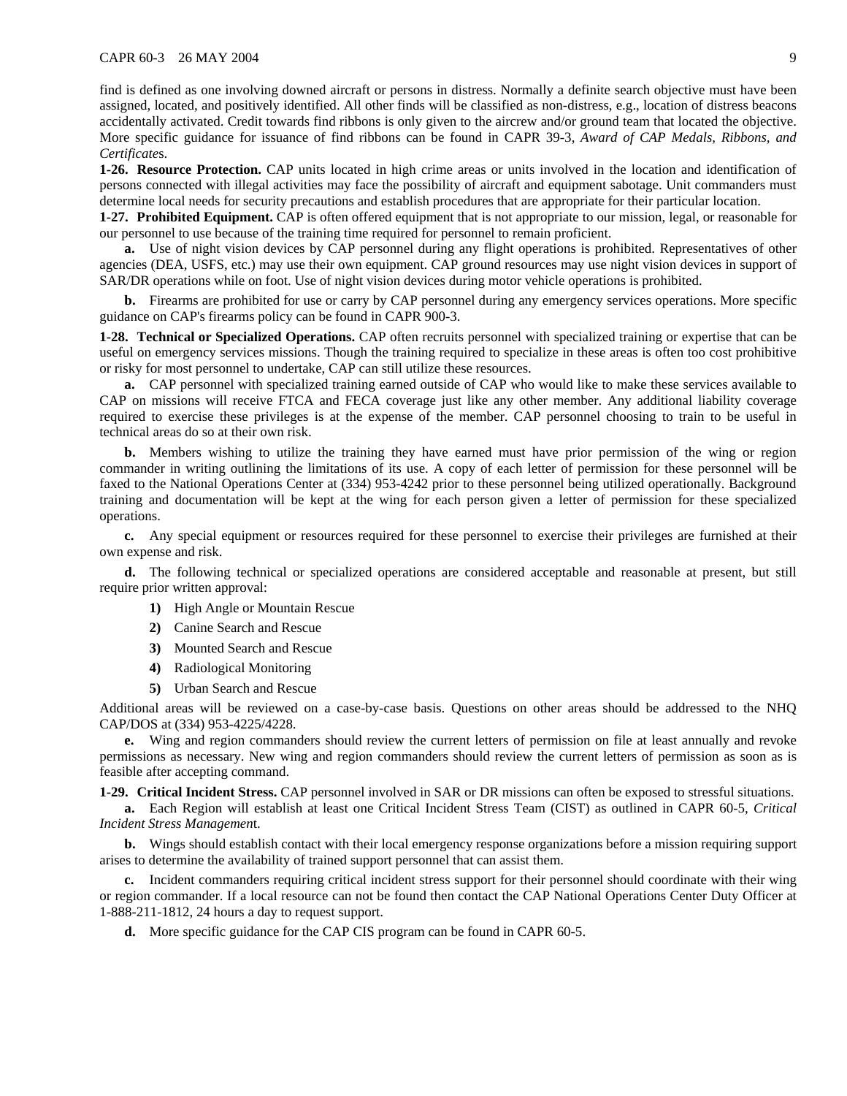#### CAPR 60-3 26 MAY 2004 9

find is defined as one involving downed aircraft or persons in distress. Normally a definite search objective must have been assigned, located, and positively identified. All other finds will be classified as non-distress, e.g., location of distress beacons accidentally activated. Credit towards find ribbons is only given to the aircrew and/or ground team that located the objective. More specific guidance for issuance of find ribbons can be found in CAPR 39-3, *Award of CAP Medals, Ribbons, and Certificate*s.

**1-26. Resource Protection.** CAP units located in high crime areas or units involved in the location and identification of persons connected with illegal activities may face the possibility of aircraft and equipment sabotage. Unit commanders must determine local needs for security precautions and establish procedures that are appropriate for their particular location.

**1-27. Prohibited Equipment.** CAP is often offered equipment that is not appropriate to our mission, legal, or reasonable for our personnel to use because of the training time required for personnel to remain proficient.

**a.** Use of night vision devices by CAP personnel during any flight operations is prohibited. Representatives of other agencies (DEA, USFS, etc.) may use their own equipment. CAP ground resources may use night vision devices in support of SAR/DR operations while on foot. Use of night vision devices during motor vehicle operations is prohibited.

**b.** Firearms are prohibited for use or carry by CAP personnel during any emergency services operations. More specific guidance on CAP's firearms policy can be found in CAPR 900-3.

**1-28. Technical or Specialized Operations.** CAP often recruits personnel with specialized training or expertise that can be useful on emergency services missions. Though the training required to specialize in these areas is often too cost prohibitive or risky for most personnel to undertake, CAP can still utilize these resources.

**a.** CAP personnel with specialized training earned outside of CAP who would like to make these services available to CAP on missions will receive FTCA and FECA coverage just like any other member. Any additional liability coverage required to exercise these privileges is at the expense of the member. CAP personnel choosing to train to be useful in technical areas do so at their own risk.

**b.** Members wishing to utilize the training they have earned must have prior permission of the wing or region commander in writing outlining the limitations of its use. A copy of each letter of permission for these personnel will be faxed to the National Operations Center at (334) 953-4242 prior to these personnel being utilized operationally. Background training and documentation will be kept at the wing for each person given a letter of permission for these specialized operations.

**c.** Any special equipment or resources required for these personnel to exercise their privileges are furnished at their own expense and risk.

**d.** The following technical or specialized operations are considered acceptable and reasonable at present, but still require prior written approval:

- **1)** High Angle or Mountain Rescue
- **2)** Canine Search and Rescue
- **3)** Mounted Search and Rescue
- **4)** Radiological Monitoring
- **5)** Urban Search and Rescue

Additional areas will be reviewed on a case-by-case basis. Questions on other areas should be addressed to the NHQ CAP/DOS at (334) 953-4225/4228.

**e.** Wing and region commanders should review the current letters of permission on file at least annually and revoke permissions as necessary. New wing and region commanders should review the current letters of permission as soon as is feasible after accepting command.

**1-29. Critical Incident Stress.** CAP personnel involved in SAR or DR missions can often be exposed to stressful situations.

**a.** Each Region will establish at least one Critical Incident Stress Team (CIST) as outlined in CAPR 60-5, *Critical Incident Stress Managemen*t.

**b.** Wings should establish contact with their local emergency response organizations before a mission requiring support arises to determine the availability of trained support personnel that can assist them.

**c.** Incident commanders requiring critical incident stress support for their personnel should coordinate with their wing or region commander. If a local resource can not be found then contact the CAP National Operations Center Duty Officer at 1-888-211-1812, 24 hours a day to request support.

**d.** More specific guidance for the CAP CIS program can be found in CAPR 60-5.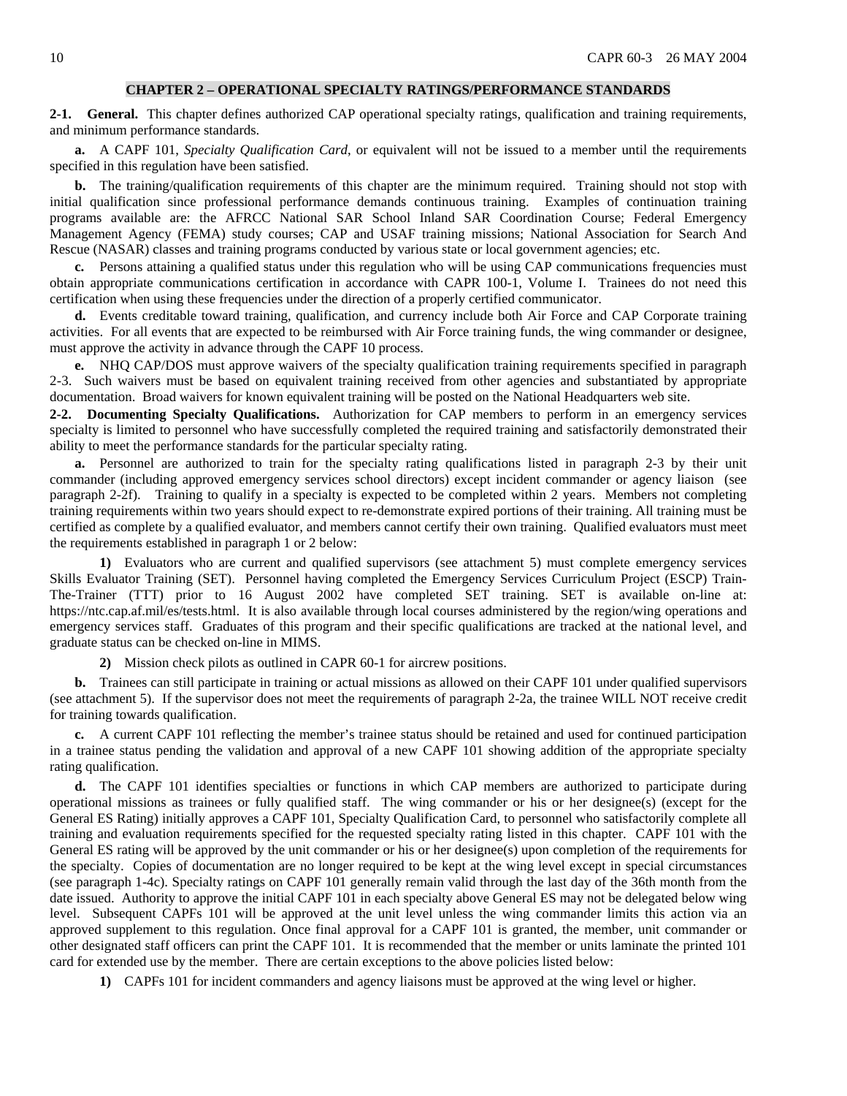#### **CHAPTER 2 – OPERATIONAL SPECIALTY RATINGS/PERFORMANCE STANDARDS**

**2-1. General.** This chapter defines authorized CAP operational specialty ratings, qualification and training requirements, and minimum performance standards.

**a.** A CAPF 101, *Specialty Qualification Card*, or equivalent will not be issued to a member until the requirements specified in this regulation have been satisfied.

**b.** The training/qualification requirements of this chapter are the minimum required. Training should not stop with initial qualification since professional performance demands continuous training. Examples of continuation training programs available are: the AFRCC National SAR School Inland SAR Coordination Course; Federal Emergency Management Agency (FEMA) study courses; CAP and USAF training missions; National Association for Search And Rescue (NASAR) classes and training programs conducted by various state or local government agencies; etc.

**c.** Persons attaining a qualified status under this regulation who will be using CAP communications frequencies must obtain appropriate communications certification in accordance with CAPR 100-1, Volume I. Trainees do not need this certification when using these frequencies under the direction of a properly certified communicator.

**d.** Events creditable toward training, qualification, and currency include both Air Force and CAP Corporate training activities. For all events that are expected to be reimbursed with Air Force training funds, the wing commander or designee, must approve the activity in advance through the CAPF 10 process.

**e.** NHQ CAP/DOS must approve waivers of the specialty qualification training requirements specified in paragraph 2-3. Such waivers must be based on equivalent training received from other agencies and substantiated by appropriate documentation. Broad waivers for known equivalent training will be posted on the National Headquarters web site.

**2-2. Documenting Specialty Qualifications.** Authorization for CAP members to perform in an emergency services specialty is limited to personnel who have successfully completed the required training and satisfactorily demonstrated their ability to meet the performance standards for the particular specialty rating.

**a.** Personnel are authorized to train for the specialty rating qualifications listed in paragraph 2-3 by their unit commander (including approved emergency services school directors) except incident commander or agency liaison (see paragraph 2-2f). Training to qualify in a specialty is expected to be completed within 2 years. Members not completing training requirements within two years should expect to re-demonstrate expired portions of their training. All training must be certified as complete by a qualified evaluator, and members cannot certify their own training. Qualified evaluators must meet the requirements established in paragraph 1 or 2 below:

**1)** Evaluators who are current and qualified supervisors (see attachment 5) must complete emergency services Skills Evaluator Training (SET). Personnel having completed the Emergency Services Curriculum Project (ESCP) Train-The-Trainer (TTT) prior to 16 August 2002 have completed SET training. SET is available on-line at: https://ntc.cap.af.mil/es/tests.html. It is also available through local courses administered by the region/wing operations and emergency services staff. Graduates of this program and their specific qualifications are tracked at the national level, and graduate status can be checked on-line in MIMS.

**2)** Mission check pilots as outlined in CAPR 60-1 for aircrew positions.

**b.** Trainees can still participate in training or actual missions as allowed on their CAPF 101 under qualified supervisors (see attachment 5). If the supervisor does not meet the requirements of paragraph 2-2a, the trainee WILL NOT receive credit for training towards qualification.

**c.** A current CAPF 101 reflecting the member's trainee status should be retained and used for continued participation in a trainee status pending the validation and approval of a new CAPF 101 showing addition of the appropriate specialty rating qualification.

**d.** The CAPF 101 identifies specialties or functions in which CAP members are authorized to participate during operational missions as trainees or fully qualified staff. The wing commander or his or her designee(s) (except for the General ES Rating) initially approves a CAPF 101, Specialty Qualification Card, to personnel who satisfactorily complete all training and evaluation requirements specified for the requested specialty rating listed in this chapter. CAPF 101 with the General ES rating will be approved by the unit commander or his or her designee(s) upon completion of the requirements for the specialty. Copies of documentation are no longer required to be kept at the wing level except in special circumstances (see paragraph 1-4c). Specialty ratings on CAPF 101 generally remain valid through the last day of the 36th month from the date issued. Authority to approve the initial CAPF 101 in each specialty above General ES may not be delegated below wing level. Subsequent CAPFs 101 will be approved at the unit level unless the wing commander limits this action via an approved supplement to this regulation. Once final approval for a CAPF 101 is granted, the member, unit commander or other designated staff officers can print the CAPF 101. It is recommended that the member or units laminate the printed 101 card for extended use by the member. There are certain exceptions to the above policies listed below:

**1)** CAPFs 101 for incident commanders and agency liaisons must be approved at the wing level or higher.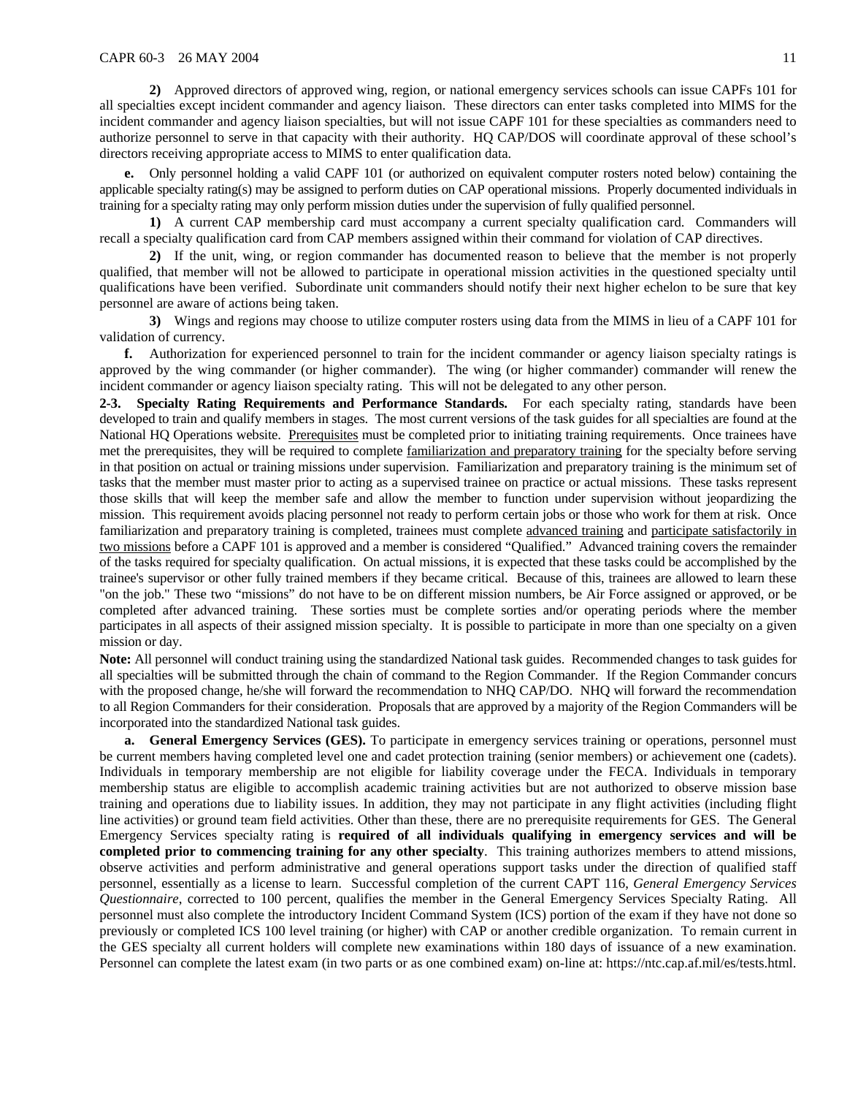**2)** Approved directors of approved wing, region, or national emergency services schools can issue CAPFs 101 for all specialties except incident commander and agency liaison. These directors can enter tasks completed into MIMS for the incident commander and agency liaison specialties, but will not issue CAPF 101 for these specialties as commanders need to authorize personnel to serve in that capacity with their authority. HQ CAP/DOS will coordinate approval of these school's directors receiving appropriate access to MIMS to enter qualification data.

**e.** Only personnel holding a valid CAPF 101 (or authorized on equivalent computer rosters noted below) containing the applicable specialty rating(s) may be assigned to perform duties on CAP operational missions. Properly documented individuals in training for a specialty rating may only perform mission duties under the supervision of fully qualified personnel.

**1)** A current CAP membership card must accompany a current specialty qualification card.Commanders will recall a specialty qualification card from CAP members assigned within their command for violation of CAP directives.

**2)** If the unit, wing, or region commander has documented reason to believe that the member is not properly qualified, that member will not be allowed to participate in operational mission activities in the questioned specialty until qualifications have been verified. Subordinate unit commanders should notify their next higher echelon to be sure that key personnel are aware of actions being taken.

**3)** Wings and regions may choose to utilize computer rosters using data from the MIMS in lieu of a CAPF 101 for validation of currency.

**f.** Authorization for experienced personnel to train for the incident commander or agency liaison specialty ratings is approved by the wing commander (or higher commander). The wing (or higher commander) commander will renew the incident commander or agency liaison specialty rating. This will not be delegated to any other person.

**2-3. Specialty Rating Requirements and Performance Standards.** For each specialty rating, standards have been developed to train and qualify members in stages. The most current versions of the task guides for all specialties are found at the National HQ Operations website. Prerequisites must be completed prior to initiating training requirements. Once trainees have met the prerequisites, they will be required to complete familiarization and preparatory training for the specialty before serving in that position on actual or training missions under supervision. Familiarization and preparatory training is the minimum set of tasks that the member must master prior to acting as a supervised trainee on practice or actual missions. These tasks represent those skills that will keep the member safe and allow the member to function under supervision without jeopardizing the mission. This requirement avoids placing personnel not ready to perform certain jobs or those who work for them at risk. Once familiarization and preparatory training is completed, trainees must complete advanced training and participate satisfactorily in two missions before a CAPF 101 is approved and a member is considered "Qualified." Advanced training covers the remainder of the tasks required for specialty qualification. On actual missions, it is expected that these tasks could be accomplished by the trainee's supervisor or other fully trained members if they became critical. Because of this, trainees are allowed to learn these "on the job." These two "missions" do not have to be on different mission numbers, be Air Force assigned or approved, or be completed after advanced training. These sorties must be complete sorties and/or operating periods where the member participates in all aspects of their assigned mission specialty. It is possible to participate in more than one specialty on a given mission or day.

**Note:** All personnel will conduct training using the standardized National task guides. Recommended changes to task guides for all specialties will be submitted through the chain of command to the Region Commander. If the Region Commander concurs with the proposed change, he/she will forward the recommendation to NHQ CAP/DO. NHQ will forward the recommendation to all Region Commanders for their consideration. Proposals that are approved by a majority of the Region Commanders will be incorporated into the standardized National task guides.

**a. General Emergency Services (GES).** To participate in emergency services training or operations, personnel must be current members having completed level one and cadet protection training (senior members) or achievement one (cadets). Individuals in temporary membership are not eligible for liability coverage under the FECA. Individuals in temporary membership status are eligible to accomplish academic training activities but are not authorized to observe mission base training and operations due to liability issues. In addition, they may not participate in any flight activities (including flight line activities) or ground team field activities. Other than these, there are no prerequisite requirements for GES. The General Emergency Services specialty rating is **required of all individuals qualifying in emergency services and will be completed prior to commencing training for any other specialty**. This training authorizes members to attend missions, observe activities and perform administrative and general operations support tasks under the direction of qualified staff personnel, essentially as a license to learn. Successful completion of the current CAPT 116, *General Emergency Services Questionnaire*, corrected to 100 percent, qualifies the member in the General Emergency Services Specialty Rating.All personnel must also complete the introductory Incident Command System (ICS) portion of the exam if they have not done so previously or completed ICS 100 level training (or higher) with CAP or another credible organization. To remain current in the GES specialty all current holders will complete new examinations within 180 days of issuance of a new examination. Personnel can complete the latest exam (in two parts or as one combined exam) on-line at: https://ntc.cap.af.mil/es/tests.html.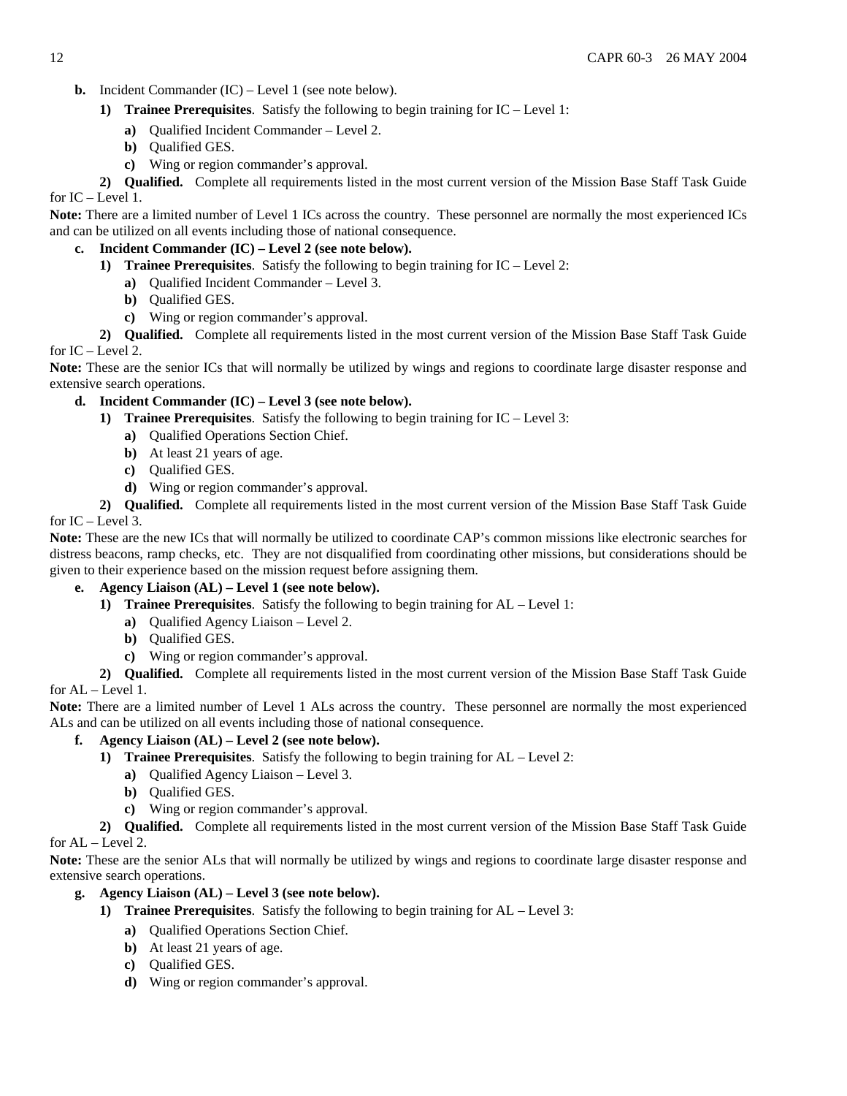- **b.** Incident Commander (IC) Level 1 (see note below).
	- **1) Trainee Prerequisites**. Satisfy the following to begin training for IC Level 1:
		- **a)** Qualified Incident Commander Level 2.
		- **b)** Qualified GES.
		- **c)** Wing or region commander's approval.

**2) Qualified.** Complete all requirements listed in the most current version of the Mission Base Staff Task Guide for IC – Level 1.

**Note:** There are a limited number of Level 1 ICs across the country. These personnel are normally the most experienced ICs and can be utilized on all events including those of national consequence.

# **c. Incident Commander (IC) – Level 2 (see note below).**

- **1) Trainee Prerequisites**. Satisfy the following to begin training for IC Level 2:
	- **a)** Qualified Incident Commander Level 3.
	- **b)** Qualified GES.
	- **c)** Wing or region commander's approval.

**2) Qualified.** Complete all requirements listed in the most current version of the Mission Base Staff Task Guide for IC – Level 2.

**Note:** These are the senior ICs that will normally be utilized by wings and regions to coordinate large disaster response and extensive search operations.

# **d. Incident Commander (IC) – Level 3 (see note below).**

- **1) Trainee Prerequisites**. Satisfy the following to begin training for IC Level 3:
	- **a)** Qualified Operations Section Chief.
	- **b)** At least 21 years of age.
	- **c)** Qualified GES.
	- **d)** Wing or region commander's approval.

**2) Qualified.** Complete all requirements listed in the most current version of the Mission Base Staff Task Guide for  $IC$  – Level 3.

**Note:** These are the new ICs that will normally be utilized to coordinate CAP's common missions like electronic searches for distress beacons, ramp checks, etc. They are not disqualified from coordinating other missions, but considerations should be given to their experience based on the mission request before assigning them.

## **e. Agency Liaison (AL) – Level 1 (see note below).**

- **1) Trainee Prerequisites**. Satisfy the following to begin training for AL Level 1:
	- **a)** Qualified Agency Liaison Level 2.
	- **b)** Qualified GES.
	- **c)** Wing or region commander's approval.

**2) Qualified.** Complete all requirements listed in the most current version of the Mission Base Staff Task Guide for AL – Level 1.

**Note:** There are a limited number of Level 1 ALs across the country. These personnel are normally the most experienced ALs and can be utilized on all events including those of national consequence.

# **f. Agency Liaison (AL) – Level 2 (see note below).**

- **1) Trainee Prerequisites**. Satisfy the following to begin training for AL Level 2:
	- **a)** Qualified Agency Liaison Level 3.
	- **b)** Qualified GES.
	- **c)** Wing or region commander's approval.

**2) Qualified.** Complete all requirements listed in the most current version of the Mission Base Staff Task Guide for AL – Level 2.

**Note:** These are the senior ALs that will normally be utilized by wings and regions to coordinate large disaster response and extensive search operations.

# **g. Agency Liaison (AL) – Level 3 (see note below).**

- **1) Trainee Prerequisites**. Satisfy the following to begin training for AL Level 3:
	- **a)** Qualified Operations Section Chief.
	- **b)** At least 21 years of age.
	- **c)** Qualified GES.
	- **d)** Wing or region commander's approval.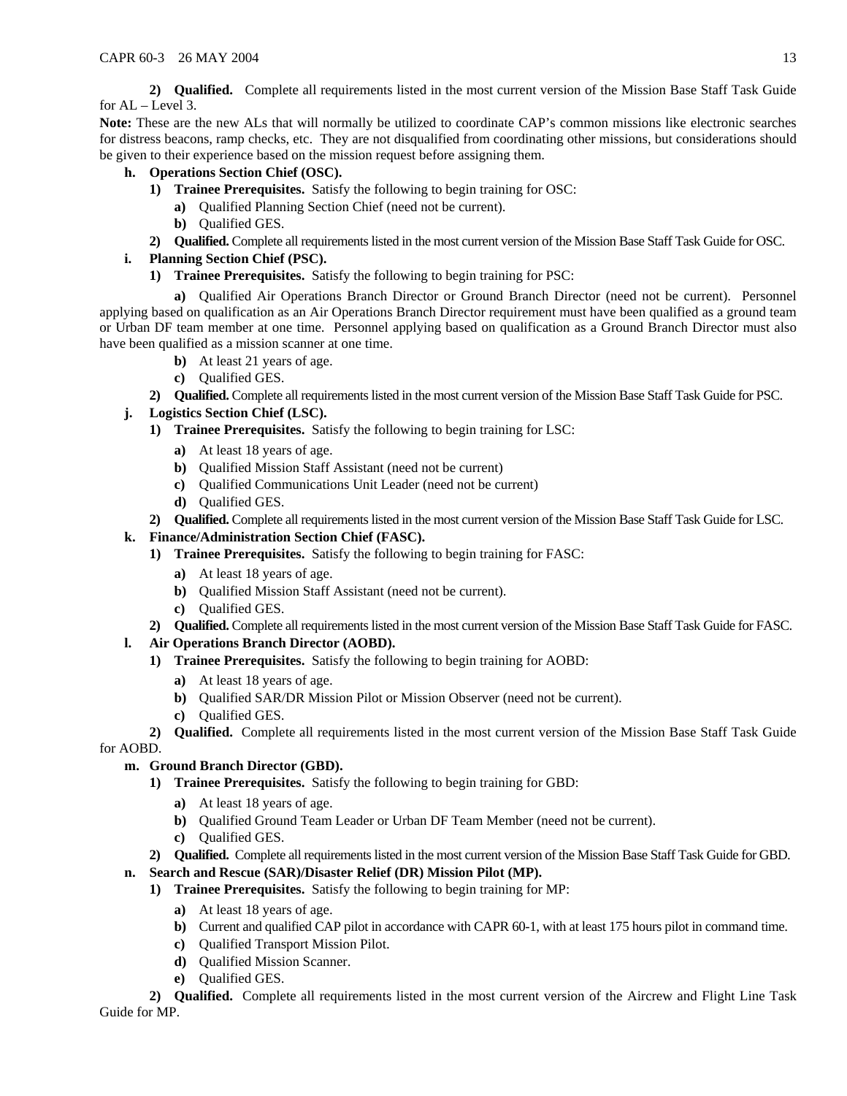**2) Qualified.** Complete all requirements listed in the most current version of the Mission Base Staff Task Guide for AL – Level 3.

**Note:** These are the new ALs that will normally be utilized to coordinate CAP's common missions like electronic searches for distress beacons, ramp checks, etc. They are not disqualified from coordinating other missions, but considerations should be given to their experience based on the mission request before assigning them.

# **h. Operations Section Chief (OSC).**

- **1) Trainee Prerequisites.** Satisfy the following to begin training for OSC:
	- **a)** Qualified Planning Section Chief (need not be current).
	- **b)** Qualified GES.
- **2) Qualified.** Complete all requirements listed in the most current version of the Mission Base Staff Task Guide for OSC.

# **i. Planning Section Chief (PSC).**

**1) Trainee Prerequisites.** Satisfy the following to begin training for PSC:

**a)** Qualified Air Operations Branch Director or Ground Branch Director (need not be current). Personnel applying based on qualification as an Air Operations Branch Director requirement must have been qualified as a ground team or Urban DF team member at one time. Personnel applying based on qualification as a Ground Branch Director must also have been qualified as a mission scanner at one time.

- **b)** At least 21 years of age.
- **c)** Qualified GES.
- **2) Qualified.** Complete all requirements listed in the most current version of the Mission Base Staff Task Guide for PSC.

# **j. Logistics Section Chief (LSC).**

- **1) Trainee Prerequisites.** Satisfy the following to begin training for LSC:
	- **a)** At least 18 years of age.
	- **b)** Qualified Mission Staff Assistant (need not be current)
	- **c)** Qualified Communications Unit Leader (need not be current)
	- **d)** Qualified GES.
- **2) Qualified.** Complete all requirements listed in the most current version of the Mission Base Staff Task Guide for LSC.

# **k. Finance/Administration Section Chief (FASC).**

- **1) Trainee Prerequisites.** Satisfy the following to begin training for FASC:
	- **a)** At least 18 years of age.
	- **b)** Qualified Mission Staff Assistant (need not be current).
	- **c)** Qualified GES.
- **2) Qualified.** Complete all requirements listed in the most current version of the Mission Base Staff Task Guide for FASC.
- **l. Air Operations Branch Director (AOBD).** 
	- **1) Trainee Prerequisites.** Satisfy the following to begin training for AOBD:
		- **a)** At least 18 years of age.
		- **b)** Qualified SAR/DR Mission Pilot or Mission Observer (need not be current).
		- **c)** Qualified GES.
	- **2) Qualified.** Complete all requirements listed in the most current version of the Mission Base Staff Task Guide

for AOBD.

# **m. Ground Branch Director (GBD).**

- **1) Trainee Prerequisites.** Satisfy the following to begin training for GBD:
	- **a)** At least 18 years of age.
	- **b)** Qualified Ground Team Leader or Urban DF Team Member (need not be current).
	- **c)** Qualified GES.
- **2) Qualified.** Complete all requirements listed in the most current version of the Mission Base Staff Task Guide for GBD.

# **n. Search and Rescue (SAR)/Disaster Relief (DR) Mission Pilot (MP).**

- **1) Trainee Prerequisites.** Satisfy the following to begin training for MP:
	- **a)** At least 18 years of age.
	- **b**) Current and qualified CAP pilot in accordance with CAPR 60-1, with at least 175 hours pilot in command time.
	- **c)** Qualified Transport Mission Pilot.
	- **d)** Qualified Mission Scanner.
	- **e)** Qualified GES.

**2) Qualified.** Complete all requirements listed in the most current version of the Aircrew and Flight Line Task Guide for MP.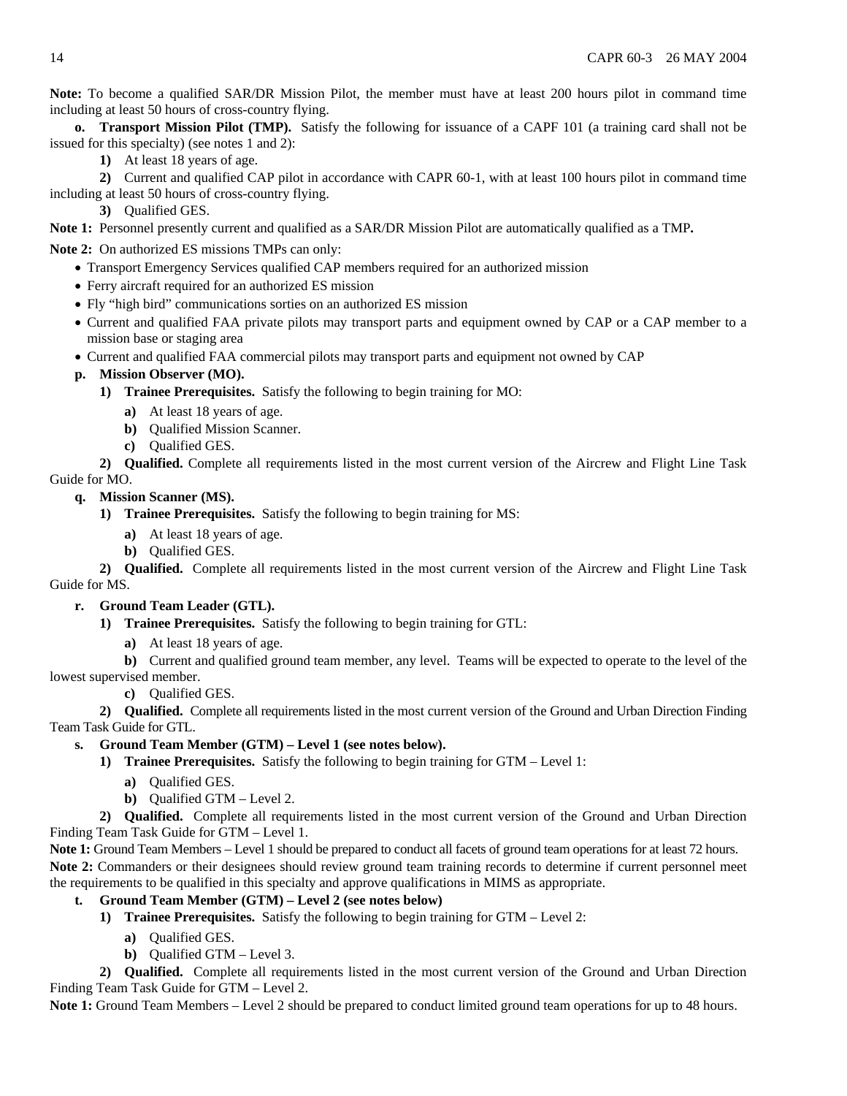**Note:** To become a qualified SAR/DR Mission Pilot, the member must have at least 200 hours pilot in command time including at least 50 hours of cross-country flying.

**o. Transport Mission Pilot (TMP).** Satisfy the following for issuance of a CAPF 101 (a training card shall not be issued for this specialty) (see notes 1 and 2):

**1)** At least 18 years of age.

**2)** Current and qualified CAP pilot in accordance with CAPR 60-1, with at least 100 hours pilot in command time including at least 50 hours of cross-country flying.

**3)** Qualified GES.

**Note 1:** Personnel presently current and qualified as a SAR/DR Mission Pilot are automatically qualified as a TMP**.** 

**Note 2:** On authorized ES missions TMPs can only:

- Transport Emergency Services qualified CAP members required for an authorized mission
- Ferry aircraft required for an authorized ES mission
- Fly "high bird" communications sorties on an authorized ES mission
- Current and qualified FAA private pilots may transport parts and equipment owned by CAP or a CAP member to a mission base or staging area
- Current and qualified FAA commercial pilots may transport parts and equipment not owned by CAP

# **p. Mission Observer (MO).**

- **1) Trainee Prerequisites.** Satisfy the following to begin training for MO:
	- **a)** At least 18 years of age.
	- **b)** Qualified Mission Scanner.
	- **c)** Qualified GES.

**2) Qualified.** Complete all requirements listed in the most current version of the Aircrew and Flight Line Task Guide for MO.

# **q. Mission Scanner (MS).**

- **1) Trainee Prerequisites.** Satisfy the following to begin training for MS:
	- **a)** At least 18 years of age.
	- **b)** Qualified GES.

**2) Qualified.** Complete all requirements listed in the most current version of the Aircrew and Flight Line Task Guide for MS.

## **r. Ground Team Leader (GTL).**

- **1) Trainee Prerequisites.** Satisfy the following to begin training for GTL:
	- **a)** At least 18 years of age.

**b)** Current and qualified ground team member, any level. Teams will be expected to operate to the level of the lowest supervised member.

**c)** Qualified GES.

**2) Qualified.** Complete all requirements listed in the most current version of the Ground and Urban Direction Finding Team Task Guide for GTL.

## **s. Ground Team Member (GTM) – Level 1 (see notes below).**

- **1) Trainee Prerequisites.** Satisfy the following to begin training for GTM Level 1:
	- **a)** Qualified GES.
	- **b)** Qualified GTM Level 2.

**2) Qualified.** Complete all requirements listed in the most current version of the Ground and Urban Direction Finding Team Task Guide for GTM – Level 1.

**Note 1:** Ground Team Members – Level 1 should be prepared to conduct all facets of ground team operations for at least 72 hours. **Note 2:** Commanders or their designees should review ground team training records to determine if current personnel meet the requirements to be qualified in this specialty and approve qualifications in MIMS as appropriate.

# **t. Ground Team Member (GTM) – Level 2 (see notes below)**

- **1) Trainee Prerequisites.** Satisfy the following to begin training for GTM Level 2:
	- **a)** Qualified GES.
	- **b)** Qualified GTM Level 3.

**2) Qualified.** Complete all requirements listed in the most current version of the Ground and Urban Direction Finding Team Task Guide for GTM – Level 2.

**Note 1:** Ground Team Members – Level 2 should be prepared to conduct limited ground team operations for up to 48 hours.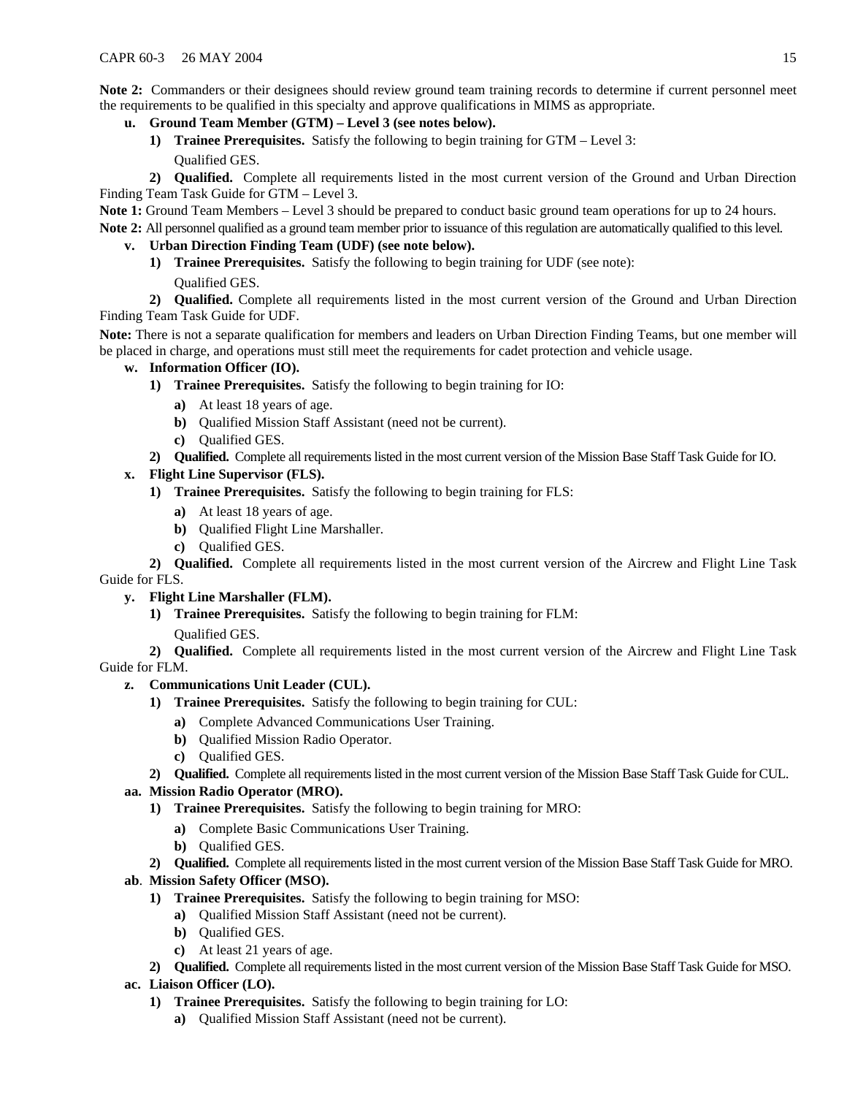**Note 2:** Commanders or their designees should review ground team training records to determine if current personnel meet the requirements to be qualified in this specialty and approve qualifications in MIMS as appropriate.

- **u. Ground Team Member (GTM) Level 3 (see notes below).** 
	- **1) Trainee Prerequisites.** Satisfy the following to begin training for GTM Level 3: Qualified GES.

**2) Qualified.** Complete all requirements listed in the most current version of the Ground and Urban Direction Finding Team Task Guide for GTM – Level 3.

**Note 1:** Ground Team Members – Level 3 should be prepared to conduct basic ground team operations for up to 24 hours. **Note 2:** All personnel qualified as a ground team member prior to issuance of this regulation are automatically qualified to this level.

# **v. Urban Direction Finding Team (UDF) (see note below).**

- **1) Trainee Prerequisites.** Satisfy the following to begin training for UDF (see note):
	- Qualified GES.

**2) Qualified.** Complete all requirements listed in the most current version of the Ground and Urban Direction Finding Team Task Guide for UDF.

**Note:** There is not a separate qualification for members and leaders on Urban Direction Finding Teams, but one member will be placed in charge, and operations must still meet the requirements for cadet protection and vehicle usage.

# **w. Information Officer (IO).**

- **1) Trainee Prerequisites.** Satisfy the following to begin training for IO:
	- **a)** At least 18 years of age.
	- **b)** Qualified Mission Staff Assistant (need not be current).
	- **c)** Qualified GES.
- **2) Qualified.** Complete all requirements listed in the most current version of the Mission Base Staff Task Guide for IO.

# **x. Flight Line Supervisor (FLS).**

- **1) Trainee Prerequisites.** Satisfy the following to begin training for FLS:
	- **a)** At least 18 years of age.
	- **b)** Qualified Flight Line Marshaller.
	- **c)** Qualified GES.

**2) Qualified.** Complete all requirements listed in the most current version of the Aircrew and Flight Line Task Guide for FLS.

## **y. Flight Line Marshaller (FLM).**

**1) Trainee Prerequisites.** Satisfy the following to begin training for FLM:

# Qualified GES.

**2) Qualified.** Complete all requirements listed in the most current version of the Aircrew and Flight Line Task Guide for FLM.

# **z. Communications Unit Leader (CUL).**

- **1) Trainee Prerequisites.** Satisfy the following to begin training for CUL:
	- **a)** Complete Advanced Communications User Training.
	- **b)** Qualified Mission Radio Operator.
	- **c)** Qualified GES.
- **2) Qualified.** Complete all requirements listed in the most current version of the Mission Base Staff Task Guide for CUL.

# **aa. Mission Radio Operator (MRO).**

- **1) Trainee Prerequisites.** Satisfy the following to begin training for MRO:
	- **a)** Complete Basic Communications User Training.
	- **b)** Qualified GES.
- **2) Qualified.** Complete all requirements listed in the most current version of the Mission Base Staff Task Guide for MRO.

# **ab**. **Mission Safety Officer (MSO).**

- **1) Trainee Prerequisites.** Satisfy the following to begin training for MSO:
	- **a)** Qualified Mission Staff Assistant (need not be current).
	- **b)** Qualified GES.
	- **c)** At least 21 years of age.
- **2) Qualified.** Complete all requirements listed in the most current version of the Mission Base Staff Task Guide for MSO.

# **ac. Liaison Officer (LO).**

- **1) Trainee Prerequisites.** Satisfy the following to begin training for LO:
	- **a)** Qualified Mission Staff Assistant (need not be current).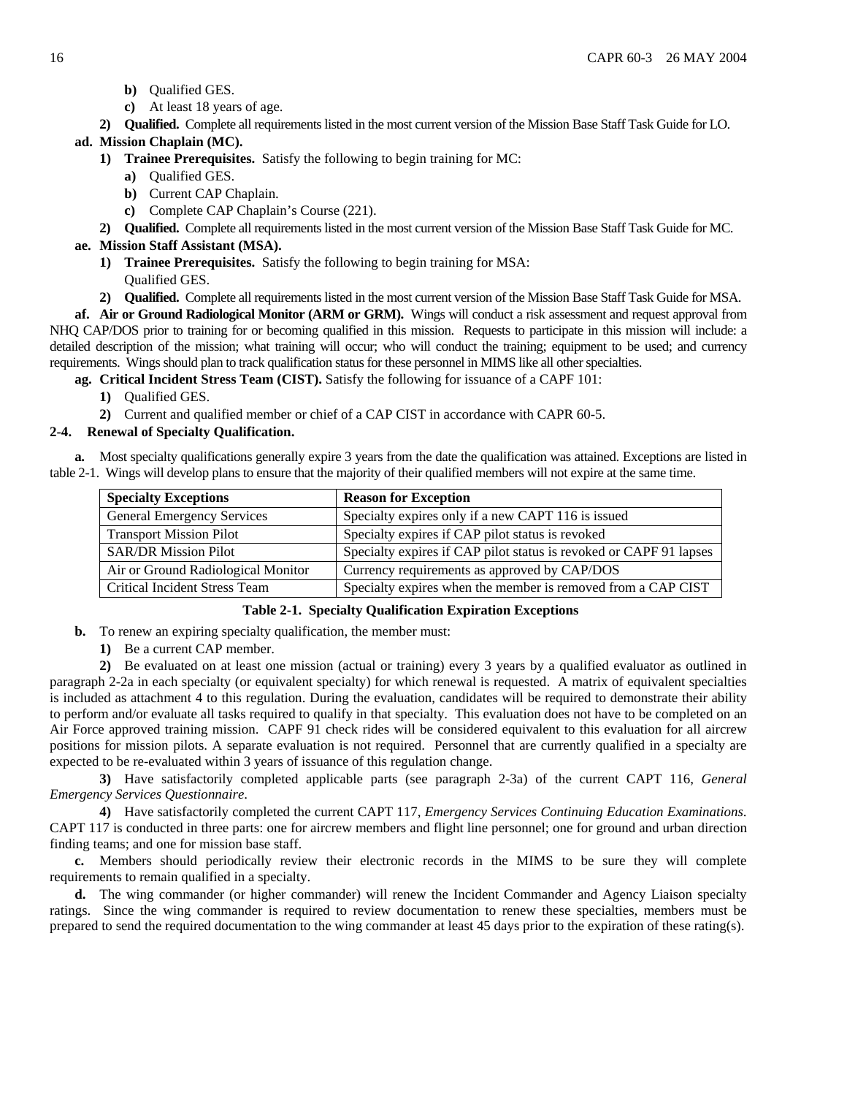- **b)** Qualified GES.
- **c)** At least 18 years of age.
- **2) Qualified.** Complete all requirements listed in the most current version of the Mission Base Staff Task Guide for LO.

### **ad. Mission Chaplain (MC).**

- **1) Trainee Prerequisites.** Satisfy the following to begin training for MC:
	- **a)** Qualified GES.
	- **b)** Current CAP Chaplain.
	- **c)** Complete CAP Chaplain's Course (221).
- **2) Qualified.** Complete all requirements listed in the most current version of the Mission Base Staff Task Guide for MC.

### **ae. Mission Staff Assistant (MSA).**

- **1) Trainee Prerequisites.** Satisfy the following to begin training for MSA: Qualified GES.
- **2) Qualified.** Complete all requirements listed in the most current version of the Mission Base Staff Task Guide for MSA.

**af. Air or Ground Radiological Monitor (ARM or GRM).** Wings will conduct a risk assessment and request approval from NHQ CAP/DOS prior to training for or becoming qualified in this mission. Requests to participate in this mission will include: a detailed description of the mission; what training will occur; who will conduct the training; equipment to be used; and currency requirements. Wings should plan to track qualification status for these personnel in MIMS like all other specialties.

**ag. Critical Incident Stress Team (CIST).** Satisfy the following for issuance of a CAPF 101:

- **1)** Qualified GES.
- **2)** Current and qualified member or chief of a CAP CIST in accordance with CAPR 60-5.

### **2-4. Renewal of Specialty Qualification.**

**a.** Most specialty qualifications generally expire 3 years from the date the qualification was attained. Exceptions are listed in table 2-1. Wings will develop plans to ensure that the majority of their qualified members will not expire at the same time.

| <b>Specialty Exceptions</b>          | <b>Reason for Exception</b>                                        |
|--------------------------------------|--------------------------------------------------------------------|
| <b>General Emergency Services</b>    | Specialty expires only if a new CAPT 116 is issued                 |
| <b>Transport Mission Pilot</b>       | Specialty expires if CAP pilot status is revoked                   |
| <b>SAR/DR Mission Pilot</b>          | Specialty expires if CAP pilot status is revoked or CAPF 91 lapses |
| Air or Ground Radiological Monitor   | Currency requirements as approved by CAP/DOS                       |
| <b>Critical Incident Stress Team</b> | Specialty expires when the member is removed from a CAP CIST       |

#### **Table 2-1. Specialty Qualification Expiration Exceptions**

- **b.** To renew an expiring specialty qualification, the member must:
	- **1)** Be a current CAP member.

**2)** Be evaluated on at least one mission (actual or training) every 3 years by a qualified evaluator as outlined in paragraph 2-2a in each specialty (or equivalent specialty) for which renewal is requested. A matrix of equivalent specialties is included as attachment 4 to this regulation. During the evaluation, candidates will be required to demonstrate their ability to perform and/or evaluate all tasks required to qualify in that specialty. This evaluation does not have to be completed on an Air Force approved training mission. CAPF 91 check rides will be considered equivalent to this evaluation for all aircrew positions for mission pilots. A separate evaluation is not required. Personnel that are currently qualified in a specialty are expected to be re-evaluated within 3 years of issuance of this regulation change.

**3)** Have satisfactorily completed applicable parts (see paragraph 2-3a) of the current CAPT 116, *General Emergency Services Questionnaire*.

**4)** Have satisfactorily completed the current CAPT 117, *Emergency Services Continuing Education Examinations*. CAPT 117 is conducted in three parts: one for aircrew members and flight line personnel; one for ground and urban direction finding teams; and one for mission base staff.

**c.** Members should periodically review their electronic records in the MIMS to be sure they will complete requirements to remain qualified in a specialty.

**d.** The wing commander (or higher commander) will renew the Incident Commander and Agency Liaison specialty ratings. Since the wing commander is required to review documentation to renew these specialties, members must be prepared to send the required documentation to the wing commander at least 45 days prior to the expiration of these rating(s).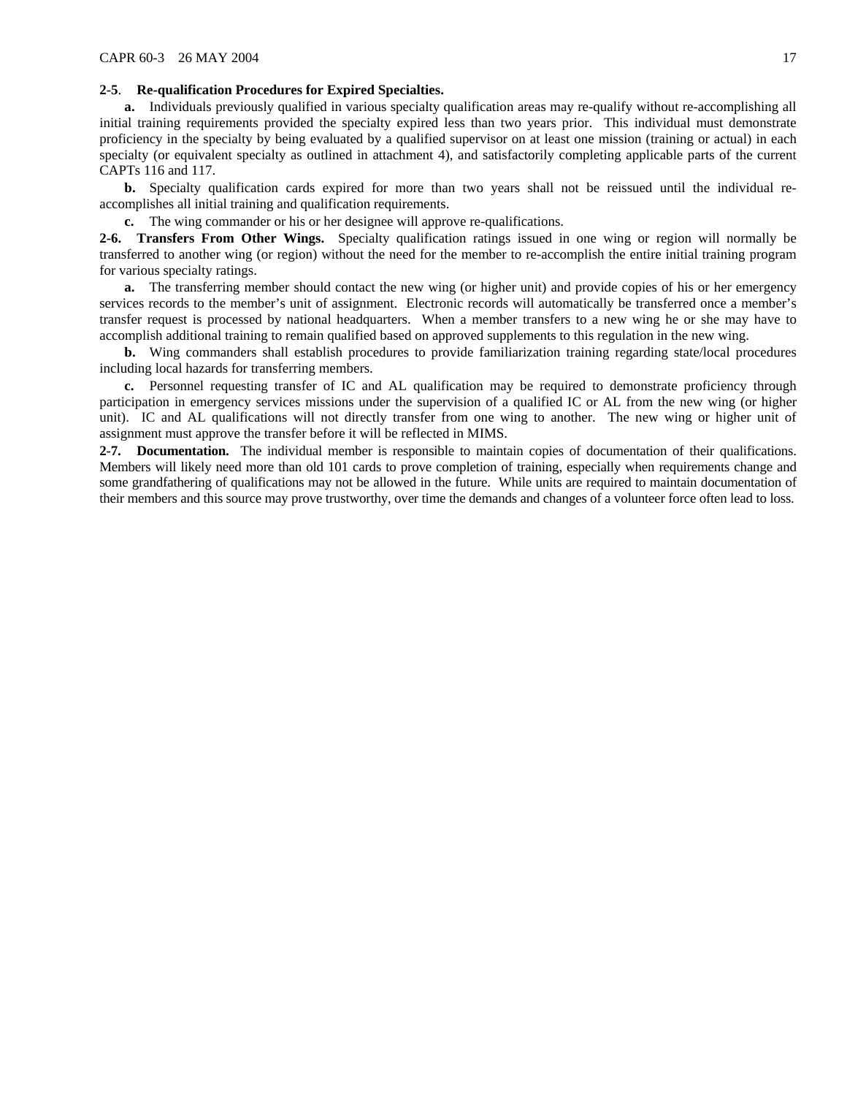### **2-5**. **Re-qualification Procedures for Expired Specialties.**

**a.** Individuals previously qualified in various specialty qualification areas may re-qualify without re-accomplishing all initial training requirements provided the specialty expired less than two years prior. This individual must demonstrate proficiency in the specialty by being evaluated by a qualified supervisor on at least one mission (training or actual) in each specialty (or equivalent specialty as outlined in attachment 4), and satisfactorily completing applicable parts of the current CAPTs 116 and 117.

**b.** Specialty qualification cards expired for more than two years shall not be reissued until the individual reaccomplishes all initial training and qualification requirements.

**c.** The wing commander or his or her designee will approve re-qualifications.

**2-6. Transfers From Other Wings.** Specialty qualification ratings issued in one wing or region will normally be transferred to another wing (or region) without the need for the member to re-accomplish the entire initial training program for various specialty ratings.

**a.** The transferring member should contact the new wing (or higher unit) and provide copies of his or her emergency services records to the member's unit of assignment. Electronic records will automatically be transferred once a member's transfer request is processed by national headquarters. When a member transfers to a new wing he or she may have to accomplish additional training to remain qualified based on approved supplements to this regulation in the new wing.

**b.** Wing commanders shall establish procedures to provide familiarization training regarding state/local procedures including local hazards for transferring members.

**c.** Personnel requesting transfer of IC and AL qualification may be required to demonstrate proficiency through participation in emergency services missions under the supervision of a qualified IC or AL from the new wing (or higher unit). IC and AL qualifications will not directly transfer from one wing to another. The new wing or higher unit of assignment must approve the transfer before it will be reflected in MIMS.

**2-7. Documentation.** The individual member is responsible to maintain copies of documentation of their qualifications. Members will likely need more than old 101 cards to prove completion of training, especially when requirements change and some grandfathering of qualifications may not be allowed in the future. While units are required to maintain documentation of their members and this source may prove trustworthy, over time the demands and changes of a volunteer force often lead to loss.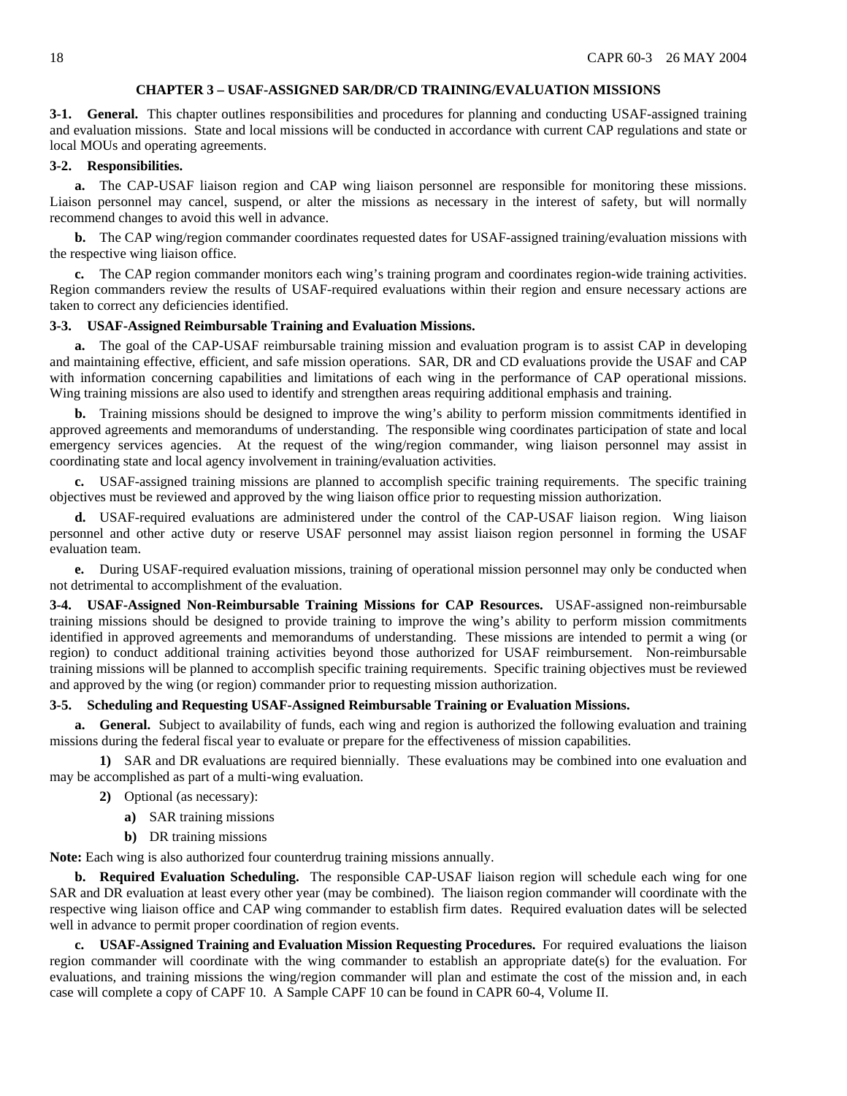### **CHAPTER 3 – USAF-ASSIGNED SAR/DR/CD TRAINING/EVALUATION MISSIONS**

<span id="page-17-0"></span>**3-1. General.** This chapter outlines responsibilities and procedures for planning and conducting USAF-assigned training and evaluation missions. State and local missions will be conducted in accordance with current CAP regulations and state or local MOUs and operating agreements.

### **3-2. Responsibilities.**

**a.** The CAP-USAF liaison region and CAP wing liaison personnel are responsible for monitoring these missions. Liaison personnel may cancel, suspend, or alter the missions as necessary in the interest of safety, but will normally recommend changes to avoid this well in advance.

**b.** The CAP wing/region commander coordinates requested dates for USAF-assigned training/evaluation missions with the respective wing liaison office.

**c.** The CAP region commander monitors each wing's training program and coordinates region-wide training activities. Region commanders review the results of USAF-required evaluations within their region and ensure necessary actions are taken to correct any deficiencies identified.

#### **3-3. USAF-Assigned Reimbursable Training and Evaluation Missions.**

**a.** The goal of the CAP-USAF reimbursable training mission and evaluation program is to assist CAP in developing and maintaining effective, efficient, and safe mission operations. SAR, DR and CD evaluations provide the USAF and CAP with information concerning capabilities and limitations of each wing in the performance of CAP operational missions. Wing training missions are also used to identify and strengthen areas requiring additional emphasis and training.

**b.** Training missions should be designed to improve the wing's ability to perform mission commitments identified in approved agreements and memorandums of understanding. The responsible wing coordinates participation of state and local emergency services agencies. At the request of the wing/region commander, wing liaison personnel may assist in coordinating state and local agency involvement in training/evaluation activities.

**c.** USAF-assigned training missions are planned to accomplish specific training requirements. The specific training objectives must be reviewed and approved by the wing liaison office prior to requesting mission authorization.

**d.** USAF-required evaluations are administered under the control of the CAP-USAF liaison region. Wing liaison personnel and other active duty or reserve USAF personnel may assist liaison region personnel in forming the USAF evaluation team.

**e.** During USAF-required evaluation missions, training of operational mission personnel may only be conducted when not detrimental to accomplishment of the evaluation.

**3-4. USAF-Assigned Non-Reimbursable Training Missions for CAP Resources.** USAF-assigned non-reimbursable training missions should be designed to provide training to improve the wing's ability to perform mission commitments identified in approved agreements and memorandums of understanding. These missions are intended to permit a wing (or region) to conduct additional training activities beyond those authorized for USAF reimbursement. Non-reimbursable training missions will be planned to accomplish specific training requirements. Specific training objectives must be reviewed and approved by the wing (or region) commander prior to requesting mission authorization.

#### **3-5. Scheduling and Requesting USAF-Assigned Reimbursable Training or Evaluation Missions.**

**a. General.** Subject to availability of funds, each wing and region is authorized the following evaluation and training missions during the federal fiscal year to evaluate or prepare for the effectiveness of mission capabilities.

**1)** SAR and DR evaluations are required biennially. These evaluations may be combined into one evaluation and may be accomplished as part of a multi-wing evaluation.

- **2)** Optional (as necessary):
	- **a)** SAR training missions
	- **b)** DR training missions

**Note:** Each wing is also authorized four counterdrug training missions annually.

**b. Required Evaluation Scheduling.** The responsible CAP-USAF liaison region will schedule each wing for one SAR and DR evaluation at least every other year (may be combined). The liaison region commander will coordinate with the respective wing liaison office and CAP wing commander to establish firm dates. Required evaluation dates will be selected well in advance to permit proper coordination of region events.

**c. USAF-Assigned Training and Evaluation Mission Requesting Procedures.** For required evaluations the liaison region commander will coordinate with the wing commander to establish an appropriate date(s) for the evaluation. For evaluations, and training missions the wing/region commander will plan and estimate the cost of the mission and, in each case will complete a copy of CAPF 10. A Sample CAPF 10 can be found in CAPR 60-4, Volume II.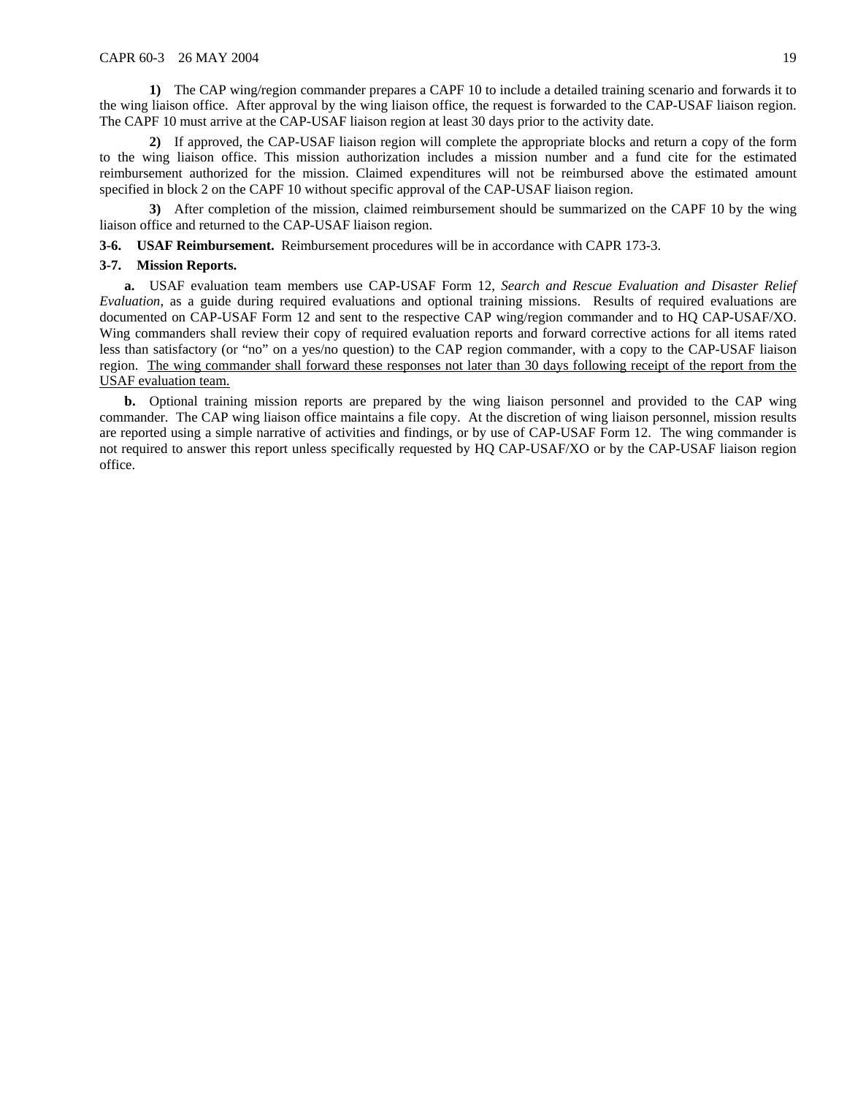**1)** The CAP wing/region commander prepares a CAPF 10 to include a detailed training scenario and forwards it to the wing liaison office. After approval by the wing liaison office, the request is forwarded to the CAP-USAF liaison region. The CAPF 10 must arrive at the CAP-USAF liaison region at least 30 days prior to the activity date.

**2)** If approved, the CAP-USAF liaison region will complete the appropriate blocks and return a copy of the form to the wing liaison office. This mission authorization includes a mission number and a fund cite for the estimated reimbursement authorized for the mission. Claimed expenditures will not be reimbursed above the estimated amount specified in block 2 on the CAPF 10 without specific approval of the CAP-USAF liaison region.

**3)** After completion of the mission, claimed reimbursement should be summarized on the CAPF 10 by the wing liaison office and returned to the CAP-USAF liaison region.

**3-6. USAF Reimbursement.** Reimbursement procedures will be in accordance with CAPR 173-3.

#### **3-7. Mission Reports.**

**a.** USAF evaluation team members use CAP-USAF Form 12, *Search and Rescue Evaluation and Disaster Relief Evaluation*, as a guide during required evaluations and optional training missions. Results of required evaluations are documented on CAP-USAF Form 12 and sent to the respective CAP wing/region commander and to HQ CAP-USAF/XO. Wing commanders shall review their copy of required evaluation reports and forward corrective actions for all items rated less than satisfactory (or "no" on a yes/no question) to the CAP region commander, with a copy to the CAP-USAF liaison region. The wing commander shall forward these responses not later than 30 days following receipt of the report from the USAF evaluation team.

**b.** Optional training mission reports are prepared by the wing liaison personnel and provided to the CAP wing commander. The CAP wing liaison office maintains a file copy. At the discretion of wing liaison personnel, mission results are reported using a simple narrative of activities and findings, or by use of CAP-USAF Form 12. The wing commander is not required to answer this report unless specifically requested by HQ CAP-USAF/XO or by the CAP-USAF liaison region office.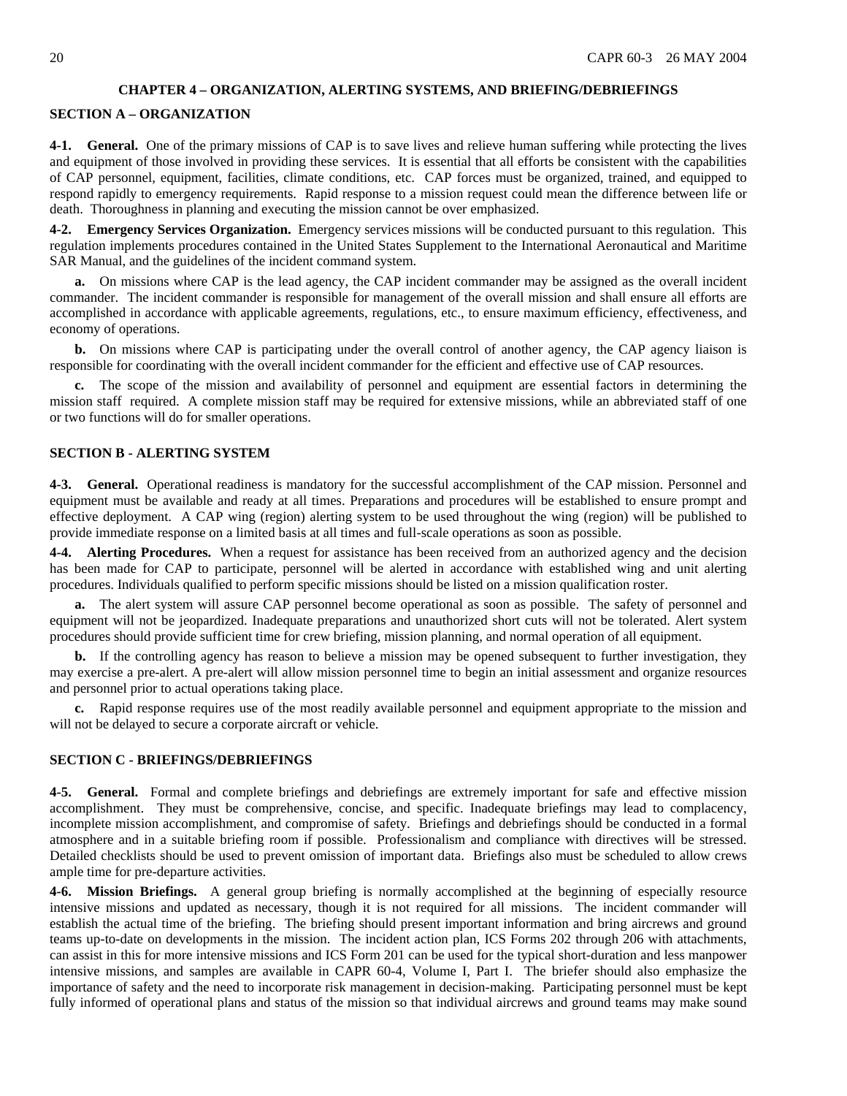#### **CHAPTER 4 – ORGANIZATION, ALERTING SYSTEMS, AND BRIEFING/DEBRIEFINGS**

### <span id="page-19-0"></span>**SECTION A – ORGANIZATION**

**4-1. General.** One of the primary missions of CAP is to save lives and relieve human suffering while protecting the lives and equipment of those involved in providing these services. It is essential that all efforts be consistent with the capabilities of CAP personnel, equipment, facilities, climate conditions, etc. CAP forces must be organized, trained, and equipped to respond rapidly to emergency requirements. Rapid response to a mission request could mean the difference between life or death. Thoroughness in planning and executing the mission cannot be over emphasized.

**4-2. Emergency Services Organization.** Emergency services missions will be conducted pursuant to this regulation. This regulation implements procedures contained in the United States Supplement to the International Aeronautical and Maritime SAR Manual, and the guidelines of the incident command system.

**a.** On missions where CAP is the lead agency, the CAP incident commander may be assigned as the overall incident commander. The incident commander is responsible for management of the overall mission and shall ensure all efforts are accomplished in accordance with applicable agreements, regulations, etc., to ensure maximum efficiency, effectiveness, and economy of operations.

**b.** On missions where CAP is participating under the overall control of another agency, the CAP agency liaison is responsible for coordinating with the overall incident commander for the efficient and effective use of CAP resources.

**c.** The scope of the mission and availability of personnel and equipment are essential factors in determining the mission staff required. A complete mission staff may be required for extensive missions, while an abbreviated staff of one or two functions will do for smaller operations.

#### **SECTION B - ALERTING SYSTEM**

**4-3. General.** Operational readiness is mandatory for the successful accomplishment of the CAP mission. Personnel and equipment must be available and ready at all times. Preparations and procedures will be established to ensure prompt and effective deployment. A CAP wing (region) alerting system to be used throughout the wing (region) will be published to provide immediate response on a limited basis at all times and full-scale operations as soon as possible.

**4-4. Alerting Procedures.** When a request for assistance has been received from an authorized agency and the decision has been made for CAP to participate, personnel will be alerted in accordance with established wing and unit alerting procedures. Individuals qualified to perform specific missions should be listed on a mission qualification roster.

**a.** The alert system will assure CAP personnel become operational as soon as possible. The safety of personnel and equipment will not be jeopardized. Inadequate preparations and unauthorized short cuts will not be tolerated. Alert system procedures should provide sufficient time for crew briefing, mission planning, and normal operation of all equipment.

**b.** If the controlling agency has reason to believe a mission may be opened subsequent to further investigation, they may exercise a pre-alert. A pre-alert will allow mission personnel time to begin an initial assessment and organize resources and personnel prior to actual operations taking place.

**c.** Rapid response requires use of the most readily available personnel and equipment appropriate to the mission and will not be delayed to secure a corporate aircraft or vehicle.

### **SECTION C - BRIEFINGS/DEBRIEFINGS**

**4-5. General.** Formal and complete briefings and debriefings are extremely important for safe and effective mission accomplishment. They must be comprehensive, concise, and specific. Inadequate briefings may lead to complacency, incomplete mission accomplishment, and compromise of safety. Briefings and debriefings should be conducted in a formal atmosphere and in a suitable briefing room if possible. Professionalism and compliance with directives will be stressed. Detailed checklists should be used to prevent omission of important data. Briefings also must be scheduled to allow crews ample time for pre-departure activities.

**4-6. Mission Briefings.** A general group briefing is normally accomplished at the beginning of especially resource intensive missions and updated as necessary, though it is not required for all missions. The incident commander will establish the actual time of the briefing. The briefing should present important information and bring aircrews and ground teams up-to-date on developments in the mission. The incident action plan, ICS Forms 202 through 206 with attachments, can assist in this for more intensive missions and ICS Form 201 can be used for the typical short-duration and less manpower intensive missions, and samples are available in CAPR 60-4, Volume I, Part I. The briefer should also emphasize the importance of safety and the need to incorporate risk management in decision-making. Participating personnel must be kept fully informed of operational plans and status of the mission so that individual aircrews and ground teams may make sound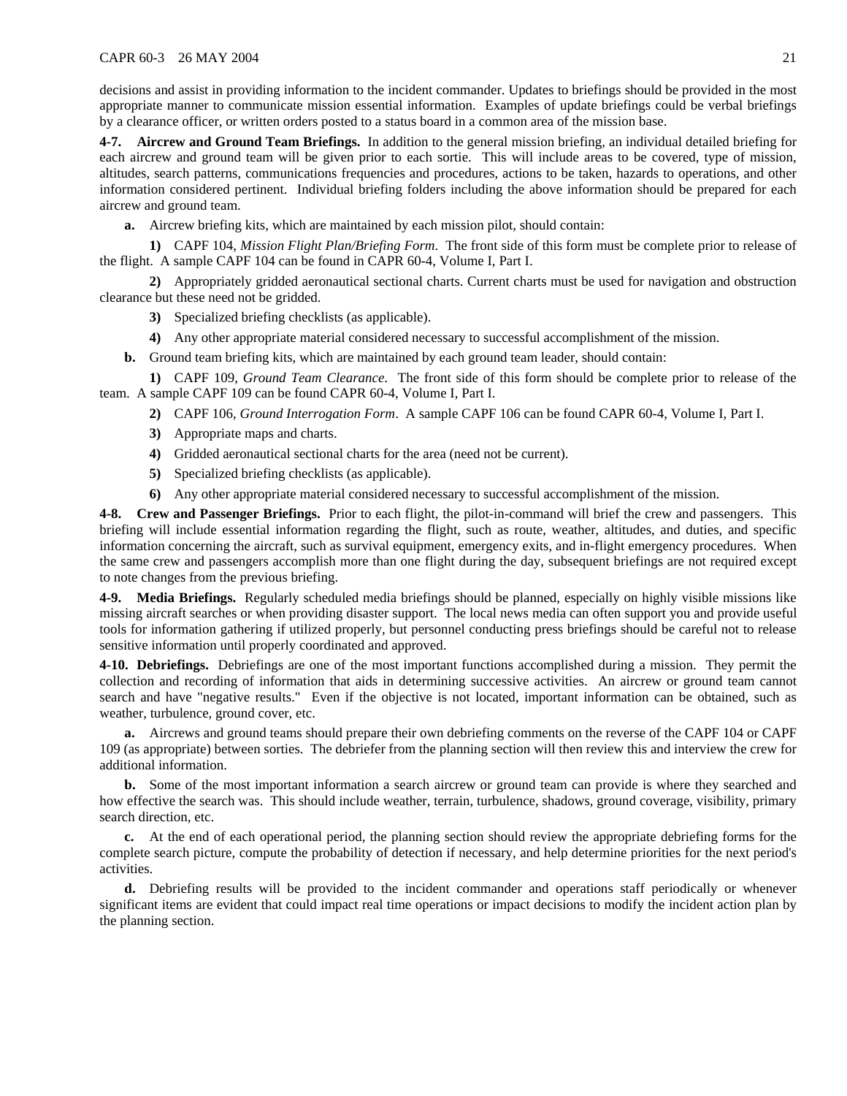decisions and assist in providing information to the incident commander. Updates to briefings should be provided in the most appropriate manner to communicate mission essential information. Examples of update briefings could be verbal briefings by a clearance officer, or written orders posted to a status board in a common area of the mission base.

**4-7. Aircrew and Ground Team Briefings.** In addition to the general mission briefing, an individual detailed briefing for each aircrew and ground team will be given prior to each sortie. This will include areas to be covered, type of mission, altitudes, search patterns, communications frequencies and procedures, actions to be taken, hazards to operations, and other information considered pertinent. Individual briefing folders including the above information should be prepared for each aircrew and ground team.

**a.** Aircrew briefing kits, which are maintained by each mission pilot, should contain:

**1)** CAPF 104, *Mission Flight Plan/Briefing Form*. The front side of this form must be complete prior to release of the flight. A sample CAPF 104 can be found in CAPR 60-4, Volume I, Part I.

**2)** Appropriately gridded aeronautical sectional charts. Current charts must be used for navigation and obstruction clearance but these need not be gridded.

- **3)** Specialized briefing checklists (as applicable).
- **4)** Any other appropriate material considered necessary to successful accomplishment of the mission.
- **b.** Ground team briefing kits, which are maintained by each ground team leader, should contain:

**1)** CAPF 109, *Ground Team Clearance*. The front side of this form should be complete prior to release of the team. A sample CAPF 109 can be found CAPR 60-4, Volume I, Part I.

- **2)** CAPF 106, *Ground Interrogation Form*. A sample CAPF 106 can be found CAPR 60-4, Volume I, Part I.
- **3)** Appropriate maps and charts.
- **4)** Gridded aeronautical sectional charts for the area (need not be current).
- **5)** Specialized briefing checklists (as applicable).
- **6)** Any other appropriate material considered necessary to successful accomplishment of the mission.

**4-8. Crew and Passenger Briefings.** Prior to each flight, the pilot-in-command will brief the crew and passengers. This briefing will include essential information regarding the flight, such as route, weather, altitudes, and duties, and specific information concerning the aircraft, such as survival equipment, emergency exits, and in-flight emergency procedures. When the same crew and passengers accomplish more than one flight during the day, subsequent briefings are not required except to note changes from the previous briefing.

**4-9. Media Briefings.** Regularly scheduled media briefings should be planned, especially on highly visible missions like missing aircraft searches or when providing disaster support. The local news media can often support you and provide useful tools for information gathering if utilized properly, but personnel conducting press briefings should be careful not to release sensitive information until properly coordinated and approved.

**4-10. Debriefings.** Debriefings are one of the most important functions accomplished during a mission. They permit the collection and recording of information that aids in determining successive activities. An aircrew or ground team cannot search and have "negative results." Even if the objective is not located, important information can be obtained, such as weather, turbulence, ground cover, etc.

**a.** Aircrews and ground teams should prepare their own debriefing comments on the reverse of the CAPF 104 or CAPF 109 (as appropriate) between sorties. The debriefer from the planning section will then review this and interview the crew for additional information.

**b.** Some of the most important information a search aircrew or ground team can provide is where they searched and how effective the search was. This should include weather, terrain, turbulence, shadows, ground coverage, visibility, primary search direction, etc.

**c.** At the end of each operational period, the planning section should review the appropriate debriefing forms for the complete search picture, compute the probability of detection if necessary, and help determine priorities for the next period's activities.

**d.** Debriefing results will be provided to the incident commander and operations staff periodically or whenever significant items are evident that could impact real time operations or impact decisions to modify the incident action plan by the planning section.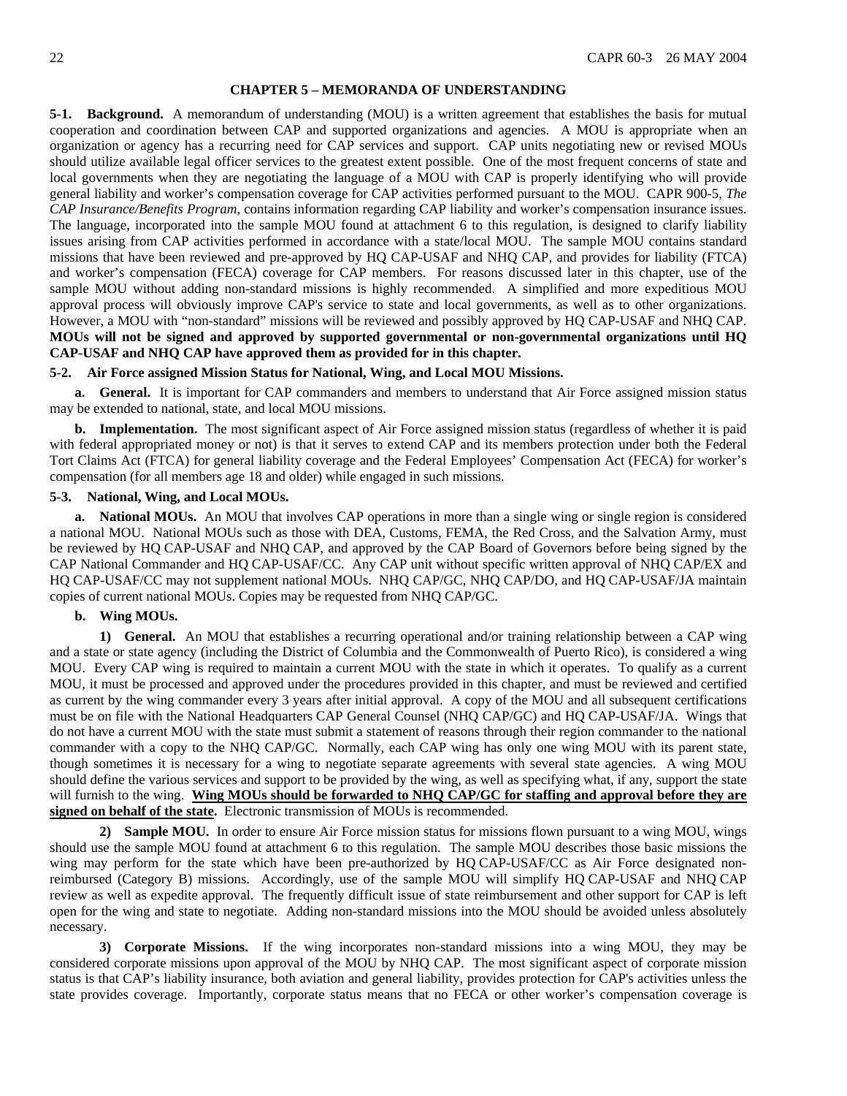#### **CHAPTER 5 – MEMORANDA OF UNDERSTANDING**

<span id="page-21-0"></span>**5-1. Background.** A memorandum of understanding (MOU) is a written agreement that establishes the basis for mutual cooperation and coordination between CAP and supported organizations and agencies. A MOU is appropriate when an organization or agency has a recurring need for CAP services and support. CAP units negotiating new or revised MOUs should utilize available legal officer services to the greatest extent possible. One of the most frequent concerns of state and local governments when they are negotiating the language of a MOU with CAP is properly identifying who will provide general liability and worker's compensation coverage for CAP activities performed pursuant to the MOU. CAPR 900-5, *The CAP Insurance/Benefits Program*, contains information regarding CAP liability and worker's compensation insurance issues. The language, incorporated into the sample MOU found at attachment 6 to this regulation, is designed to clarify liability issues arising from CAP activities performed in accordance with a state/local MOU. The sample MOU contains standard missions that have been reviewed and pre-approved by HQ CAP-USAF and NHQ CAP, and provides for liability (FTCA) and worker's compensation (FECA) coverage for CAP members. For reasons discussed later in this chapter, use of the sample MOU without adding non-standard missions is highly recommended. A simplified and more expeditious MOU approval process will obviously improve CAP's service to state and local governments, as well as to other organizations. However, a MOU with "non-standard" missions will be reviewed and possibly approved by HQ CAP-USAF and NHQ CAP. **MOUs will not be signed and approved by supported governmental or non-governmental organizations until HQ CAP-USAF and NHQ CAP have approved them as provided for in this chapter.**

#### **5-2. Air Force assigned Mission Status for National, Wing, and Local MOU Missions.**

**a. General.** It is important for CAP commanders and members to understand that Air Force assigned mission status may be extended to national, state, and local MOU missions.

**b. Implementation.** The most significant aspect of Air Force assigned mission status (regardless of whether it is paid with federal appropriated money or not) is that it serves to extend CAP and its members protection under both the Federal Tort Claims Act (FTCA) for general liability coverage and the Federal Employees' Compensation Act (FECA) for worker's compensation (for all members age 18 and older) while engaged in such missions.

### **5-3. National, Wing, and Local MOUs.**

**a. National MOUs.** An MOU that involves CAP operations in more than a single wing or single region is considered a national MOU. National MOUs such as those with DEA, Customs, FEMA, the Red Cross, and the Salvation Army, must be reviewed by HQ CAP-USAF and NHQ CAP, and approved by the CAP Board of Governors before being signed by the CAP National Commander and HQ CAP-USAF/CC. Any CAP unit without specific written approval of NHQ CAP/EX and HQ CAP-USAF/CC may not supplement national MOUs. NHQ CAP/GC, NHQ CAP/DO, and HQ CAP-USAF/JA maintain copies of current national MOUs. Copies may be requested from NHQ CAP/GC.

### **b. Wing MOUs.**

**1) General.** An MOU that establishes a recurring operational and/or training relationship between a CAP wing and a state or state agency (including the District of Columbia and the Commonwealth of Puerto Rico), is considered a wing MOU. Every CAP wing is required to maintain a current MOU with the state in which it operates. To qualify as a current MOU, it must be processed and approved under the procedures provided in this chapter, and must be reviewed and certified as current by the wing commander every 3 years after initial approval. A copy of the MOU and all subsequent certifications must be on file with the National Headquarters CAP General Counsel (NHQ CAP/GC) and HQ CAP-USAF/JA. Wings that do not have a current MOU with the state must submit a statement of reasons through their region commander to the national commander with a copy to the NHQ CAP/GC. Normally, each CAP wing has only one wing MOU with its parent state, though sometimes it is necessary for a wing to negotiate separate agreements with several state agencies. A wing MOU should define the various services and support to be provided by the wing, as well as specifying what, if any, support the state will furnish to the wing. **Wing MOUs should be forwarded to NHQ CAP/GC for staffing and approval before they are signed on behalf of the state.** Electronic transmission of MOUs is recommended.

**2) Sample MOU.** In order to ensure Air Force mission status for missions flown pursuant to a wing MOU, wings should use the sample MOU found at attachment 6 to this regulation. The sample MOU describes those basic missions the wing may perform for the state which have been pre-authorized by HQ CAP-USAF/CC as Air Force designated nonreimbursed (Category B) missions. Accordingly, use of the sample MOU will simplify HQ CAP-USAF and NHQ CAP review as well as expedite approval. The frequently difficult issue of state reimbursement and other support for CAP is left open for the wing and state to negotiate. Adding non-standard missions into the MOU should be avoided unless absolutely necessary.

**3) Corporate Missions.** If the wing incorporates non-standard missions into a wing MOU, they may be considered corporate missions upon approval of the MOU by NHQ CAP. The most significant aspect of corporate mission status is that CAP's liability insurance, both aviation and general liability, provides protection for CAP's activities unless the state provides coverage. Importantly, corporate status means that no FECA or other worker's compensation coverage is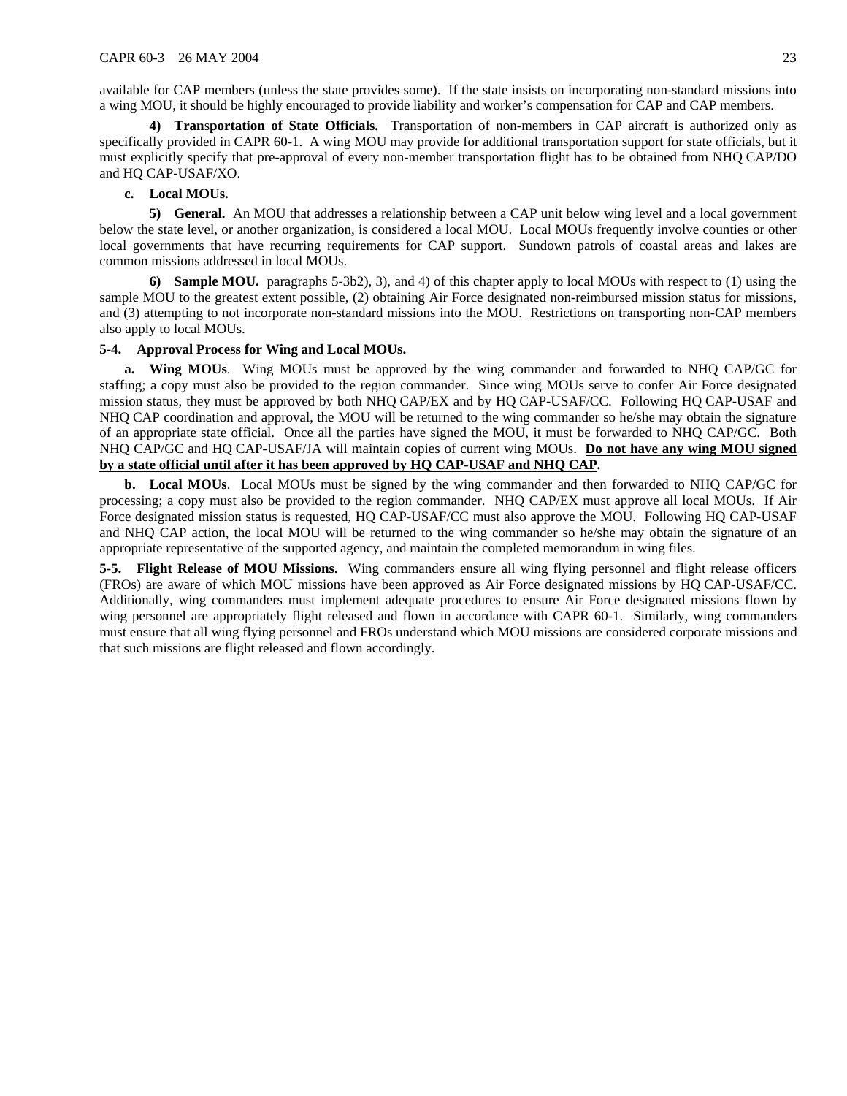available for CAP members (unless the state provides some). If the state insists on incorporating non-standard missions into a wing MOU, it should be highly encouraged to provide liability and worker's compensation for CAP and CAP members.

**4) Tran**s**portation of State Officials.** Transportation of non-members in CAP aircraft is authorized only as specifically provided in CAPR 60-1. A wing MOU may provide for additional transportation support for state officials, but it must explicitly specify that pre-approval of every non-member transportation flight has to be obtained from NHQ CAP/DO and HQ CAP-USAF/XO.

# **c. Local MOUs.**

**5) General.** An MOU that addresses a relationship between a CAP unit below wing level and a local government below the state level, or another organization, is considered a local MOU. Local MOUs frequently involve counties or other local governments that have recurring requirements for CAP support. Sundown patrols of coastal areas and lakes are common missions addressed in local MOUs.

**6) Sample MOU.** paragraphs 5-3b2), 3), and 4) of this chapter apply to local MOUs with respect to (1) using the sample MOU to the greatest extent possible, (2) obtaining Air Force designated non-reimbursed mission status for missions, and (3) attempting to not incorporate non-standard missions into the MOU. Restrictions on transporting non-CAP members also apply to local MOUs.

# **5-4. Approval Process for Wing and Local MOUs.**

**a. Wing MOUs**. Wing MOUs must be approved by the wing commander and forwarded to NHQ CAP/GC for staffing; a copy must also be provided to the region commander. Since wing MOUs serve to confer Air Force designated mission status, they must be approved by both NHQ CAP/EX and by HQ CAP-USAF/CC. Following HQ CAP-USAF and NHQ CAP coordination and approval, the MOU will be returned to the wing commander so he/she may obtain the signature of an appropriate state official. Once all the parties have signed the MOU, it must be forwarded to NHQ CAP/GC. Both NHQ CAP/GC and HQ CAP-USAF/JA will maintain copies of current wing MOUs. **Do not have any wing MOU signed by a state official until after it has been approved by HQ CAP-USAF and NHQ CAP.**

**b. Local MOUs**. Local MOUs must be signed by the wing commander and then forwarded to NHQ CAP/GC for processing; a copy must also be provided to the region commander. NHQ CAP/EX must approve all local MOUs. If Air Force designated mission status is requested, HQ CAP-USAF/CC must also approve the MOU. Following HQ CAP-USAF and NHQ CAP action, the local MOU will be returned to the wing commander so he/she may obtain the signature of an appropriate representative of the supported agency, and maintain the completed memorandum in wing files.

**5-5. Flight Release of MOU Missions.** Wing commanders ensure all wing flying personnel and flight release officers (FROs) are aware of which MOU missions have been approved as Air Force designated missions by HQ CAP-USAF/CC. Additionally, wing commanders must implement adequate procedures to ensure Air Force designated missions flown by wing personnel are appropriately flight released and flown in accordance with CAPR 60-1. Similarly, wing commanders must ensure that all wing flying personnel and FROs understand which MOU missions are considered corporate missions and that such missions are flight released and flown accordingly.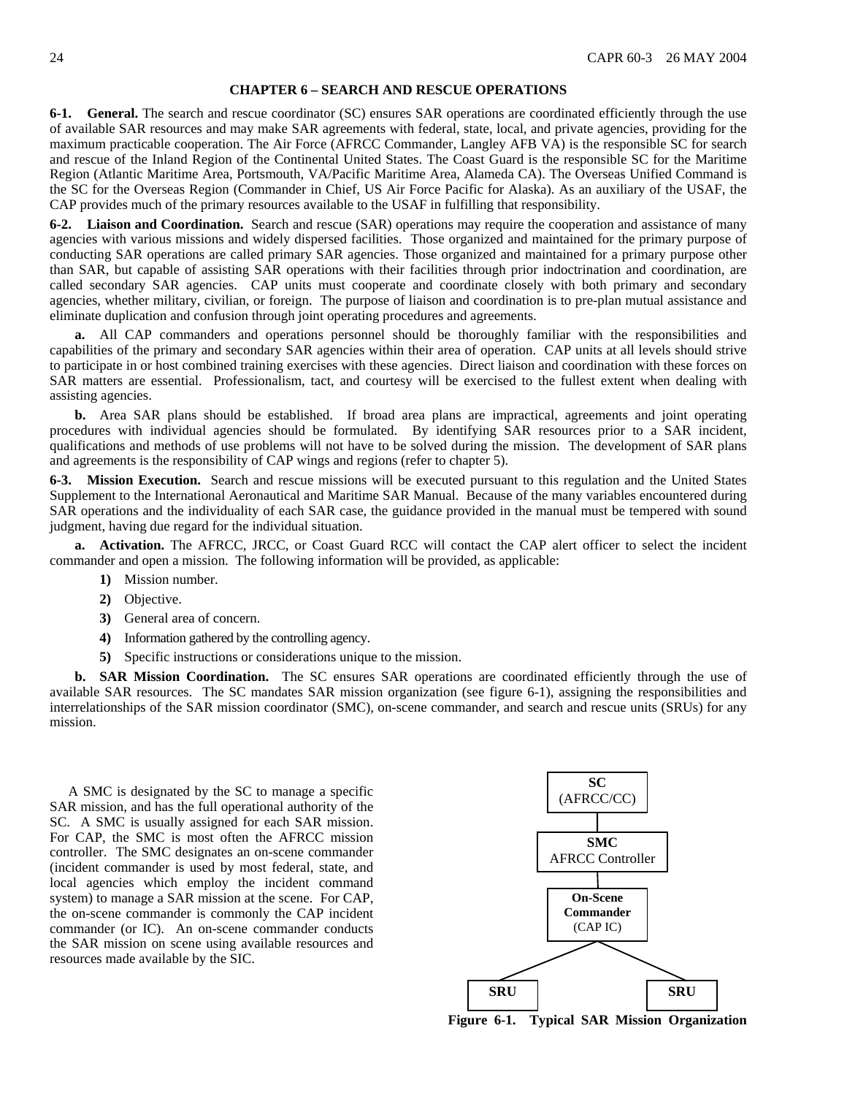#### **CHAPTER 6 – SEARCH AND RESCUE OPERATIONS**

<span id="page-23-0"></span>**6-1. General.** The search and rescue coordinator (SC) ensures SAR operations are coordinated efficiently through the use of available SAR resources and may make SAR agreements with federal, state, local, and private agencies, providing for the maximum practicable cooperation. The Air Force (AFRCC Commander, Langley AFB VA) is the responsible SC for search and rescue of the Inland Region of the Continental United States. The Coast Guard is the responsible SC for the Maritime Region (Atlantic Maritime Area, Portsmouth, VA/Pacific Maritime Area, Alameda CA). The Overseas Unified Command is the SC for the Overseas Region (Commander in Chief, US Air Force Pacific for Alaska). As an auxiliary of the USAF, the CAP provides much of the primary resources available to the USAF in fulfilling that responsibility.

**6-2. Liaison and Coordination.** Search and rescue (SAR) operations may require the cooperation and assistance of many agencies with various missions and widely dispersed facilities. Those organized and maintained for the primary purpose of conducting SAR operations are called primary SAR agencies. Those organized and maintained for a primary purpose other than SAR, but capable of assisting SAR operations with their facilities through prior indoctrination and coordination, are called secondary SAR agencies. CAP units must cooperate and coordinate closely with both primary and secondary agencies, whether military, civilian, or foreign. The purpose of liaison and coordination is to pre-plan mutual assistance and eliminate duplication and confusion through joint operating procedures and agreements.

**a.** All CAP commanders and operations personnel should be thoroughly familiar with the responsibilities and capabilities of the primary and secondary SAR agencies within their area of operation. CAP units at all levels should strive to participate in or host combined training exercises with these agencies. Direct liaison and coordination with these forces on SAR matters are essential. Professionalism, tact, and courtesy will be exercised to the fullest extent when dealing with assisting agencies.

**b.** Area SAR plans should be established. If broad area plans are impractical, agreements and joint operating procedures with individual agencies should be formulated. By identifying SAR resources prior to a SAR incident, qualifications and methods of use problems will not have to be solved during the mission. The development of SAR plans and agreements is the responsibility of CAP wings and regions (refer to chapter 5).

**6-3. Mission Execution.** Search and rescue missions will be executed pursuant to this regulation and the United States Supplement to the International Aeronautical and Maritime SAR Manual. Because of the many variables encountered during SAR operations and the individuality of each SAR case, the guidance provided in the manual must be tempered with sound judgment, having due regard for the individual situation.

**a. Activation.** The AFRCC, JRCC, or Coast Guard RCC will contact the CAP alert officer to select the incident commander and open a mission. The following information will be provided, as applicable:

- **1)** Mission number.
- **2)** Objective.
- **3)** General area of concern.
- **4)** Information gathered by the controlling agency.
- **5)** Specific instructions or considerations unique to the mission.

**b. SAR Mission Coordination.** The SC ensures SAR operations are coordinated efficiently through the use of available SAR resources. The SC mandates SAR mission organization (see figure 6-1), assigning the responsibilities and interrelationships of the SAR mission coordinator (SMC), on-scene commander, and search and rescue units (SRUs) for any mission.

A SMC is designated by the SC to manage a specific SAR mission, and has the full operational authority of the SC. A SMC is usually assigned for each SAR mission. For CAP, the SMC is most often the AFRCC mission controller. The SMC designates an on-scene commander (incident commander is used by most federal, state, and local agencies which employ the incident command system) to manage a SAR mission at the scene. For CAP, the on-scene commander is commonly the CAP incident commander (or IC). An on-scene commander conducts the SAR mission on scene using available resources and resources made available by the SIC.



**Figure 6-1. Typical SAR Mission Organization**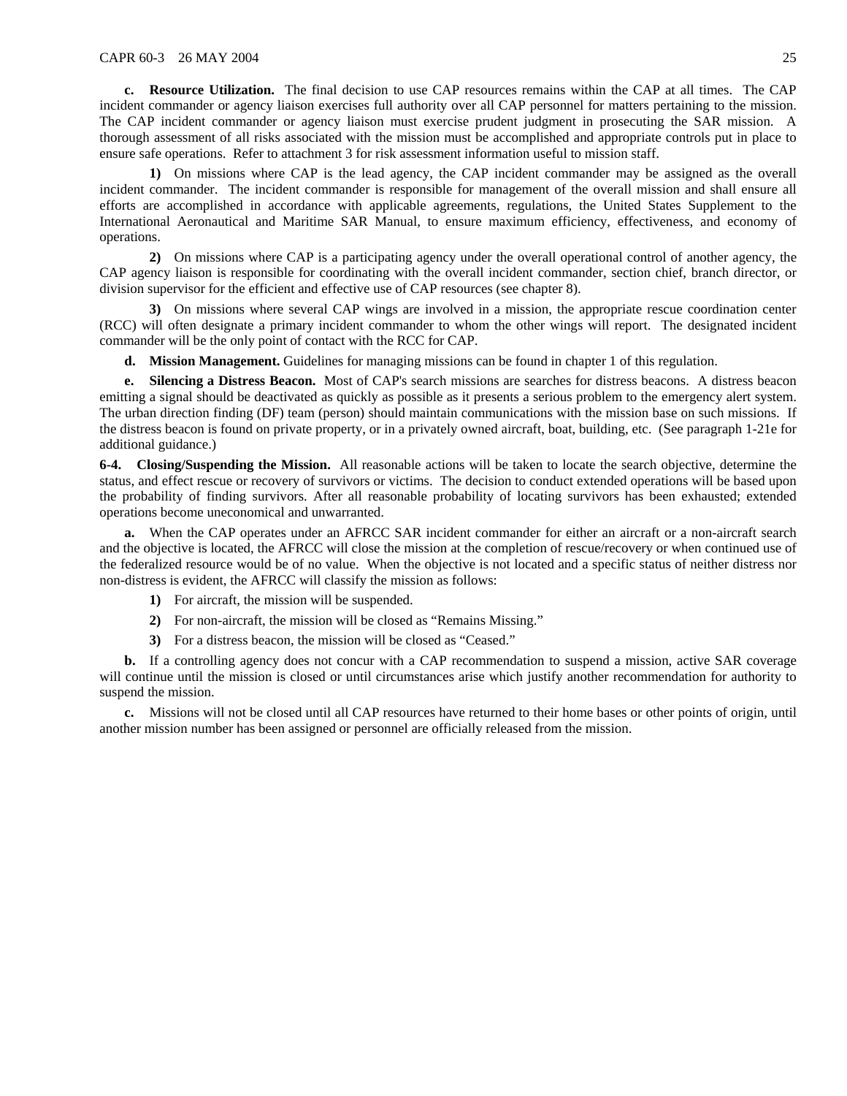**c. Resource Utilization.** The final decision to use CAP resources remains within the CAP at all times. The CAP incident commander or agency liaison exercises full authority over all CAP personnel for matters pertaining to the mission. The CAP incident commander or agency liaison must exercise prudent judgment in prosecuting the SAR mission. A thorough assessment of all risks associated with the mission must be accomplished and appropriate controls put in place to ensure safe operations. Refer to attachment 3 for risk assessment information useful to mission staff.

**1)** On missions where CAP is the lead agency, the CAP incident commander may be assigned as the overall incident commander. The incident commander is responsible for management of the overall mission and shall ensure all efforts are accomplished in accordance with applicable agreements, regulations, the United States Supplement to the International Aeronautical and Maritime SAR Manual, to ensure maximum efficiency, effectiveness, and economy of operations.

**2)** On missions where CAP is a participating agency under the overall operational control of another agency, the CAP agency liaison is responsible for coordinating with the overall incident commander, section chief, branch director, or division supervisor for the efficient and effective use of CAP resources (see chapter 8).

**3)** On missions where several CAP wings are involved in a mission, the appropriate rescue coordination center (RCC) will often designate a primary incident commander to whom the other wings will report. The designated incident commander will be the only point of contact with the RCC for CAP.

**d. Mission Management.** Guidelines for managing missions can be found in chapter 1 of this regulation.

**e. Silencing a Distress Beacon.** Most of CAP's search missions are searches for distress beacons. A distress beacon emitting a signal should be deactivated as quickly as possible as it presents a serious problem to the emergency alert system. The urban direction finding (DF) team (person) should maintain communications with the mission base on such missions. If the distress beacon is found on private property, or in a privately owned aircraft, boat, building, etc. (See paragraph 1-21e for additional guidance.)

**6-4. Closing/Suspending the Mission.** All reasonable actions will be taken to locate the search objective, determine the status, and effect rescue or recovery of survivors or victims. The decision to conduct extended operations will be based upon the probability of finding survivors. After all reasonable probability of locating survivors has been exhausted; extended operations become uneconomical and unwarranted.

**a.** When the CAP operates under an AFRCC SAR incident commander for either an aircraft or a non-aircraft search and the objective is located, the AFRCC will close the mission at the completion of rescue/recovery or when continued use of the federalized resource would be of no value. When the objective is not located and a specific status of neither distress nor non-distress is evident, the AFRCC will classify the mission as follows:

- **1)** For aircraft, the mission will be suspended.
- **2)** For non-aircraft, the mission will be closed as "Remains Missing."
- **3)** For a distress beacon, the mission will be closed as "Ceased."

**b.** If a controlling agency does not concur with a CAP recommendation to suspend a mission, active SAR coverage will continue until the mission is closed or until circumstances arise which justify another recommendation for authority to suspend the mission.

**c.** Missions will not be closed until all CAP resources have returned to their home bases or other points of origin, until another mission number has been assigned or personnel are officially released from the mission.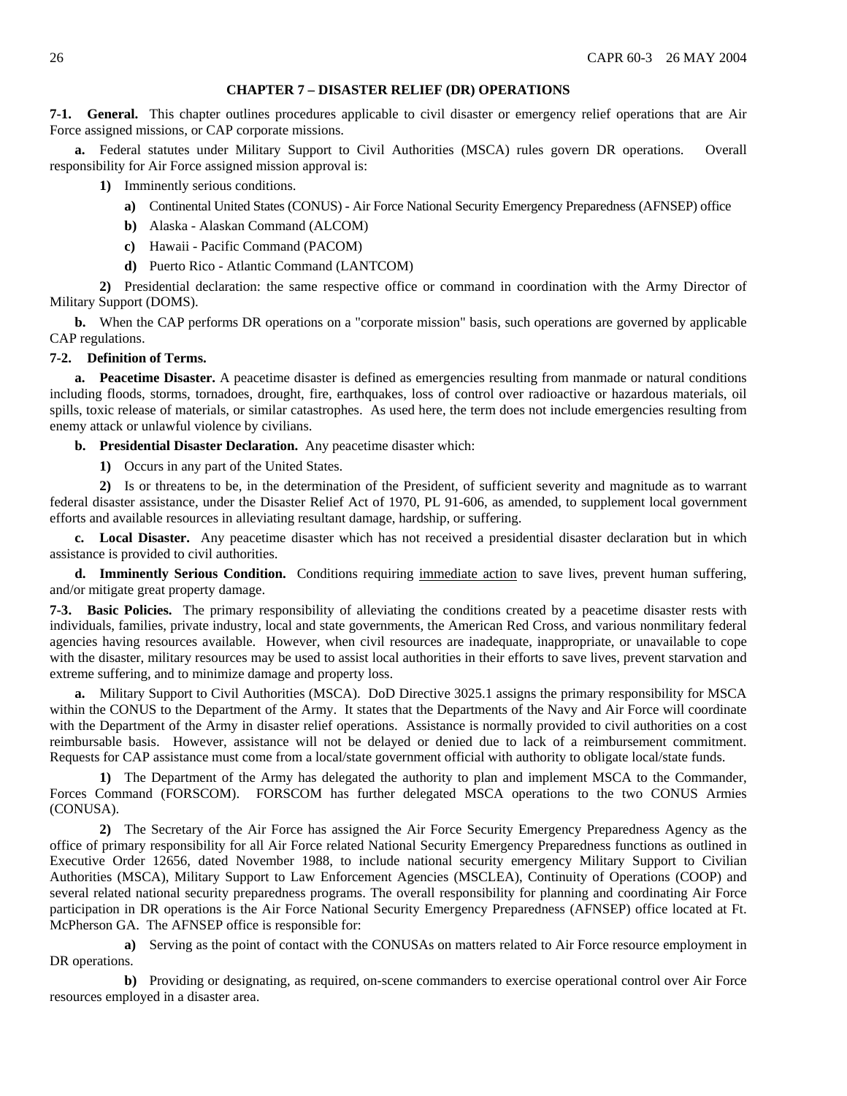### **CHAPTER 7 – DISASTER RELIEF (DR) OPERATIONS**

<span id="page-25-0"></span>**7-1. General.** This chapter outlines procedures applicable to civil disaster or emergency relief operations that are Air Force assigned missions, or CAP corporate missions.

**a.** Federal statutes under Military Support to Civil Authorities (MSCA) rules govern DR operations. Overall responsibility for Air Force assigned mission approval is:

- **1)** Imminently serious conditions.
	- **a)** Continental United States (CONUS) Air Force National Security Emergency Preparedness (AFNSEP) office
	- **b)** Alaska Alaskan Command (ALCOM)
	- **c)** Hawaii Pacific Command (PACOM)
	- **d)** Puerto Rico Atlantic Command (LANTCOM)

**2)** Presidential declaration: the same respective office or command in coordination with the Army Director of Military Support (DOMS).

**b.** When the CAP performs DR operations on a "corporate mission" basis, such operations are governed by applicable CAP regulations.

### **7-2. Definition of Terms.**

**a. Peacetime Disaster.** A peacetime disaster is defined as emergencies resulting from manmade or natural conditions including floods, storms, tornadoes, drought, fire, earthquakes, loss of control over radioactive or hazardous materials, oil spills, toxic release of materials, or similar catastrophes. As used here, the term does not include emergencies resulting from enemy attack or unlawful violence by civilians.

**b. Presidential Disaster Declaration.** Any peacetime disaster which:

**1)** Occurs in any part of the United States.

**2)** Is or threatens to be, in the determination of the President, of sufficient severity and magnitude as to warrant federal disaster assistance, under the Disaster Relief Act of 1970, PL 91-606, as amended, to supplement local government efforts and available resources in alleviating resultant damage, hardship, or suffering.

**c. Local Disaster.** Any peacetime disaster which has not received a presidential disaster declaration but in which assistance is provided to civil authorities.

**d. Imminently Serious Condition.** Conditions requiring immediate action to save lives, prevent human suffering, and/or mitigate great property damage.

**7-3. Basic Policies.** The primary responsibility of alleviating the conditions created by a peacetime disaster rests with individuals, families, private industry, local and state governments, the American Red Cross, and various nonmilitary federal agencies having resources available. However, when civil resources are inadequate, inappropriate, or unavailable to cope with the disaster, military resources may be used to assist local authorities in their efforts to save lives, prevent starvation and extreme suffering, and to minimize damage and property loss.

**a.** Military Support to Civil Authorities (MSCA). DoD Directive 3025.1 assigns the primary responsibility for MSCA within the CONUS to the Department of the Army. It states that the Departments of the Navy and Air Force will coordinate with the Department of the Army in disaster relief operations. Assistance is normally provided to civil authorities on a cost reimbursable basis. However, assistance will not be delayed or denied due to lack of a reimbursement commitment. Requests for CAP assistance must come from a local/state government official with authority to obligate local/state funds.

**1)** The Department of the Army has delegated the authority to plan and implement MSCA to the Commander, Forces Command (FORSCOM). FORSCOM has further delegated MSCA operations to the two CONUS Armies (CONUSA).

**2)** The Secretary of the Air Force has assigned the Air Force Security Emergency Preparedness Agency as the office of primary responsibility for all Air Force related National Security Emergency Preparedness functions as outlined in Executive Order 12656, dated November 1988, to include national security emergency Military Support to Civilian Authorities (MSCA), Military Support to Law Enforcement Agencies (MSCLEA), Continuity of Operations (COOP) and several related national security preparedness programs. The overall responsibility for planning and coordinating Air Force participation in DR operations is the Air Force National Security Emergency Preparedness (AFNSEP) office located at Ft. McPherson GA. The AFNSEP office is responsible for:

**a)** Serving as the point of contact with the CONUSAs on matters related to Air Force resource employment in DR operations.

**b)** Providing or designating, as required, on-scene commanders to exercise operational control over Air Force resources employed in a disaster area.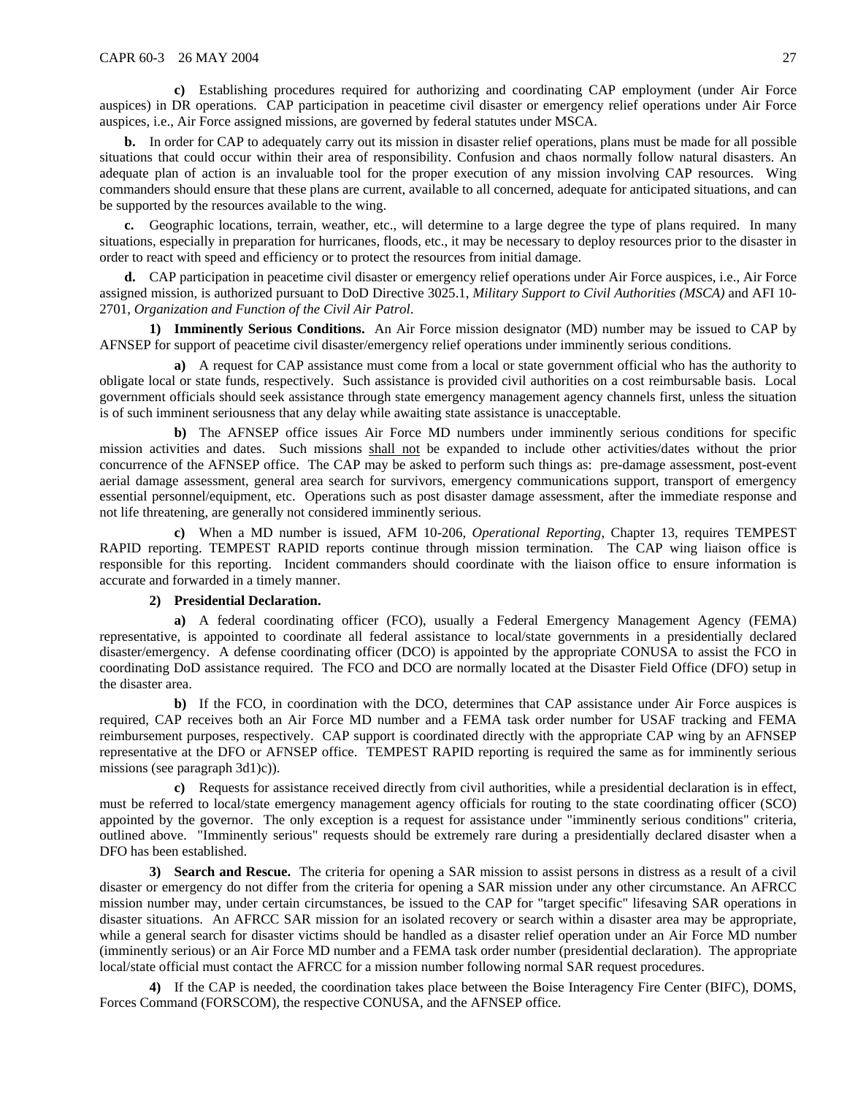**c)** Establishing procedures required for authorizing and coordinating CAP employment (under Air Force auspices) in DR operations. CAP participation in peacetime civil disaster or emergency relief operations under Air Force auspices, i.e., Air Force assigned missions, are governed by federal statutes under MSCA.

**b.** In order for CAP to adequately carry out its mission in disaster relief operations, plans must be made for all possible situations that could occur within their area of responsibility. Confusion and chaos normally follow natural disasters. An adequate plan of action is an invaluable tool for the proper execution of any mission involving CAP resources. Wing commanders should ensure that these plans are current, available to all concerned, adequate for anticipated situations, and can be supported by the resources available to the wing.

**c.** Geographic locations, terrain, weather, etc., will determine to a large degree the type of plans required. In many situations, especially in preparation for hurricanes, floods, etc., it may be necessary to deploy resources prior to the disaster in order to react with speed and efficiency or to protect the resources from initial damage.

**d.** CAP participation in peacetime civil disaster or emergency relief operations under Air Force auspices, i.e., Air Force assigned mission, is authorized pursuant to DoD Directive 3025.1, *Military Support to Civil Authorities (MSCA)* and AFI 10- 2701, *Organization and Function of the Civil Air Patrol*.

**1) Imminently Serious Conditions.** An Air Force mission designator (MD) number may be issued to CAP by AFNSEP for support of peacetime civil disaster/emergency relief operations under imminently serious conditions.

**a)** A request for CAP assistance must come from a local or state government official who has the authority to obligate local or state funds, respectively. Such assistance is provided civil authorities on a cost reimbursable basis. Local government officials should seek assistance through state emergency management agency channels first, unless the situation is of such imminent seriousness that any delay while awaiting state assistance is unacceptable.

**b**) The AFNSEP office issues Air Force MD numbers under imminently serious conditions for specific mission activities and dates. Such missions shall not be expanded to include other activities/dates without the prior concurrence of the AFNSEP office. The CAP may be asked to perform such things as: pre-damage assessment, post-event aerial damage assessment, general area search for survivors, emergency communications support, transport of emergency essential personnel/equipment, etc. Operations such as post disaster damage assessment, after the immediate response and not life threatening, are generally not considered imminently serious.

**c)** When a MD number is issued, AFM 10-206, *Operational Reporting*, Chapter 13, requires TEMPEST RAPID reporting. TEMPEST RAPID reports continue through mission termination. The CAP wing liaison office is responsible for this reporting. Incident commanders should coordinate with the liaison office to ensure information is accurate and forwarded in a timely manner.

### **2) Presidential Declaration.**

**a)** A federal coordinating officer (FCO), usually a Federal Emergency Management Agency (FEMA) representative, is appointed to coordinate all federal assistance to local/state governments in a presidentially declared disaster/emergency. A defense coordinating officer (DCO) is appointed by the appropriate CONUSA to assist the FCO in coordinating DoD assistance required. The FCO and DCO are normally located at the Disaster Field Office (DFO) setup in the disaster area.

**b**) If the FCO, in coordination with the DCO, determines that CAP assistance under Air Force auspices is required, CAP receives both an Air Force MD number and a FEMA task order number for USAF tracking and FEMA reimbursement purposes, respectively. CAP support is coordinated directly with the appropriate CAP wing by an AFNSEP representative at the DFO or AFNSEP office. TEMPEST RAPID reporting is required the same as for imminently serious missions (see paragraph 3d1)c)).

**c)** Requests for assistance received directly from civil authorities, while a presidential declaration is in effect, must be referred to local/state emergency management agency officials for routing to the state coordinating officer (SCO) appointed by the governor. The only exception is a request for assistance under "imminently serious conditions" criteria, outlined above. "Imminently serious" requests should be extremely rare during a presidentially declared disaster when a DFO has been established.

**3) Search and Rescue.** The criteria for opening a SAR mission to assist persons in distress as a result of a civil disaster or emergency do not differ from the criteria for opening a SAR mission under any other circumstance. An AFRCC mission number may, under certain circumstances, be issued to the CAP for "target specific" lifesaving SAR operations in disaster situations. An AFRCC SAR mission for an isolated recovery or search within a disaster area may be appropriate, while a general search for disaster victims should be handled as a disaster relief operation under an Air Force MD number (imminently serious) or an Air Force MD number and a FEMA task order number (presidential declaration). The appropriate local/state official must contact the AFRCC for a mission number following normal SAR request procedures.

**4)** If the CAP is needed, the coordination takes place between the Boise Interagency Fire Center (BIFC), DOMS, Forces Command (FORSCOM), the respective CONUSA, and the AFNSEP office.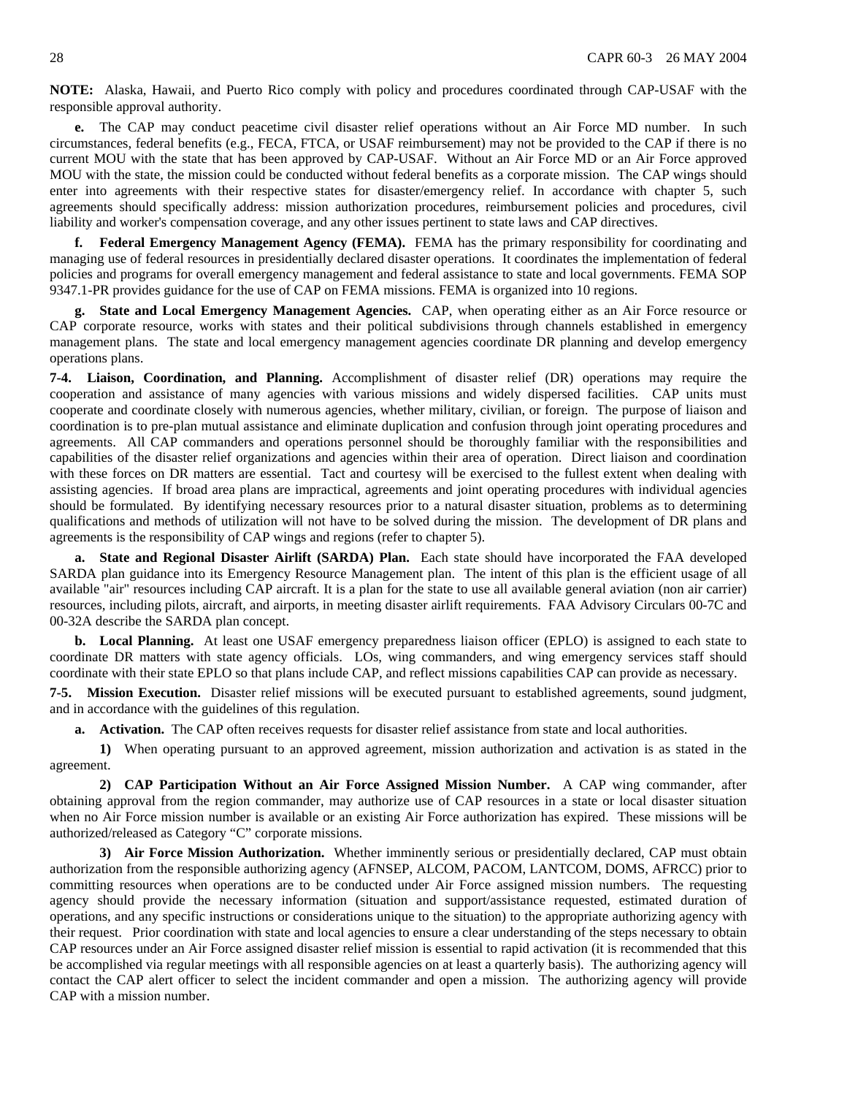**NOTE:** Alaska, Hawaii, and Puerto Rico comply with policy and procedures coordinated through CAP-USAF with the responsible approval authority.

The CAP may conduct peacetime civil disaster relief operations without an Air Force MD number. In such circumstances, federal benefits (e.g., FECA, FTCA, or USAF reimbursement) may not be provided to the CAP if there is no current MOU with the state that has been approved by CAP-USAF. Without an Air Force MD or an Air Force approved MOU with the state, the mission could be conducted without federal benefits as a corporate mission. The CAP wings should enter into agreements with their respective states for disaster/emergency relief. In accordance with chapter 5, such agreements should specifically address: mission authorization procedures, reimbursement policies and procedures, civil liability and worker's compensation coverage, and any other issues pertinent to state laws and CAP directives.

**f. Federal Emergency Management Agency (FEMA).** FEMA has the primary responsibility for coordinating and managing use of federal resources in presidentially declared disaster operations. It coordinates the implementation of federal policies and programs for overall emergency management and federal assistance to state and local governments. FEMA SOP 9347.1-PR provides guidance for the use of CAP on FEMA missions. FEMA is organized into 10 regions.

**g. State and Local Emergency Management Agencies.** CAP, when operating either as an Air Force resource or CAP corporate resource, works with states and their political subdivisions through channels established in emergency management plans. The state and local emergency management agencies coordinate DR planning and develop emergency operations plans.

**7-4. Liaison, Coordination, and Planning.** Accomplishment of disaster relief (DR) operations may require the cooperation and assistance of many agencies with various missions and widely dispersed facilities. CAP units must cooperate and coordinate closely with numerous agencies, whether military, civilian, or foreign. The purpose of liaison and coordination is to pre-plan mutual assistance and eliminate duplication and confusion through joint operating procedures and agreements. All CAP commanders and operations personnel should be thoroughly familiar with the responsibilities and capabilities of the disaster relief organizations and agencies within their area of operation. Direct liaison and coordination with these forces on DR matters are essential. Tact and courtesy will be exercised to the fullest extent when dealing with assisting agencies. If broad area plans are impractical, agreements and joint operating procedures with individual agencies should be formulated. By identifying necessary resources prior to a natural disaster situation, problems as to determining qualifications and methods of utilization will not have to be solved during the mission. The development of DR plans and agreements is the responsibility of CAP wings and regions (refer to chapter 5).

**a. State and Regional Disaster Airlift (SARDA) Plan.** Each state should have incorporated the FAA developed SARDA plan guidance into its Emergency Resource Management plan. The intent of this plan is the efficient usage of all available "air" resources including CAP aircraft. It is a plan for the state to use all available general aviation (non air carrier) resources, including pilots, aircraft, and airports, in meeting disaster airlift requirements. FAA Advisory Circulars 00-7C and 00-32A describe the SARDA plan concept.

**b. Local Planning.** At least one USAF emergency preparedness liaison officer (EPLO) is assigned to each state to coordinate DR matters with state agency officials. LOs, wing commanders, and wing emergency services staff should coordinate with their state EPLO so that plans include CAP, and reflect missions capabilities CAP can provide as necessary.

**7-5. Mission Execution.** Disaster relief missions will be executed pursuant to established agreements, sound judgment, and in accordance with the guidelines of this regulation.

**a. Activation.** The CAP often receives requests for disaster relief assistance from state and local authorities.

**1)** When operating pursuant to an approved agreement, mission authorization and activation is as stated in the agreement.

**2) CAP Participation Without an Air Force Assigned Mission Number.** A CAP wing commander, after obtaining approval from the region commander, may authorize use of CAP resources in a state or local disaster situation when no Air Force mission number is available or an existing Air Force authorization has expired. These missions will be authorized/released as Category "C" corporate missions.

**3) Air Force Mission Authorization.** Whether imminently serious or presidentially declared, CAP must obtain authorization from the responsible authorizing agency (AFNSEP, ALCOM, PACOM, LANTCOM, DOMS, AFRCC) prior to committing resources when operations are to be conducted under Air Force assigned mission numbers. The requesting agency should provide the necessary information (situation and support/assistance requested, estimated duration of operations, and any specific instructions or considerations unique to the situation) to the appropriate authorizing agency with their request. Prior coordination with state and local agencies to ensure a clear understanding of the steps necessary to obtain CAP resources under an Air Force assigned disaster relief mission is essential to rapid activation (it is recommended that this be accomplished via regular meetings with all responsible agencies on at least a quarterly basis). The authorizing agency will contact the CAP alert officer to select the incident commander and open a mission. The authorizing agency will provide CAP with a mission number.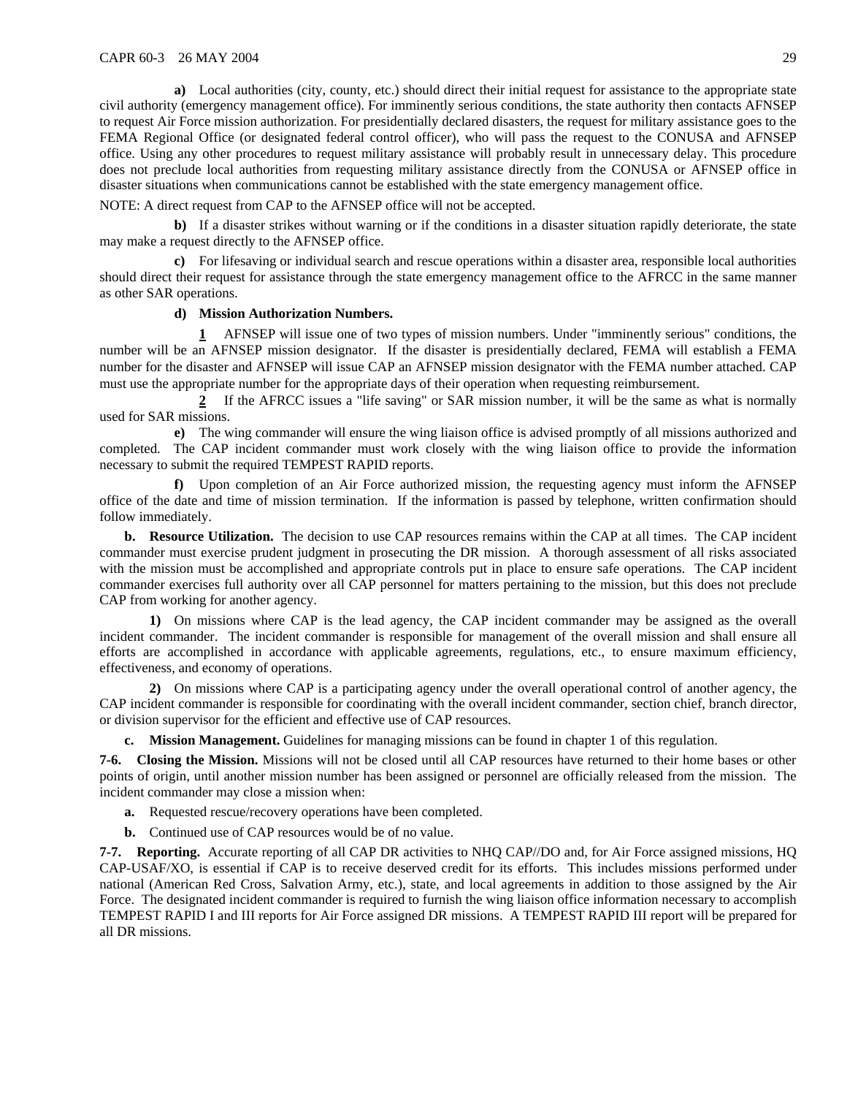**a)** Local authorities (city, county, etc.) should direct their initial request for assistance to the appropriate state civil authority (emergency management office). For imminently serious conditions, the state authority then contacts AFNSEP to request Air Force mission authorization. For presidentially declared disasters, the request for military assistance goes to the FEMA Regional Office (or designated federal control officer), who will pass the request to the CONUSA and AFNSEP office. Using any other procedures to request military assistance will probably result in unnecessary delay. This procedure does not preclude local authorities from requesting military assistance directly from the CONUSA or AFNSEP office in disaster situations when communications cannot be established with the state emergency management office.

NOTE: A direct request from CAP to the AFNSEP office will not be accepted.

**b**) If a disaster strikes without warning or if the conditions in a disaster situation rapidly deteriorate, the state may make a request directly to the AFNSEP office.

**c)** For lifesaving or individual search and rescue operations within a disaster area, responsible local authorities should direct their request for assistance through the state emergency management office to the AFRCC in the same manner as other SAR operations.

#### **d) Mission Authorization Numbers.**

**1** AFNSEP will issue one of two types of mission numbers. Under "imminently serious" conditions, the number will be an AFNSEP mission designator. If the disaster is presidentially declared, FEMA will establish a FEMA number for the disaster and AFNSEP will issue CAP an AFNSEP mission designator with the FEMA number attached. CAP must use the appropriate number for the appropriate days of their operation when requesting reimbursement.

**2** If the AFRCC issues a "life saving" or SAR mission number, it will be the same as what is normally used for SAR missions.

**e)** The wing commander will ensure the wing liaison office is advised promptly of all missions authorized and completed. The CAP incident commander must work closely with the wing liaison office to provide the information necessary to submit the required TEMPEST RAPID reports.

**f)** Upon completion of an Air Force authorized mission, the requesting agency must inform the AFNSEP office of the date and time of mission termination. If the information is passed by telephone, written confirmation should follow immediately.

**b. Resource Utilization.** The decision to use CAP resources remains within the CAP at all times. The CAP incident commander must exercise prudent judgment in prosecuting the DR mission. A thorough assessment of all risks associated with the mission must be accomplished and appropriate controls put in place to ensure safe operations. The CAP incident commander exercises full authority over all CAP personnel for matters pertaining to the mission, but this does not preclude CAP from working for another agency.

**1)** On missions where CAP is the lead agency, the CAP incident commander may be assigned as the overall incident commander. The incident commander is responsible for management of the overall mission and shall ensure all efforts are accomplished in accordance with applicable agreements, regulations, etc., to ensure maximum efficiency, effectiveness, and economy of operations.

**2)** On missions where CAP is a participating agency under the overall operational control of another agency, the CAP incident commander is responsible for coordinating with the overall incident commander, section chief, branch director, or division supervisor for the efficient and effective use of CAP resources.

**c. Mission Management.** Guidelines for managing missions can be found in chapter 1 of this regulation.

**7-6. Closing the Mission.** Missions will not be closed until all CAP resources have returned to their home bases or other points of origin, until another mission number has been assigned or personnel are officially released from the mission. The incident commander may close a mission when:

**a.** Requested rescue/recovery operations have been completed.

**b.** Continued use of CAP resources would be of no value.

**7-7. Reporting.** Accurate reporting of all CAP DR activities to NHQ CAP//DO and, for Air Force assigned missions, HQ CAP-USAF/XO, is essential if CAP is to receive deserved credit for its efforts. This includes missions performed under national (American Red Cross, Salvation Army, etc.), state, and local agreements in addition to those assigned by the Air Force. The designated incident commander is required to furnish the wing liaison office information necessary to accomplish TEMPEST RAPID I and III reports for Air Force assigned DR missions. A TEMPEST RAPID III report will be prepared for all DR missions.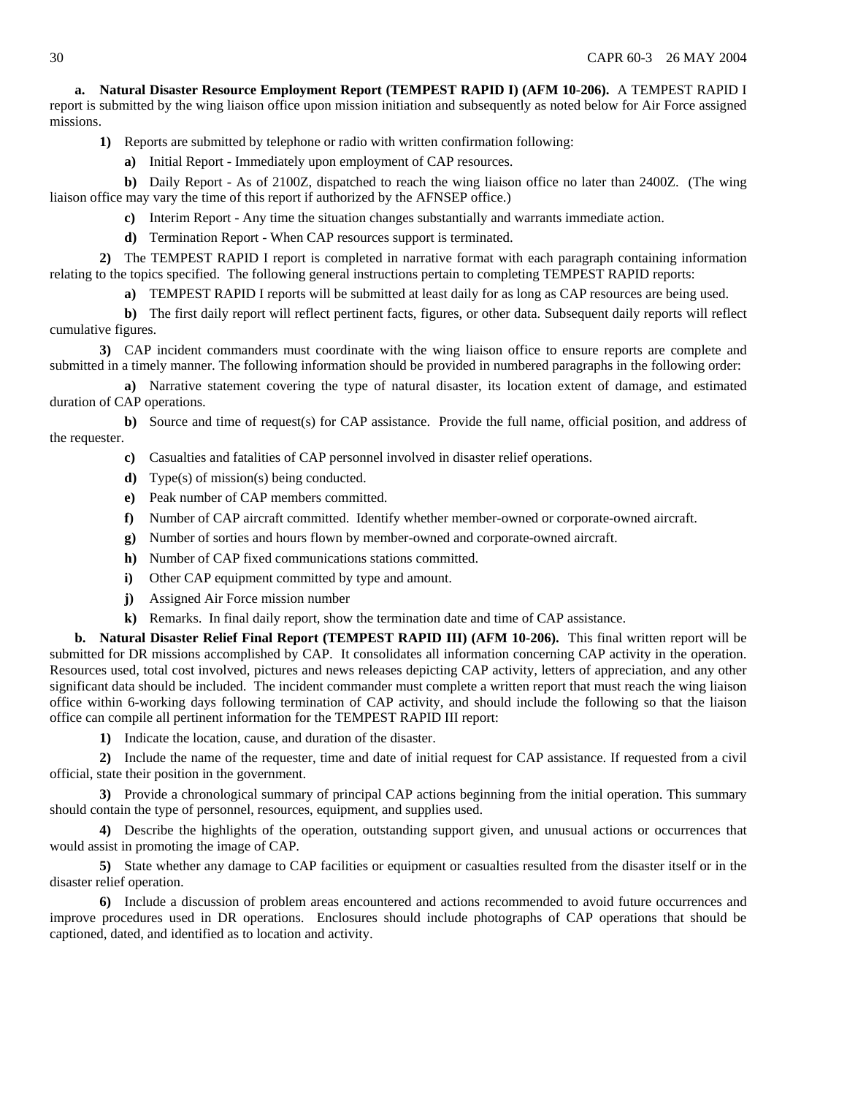**a. Natural Disaster Resource Employment Report (TEMPEST RAPID I) (AFM 10-206).** A TEMPEST RAPID I report is submitted by the wing liaison office upon mission initiation and subsequently as noted below for Air Force assigned missions.

- **1)** Reports are submitted by telephone or radio with written confirmation following:
	- **a)** Initial Report Immediately upon employment of CAP resources.

**b)** Daily Report - As of 2100Z, dispatched to reach the wing liaison office no later than 2400Z. (The wing liaison office may vary the time of this report if authorized by the AFNSEP office.)

- **c)** Interim Report Any time the situation changes substantially and warrants immediate action.
- **d)** Termination Report When CAP resources support is terminated.

**2)** The TEMPEST RAPID I report is completed in narrative format with each paragraph containing information relating to the topics specified. The following general instructions pertain to completing TEMPEST RAPID reports:

**a)** TEMPEST RAPID I reports will be submitted at least daily for as long as CAP resources are being used.

**b)** The first daily report will reflect pertinent facts, figures, or other data. Subsequent daily reports will reflect cumulative figures.

**3)** CAP incident commanders must coordinate with the wing liaison office to ensure reports are complete and submitted in a timely manner. The following information should be provided in numbered paragraphs in the following order:

**a)** Narrative statement covering the type of natural disaster, its location extent of damage, and estimated duration of CAP operations.

**b)** Source and time of request(s) for CAP assistance. Provide the full name, official position, and address of the requester.

- **c)** Casualties and fatalities of CAP personnel involved in disaster relief operations.
- **d)** Type(s) of mission(s) being conducted.
- **e)** Peak number of CAP members committed.
- **f)** Number of CAP aircraft committed. Identify whether member-owned or corporate-owned aircraft.
- **g)** Number of sorties and hours flown by member-owned and corporate-owned aircraft.
- **h)** Number of CAP fixed communications stations committed.
- **i)** Other CAP equipment committed by type and amount.
- **j)** Assigned Air Force mission number
- **k)** Remarks. In final daily report, show the termination date and time of CAP assistance.

**b. Natural Disaster Relief Final Report (TEMPEST RAPID III) (AFM 10-206).** This final written report will be submitted for DR missions accomplished by CAP. It consolidates all information concerning CAP activity in the operation. Resources used, total cost involved, pictures and news releases depicting CAP activity, letters of appreciation, and any other significant data should be included. The incident commander must complete a written report that must reach the wing liaison office within 6-working days following termination of CAP activity, and should include the following so that the liaison office can compile all pertinent information for the TEMPEST RAPID III report:

**1)** Indicate the location, cause, and duration of the disaster.

**2)** Include the name of the requester, time and date of initial request for CAP assistance. If requested from a civil official, state their position in the government.

**3)** Provide a chronological summary of principal CAP actions beginning from the initial operation. This summary should contain the type of personnel, resources, equipment, and supplies used.

**4)** Describe the highlights of the operation, outstanding support given, and unusual actions or occurrences that would assist in promoting the image of CAP.

**5)** State whether any damage to CAP facilities or equipment or casualties resulted from the disaster itself or in the disaster relief operation.

**6)** Include a discussion of problem areas encountered and actions recommended to avoid future occurrences and improve procedures used in DR operations. Enclosures should include photographs of CAP operations that should be captioned, dated, and identified as to location and activity.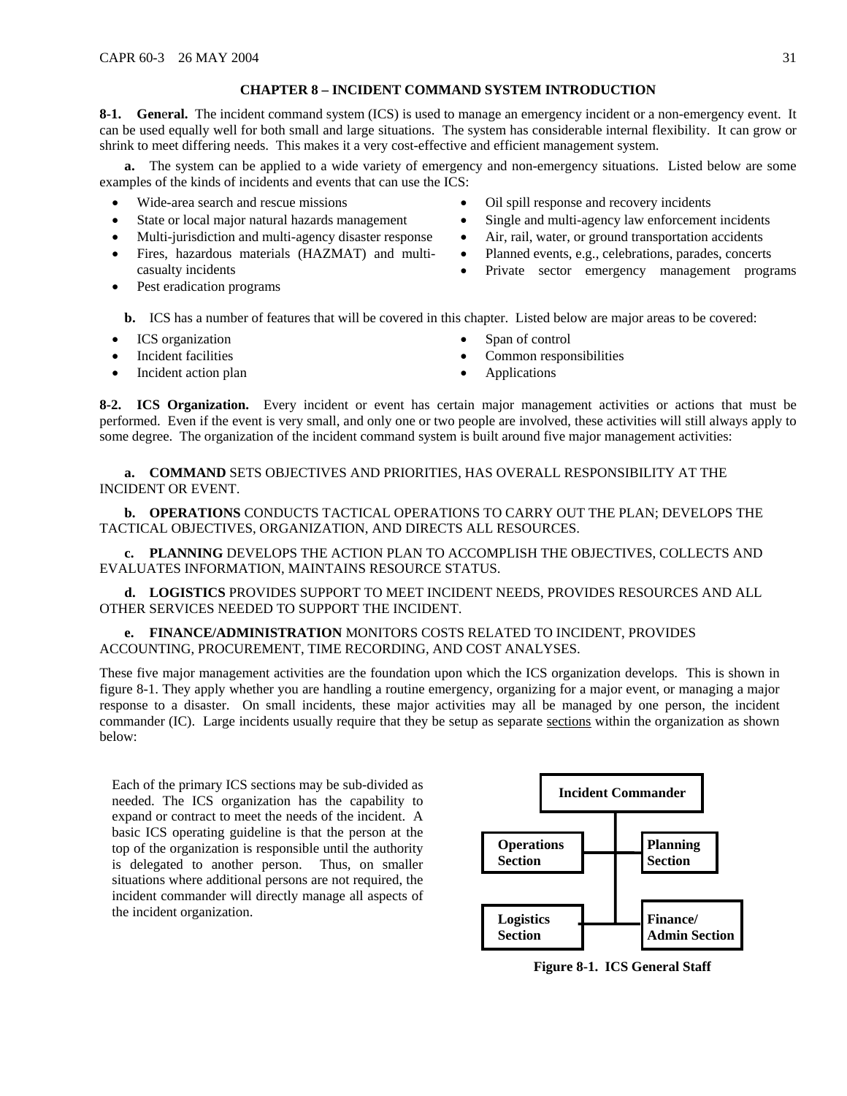### **CHAPTER 8 – INCIDENT COMMAND SYSTEM INTRODUCTION**

<span id="page-30-0"></span>**8-1.** General. The incident command system (ICS) is used to manage an emergency incident or a non-emergency event. It can be used equally well for both small and large situations. The system has considerable internal flexibility. It can grow or shrink to meet differing needs. This makes it a very cost-effective and efficient management system.

**a.** The system can be applied to a wide variety of emergency and non-emergency situations. Listed below are some examples of the kinds of incidents and events that can use the ICS:

- Wide-area search and rescue missions
- State or local major natural hazards management
- Multi-jurisdiction and multi-agency disaster response
- Fires, hazardous materials (HAZMAT) and multicasualty incidents
- Oil spill response and recovery incidents
- Single and multi-agency law enforcement incidents
- Air, rail, water, or ground transportation accidents
- Planned events, e.g., celebrations, parades, concerts
- Private sector emergency management programs
- Pest eradication programs
	- **b.** ICS has a number of features that will be covered in this chapter. Listed below are major areas to be covered:
- ICS organization
- Incident facilities
- Incident action plan
- Span of control
- Common responsibilities
- Applications

**8-2. ICS Organization.** Every incident or event has certain major management activities or actions that must be performed. Even if the event is very small, and only one or two people are involved, these activities will still always apply to some degree. The organization of the incident command system is built around five major management activities:

**a. COMMAND** SETS OBJECTIVES AND PRIORITIES, HAS OVERALL RESPONSIBILITY AT THE INCIDENT OR EVENT.

**b. OPERATIONS** CONDUCTS TACTICAL OPERATIONS TO CARRY OUT THE PLAN; DEVELOPS THE TACTICAL OBJECTIVES, ORGANIZATION, AND DIRECTS ALL RESOURCES.

**c. PLANNING** DEVELOPS THE ACTION PLAN TO ACCOMPLISH THE OBJECTIVES, COLLECTS AND EVALUATES INFORMATION, MAINTAINS RESOURCE STATUS.

**d. LOGISTICS** PROVIDES SUPPORT TO MEET INCIDENT NEEDS, PROVIDES RESOURCES AND ALL OTHER SERVICES NEEDED TO SUPPORT THE INCIDENT.

**e. FINANCE/ADMINISTRATION** MONITORS COSTS RELATED TO INCIDENT, PROVIDES ACCOUNTING, PROCUREMENT, TIME RECORDING, AND COST ANALYSES.

These five major management activities are the foundation upon which the ICS organization develops. This is shown in figure 8-1. They apply whether you are handling a routine emergency, organizing for a major event, or managing a major response to a disaster. On small incidents, these major activities may all be managed by one person, the incident commander (IC). Large incidents usually require that they be setup as separate sections within the organization as shown below:

Each of the primary ICS sections may be sub-divided as needed. The ICS organization has the capability to expand or contract to meet the needs of the incident. A basic ICS operating guideline is that the person at the top of the organization is responsible until the authority is delegated to another person. Thus, on smaller situations where additional persons are not required, the incident commander will directly manage all aspects of the incident organization.



**Figure 8-1. ICS General Staff**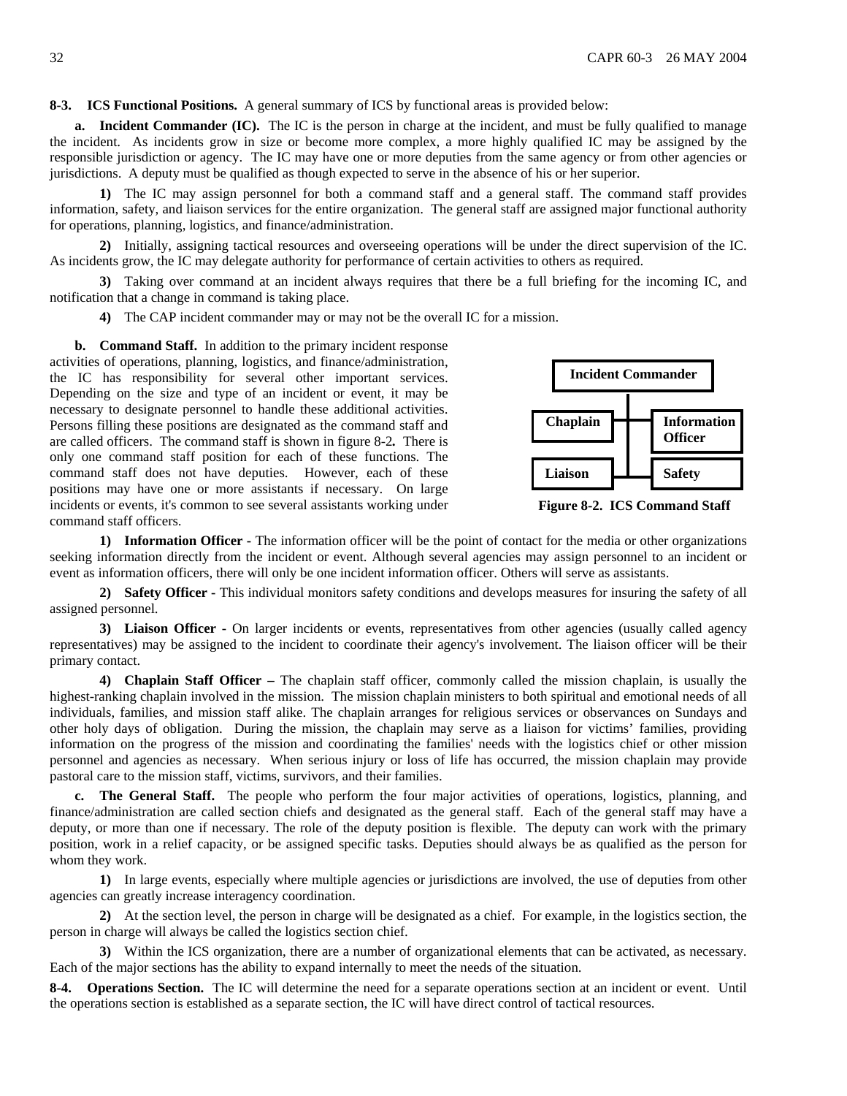**8-3. ICS Functional Positions.** A general summary of ICS by functional areas is provided below:

**a. Incident Commander (IC).** The IC is the person in charge at the incident, and must be fully qualified to manage the incident. As incidents grow in size or become more complex, a more highly qualified IC may be assigned by the responsible jurisdiction or agency. The IC may have one or more deputies from the same agency or from other agencies or jurisdictions. A deputy must be qualified as though expected to serve in the absence of his or her superior.

**1)** The IC may assign personnel for both a command staff and a general staff. The command staff provides information, safety, and liaison services for the entire organization. The general staff are assigned major functional authority for operations, planning, logistics, and finance/administration.

**2)** Initially, assigning tactical resources and overseeing operations will be under the direct supervision of the IC. As incidents grow, the IC may delegate authority for performance of certain activities to others as required.

**3)** Taking over command at an incident always requires that there be a full briefing for the incoming IC, and notification that a change in command is taking place.

**4)** The CAP incident commander may or may not be the overall IC for a mission.

**b. Command Staff.** In addition to the primary incident response activities of operations, planning, logistics, and finance/administration, the IC has responsibility for several other important services. Depending on the size and type of an incident or event, it may be necessary to designate personnel to handle these additional activities. Persons filling these positions are designated as the command staff and are called officers. The command staff is shown in figure 8-2*.* There is only one command staff position for each of these functions. The command staff does not have deputies. However, each of these positions may have one or more assistants if necessary. On large incidents or events, it's common to see several assistants working under command staff officers.



 **Figure 8-2. ICS Command Staff**

**1) Information Officer -** The information officer will be the point of contact for the media or other organizations seeking information directly from the incident or event. Although several agencies may assign personnel to an incident or event as information officers, there will only be one incident information officer. Others will serve as assistants.

**2) Safety Officer -** This individual monitors safety conditions and develops measures for insuring the safety of all assigned personnel.

**3) Liaison Officer -** On larger incidents or events, representatives from other agencies (usually called agency representatives) may be assigned to the incident to coordinate their agency's involvement. The liaison officer will be their primary contact.

**4) Chaplain Staff Officer –** The chaplain staff officer, commonly called the mission chaplain, is usually the highest-ranking chaplain involved in the mission. The mission chaplain ministers to both spiritual and emotional needs of all individuals, families, and mission staff alike. The chaplain arranges for religious services or observances on Sundays and other holy days of obligation. During the mission, the chaplain may serve as a liaison for victims' families, providing information on the progress of the mission and coordinating the families' needs with the logistics chief or other mission personnel and agencies as necessary. When serious injury or loss of life has occurred, the mission chaplain may provide pastoral care to the mission staff, victims, survivors, and their families.

**c. The General Staff.** The people who perform the four major activities of operations, logistics, planning, and finance/administration are called section chiefs and designated as the general staff. Each of the general staff may have a deputy, or more than one if necessary. The role of the deputy position is flexible. The deputy can work with the primary position, work in a relief capacity, or be assigned specific tasks. Deputies should always be as qualified as the person for whom they work.

**1)** In large events, especially where multiple agencies or jurisdictions are involved, the use of deputies from other agencies can greatly increase interagency coordination.

**2)** At the section level, the person in charge will be designated as a chief. For example, in the logistics section, the person in charge will always be called the logistics section chief.

**3)** Within the ICS organization, there are a number of organizational elements that can be activated, as necessary. Each of the major sections has the ability to expand internally to meet the needs of the situation.

**8-4. Operations Section.** The IC will determine the need for a separate operations section at an incident or event. Until the operations section is established as a separate section, the IC will have direct control of tactical resources.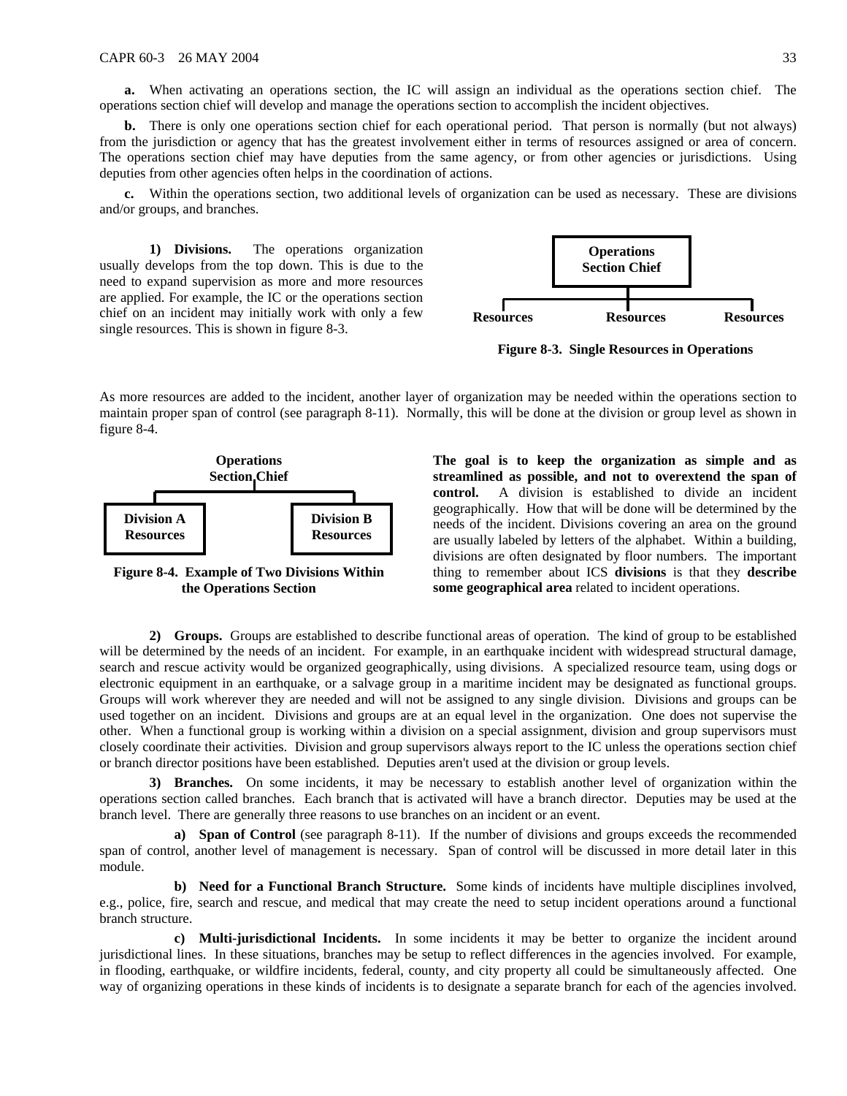**a.** When activating an operations section, the IC will assign an individual as the operations section chief. The operations section chief will develop and manage the operations section to accomplish the incident objectives.

**b.** There is only one operations section chief for each operational period. That person is normally (but not always) from the jurisdiction or agency that has the greatest involvement either in terms of resources assigned or area of concern. The operations section chief may have deputies from the same agency, or from other agencies or jurisdictions. Using deputies from other agencies often helps in the coordination of actions.

**c.** Within the operations section, two additional levels of organization can be used as necessary. These are divisions and/or groups, and branches.

**1) Divisions.** The operations organization usually develops from the top down. This is due to the need to expand supervision as more and more resources are applied. For example, the IC or the operations section chief on an incident may initially work with only a few single resources. This is shown in figure 8-3.



**Figure 8-3. Single Resources in Operations**

As more resources are added to the incident, another layer of organization may be needed within the operations section to maintain proper span of control (see paragraph 8-11). Normally, this will be done at the division or group level as shown in figure 8-4.



**Figure 8-4. Example of Two Divisions Within the Operations Section** 

**The goal is to keep the organization as simple and as streamlined as possible, and not to overextend the span of control.** A division is established to divide an incident geographically. How that will be done will be determined by the needs of the incident. Divisions covering an area on the ground are usually labeled by letters of the alphabet. Within a building, divisions are often designated by floor numbers. The important thing to remember about ICS **divisions** is that they **describe some geographical area** related to incident operations.

**2) Groups.** Groups are established to describe functional areas of operation. The kind of group to be established will be determined by the needs of an incident. For example, in an earthquake incident with widespread structural damage, search and rescue activity would be organized geographically, using divisions. A specialized resource team, using dogs or electronic equipment in an earthquake, or a salvage group in a maritime incident may be designated as functional groups. Groups will work wherever they are needed and will not be assigned to any single division. Divisions and groups can be used together on an incident. Divisions and groups are at an equal level in the organization. One does not supervise the other. When a functional group is working within a division on a special assignment, division and group supervisors must closely coordinate their activities. Division and group supervisors always report to the IC unless the operations section chief or branch director positions have been established. Deputies aren't used at the division or group levels.

**3) Branches.** On some incidents, it may be necessary to establish another level of organization within the operations section called branches. Each branch that is activated will have a branch director. Deputies may be used at the branch level. There are generally three reasons to use branches on an incident or an event.

**a) Span of Control** (see paragraph 8-11). If the number of divisions and groups exceeds the recommended span of control, another level of management is necessary. Span of control will be discussed in more detail later in this module.

**b) Need for a Functional Branch Structure.** Some kinds of incidents have multiple disciplines involved, e.g., police, fire, search and rescue, and medical that may create the need to setup incident operations around a functional branch structure.

**c) Multi-jurisdictional Incidents.** In some incidents it may be better to organize the incident around jurisdictional lines. In these situations, branches may be setup to reflect differences in the agencies involved. For example, in flooding, earthquake, or wildfire incidents, federal, county, and city property all could be simultaneously affected. One way of organizing operations in these kinds of incidents is to designate a separate branch for each of the agencies involved.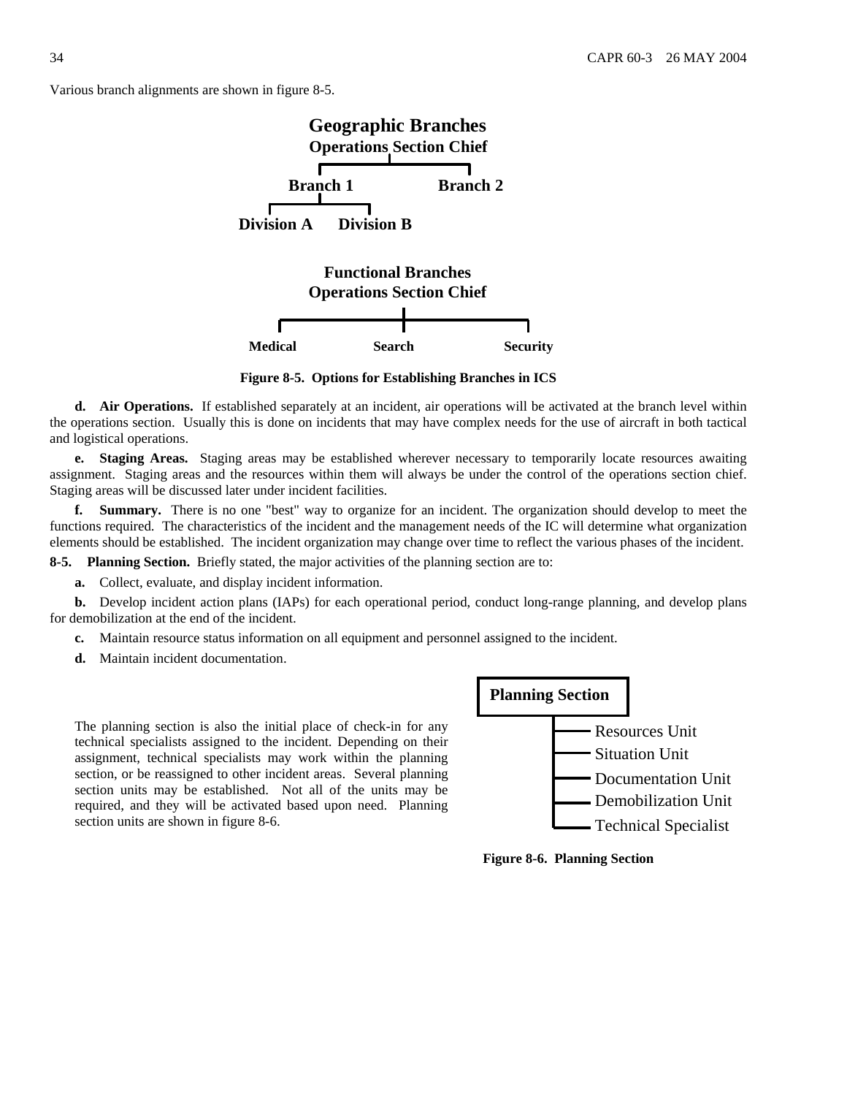Various branch alignments are shown in figure 8-5.



**Figure 8-5. Options for Establishing Branches in ICS** 

**d. Air Operations.** If established separately at an incident, air operations will be activated at the branch level within the operations section. Usually this is done on incidents that may have complex needs for the use of aircraft in both tactical and logistical operations.

**e. Staging Areas.** Staging areas may be established wherever necessary to temporarily locate resources awaiting assignment. Staging areas and the resources within them will always be under the control of the operations section chief. Staging areas will be discussed later under incident facilities.

**f. Summary.** There is no one "best" way to organize for an incident. The organization should develop to meet the functions required. The characteristics of the incident and the management needs of the IC will determine what organization elements should be established. The incident organization may change over time to reflect the various phases of the incident.

**8-5. Planning Section.** Briefly stated, the major activities of the planning section are to:

**a.** Collect, evaluate, and display incident information.

**b.** Develop incident action plans (IAPs) for each operational period, conduct long-range planning, and develop plans for demobilization at the end of the incident.

- **c.** Maintain resource status information on all equipment and personnel assigned to the incident.
- **d.** Maintain incident documentation.

The planning section is also the initial place of check-in for any technical specialists assigned to the incident. Depending on their assignment, technical specialists may work within the planning section, or be reassigned to other incident areas. Several planning section units may be established. Not all of the units may be required, and they will be activated based upon need. Planning section units are shown in figure 8-6.



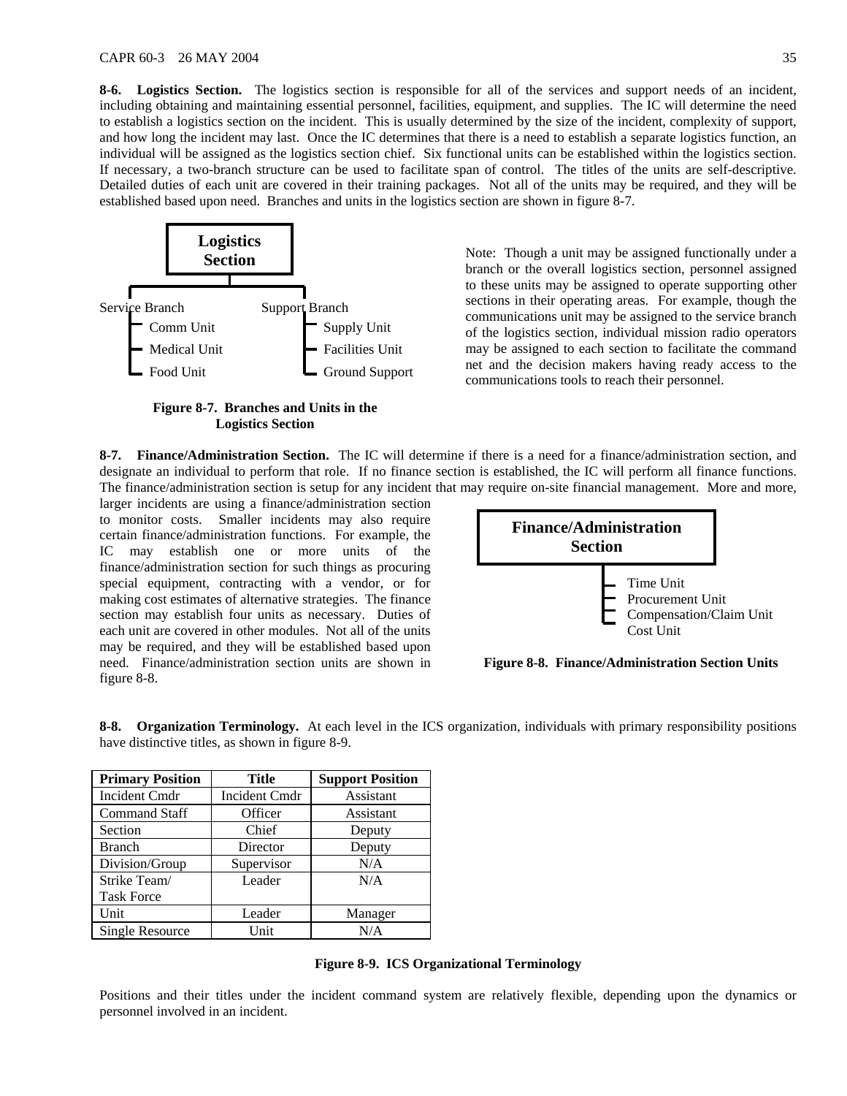**8-6. Logistics Section.** The logistics section is responsible for all of the services and support needs of an incident, including obtaining and maintaining essential personnel, facilities, equipment, and supplies. The IC will determine the need to establish a logistics section on the incident. This is usually determined by the size of the incident, complexity of support, and how long the incident may last. Once the IC determines that there is a need to establish a separate logistics function, an individual will be assigned as the logistics section chief. Six functional units can be established within the logistics section. If necessary, a two-branch structure can be used to facilitate span of control. The titles of the units are self-descriptive. Detailed duties of each unit are covered in their training packages. Not all of the units may be required, and they will be established based upon need. Branches and units in the logistics section are shown in figure 8-7.



**Figure 8-7. Branches and Units in the Logistics Section** 

**Section** Note: Though a unit may be assigned functionally under a section branch or the overall logistics section, personnel assigned to these units may be assigned to operate supporting other sections in their operating areas. For example, though the communications unit may be assigned to the service branch of the logistics section, individual mission radio operators may be assigned to each section to facilitate the command net and the decision makers having ready access to the communications tools to reach their personnel.

**8-7. Finance/Administration Section.** The IC will determine if there is a need for a finance/administration section, and designate an individual to perform that role. If no finance section is established, the IC will perform all finance functions. The finance/administration section is setup for any incident that may require on-site financial management. More and more,

larger incidents are using a finance/administration section to monitor costs. Smaller incidents may also require certain finance/administration functions. For example, the IC may establish one or more units of the finance/administration section for such things as procuring special equipment, contracting with a vendor, or for making cost estimates of alternative strategies. The finance section may establish four units as necessary. Duties of each unit are covered in other modules. Not all of the units may be required, and they will be established based upon need. Finance/administration section units are shown in figure 8-8.



**Figure 8-8. Finance/Administration Section Units**

| <b>Primary Position</b> | Title                | <b>Support Position</b> |  |  |  |  |  |  |  |
|-------------------------|----------------------|-------------------------|--|--|--|--|--|--|--|
| Incident Cmdr           | <b>Incident Cmdr</b> | Assistant               |  |  |  |  |  |  |  |
| <b>Command Staff</b>    | Officer              | Assistant               |  |  |  |  |  |  |  |
| Section                 | Chief                | Deputy                  |  |  |  |  |  |  |  |
| <b>Branch</b>           | Director             | Deputy                  |  |  |  |  |  |  |  |
| Division/Group          | Supervisor           | N/A                     |  |  |  |  |  |  |  |
| Strike Team/            | Leader               | N/A                     |  |  |  |  |  |  |  |
| <b>Task Force</b>       |                      |                         |  |  |  |  |  |  |  |
| Unit                    | Leader               | Manager                 |  |  |  |  |  |  |  |
| Single Resource         | Unit                 | N/A                     |  |  |  |  |  |  |  |

**8-8. Organization Terminology.** At each level in the ICS organization, individuals with primary responsibility positions have distinctive titles, as shown in figure 8-9.

**Figure 8-9. ICS Organizational Terminology** 

Positions and their titles under the incident command system are relatively flexible, depending upon the dynamics or personnel involved in an incident.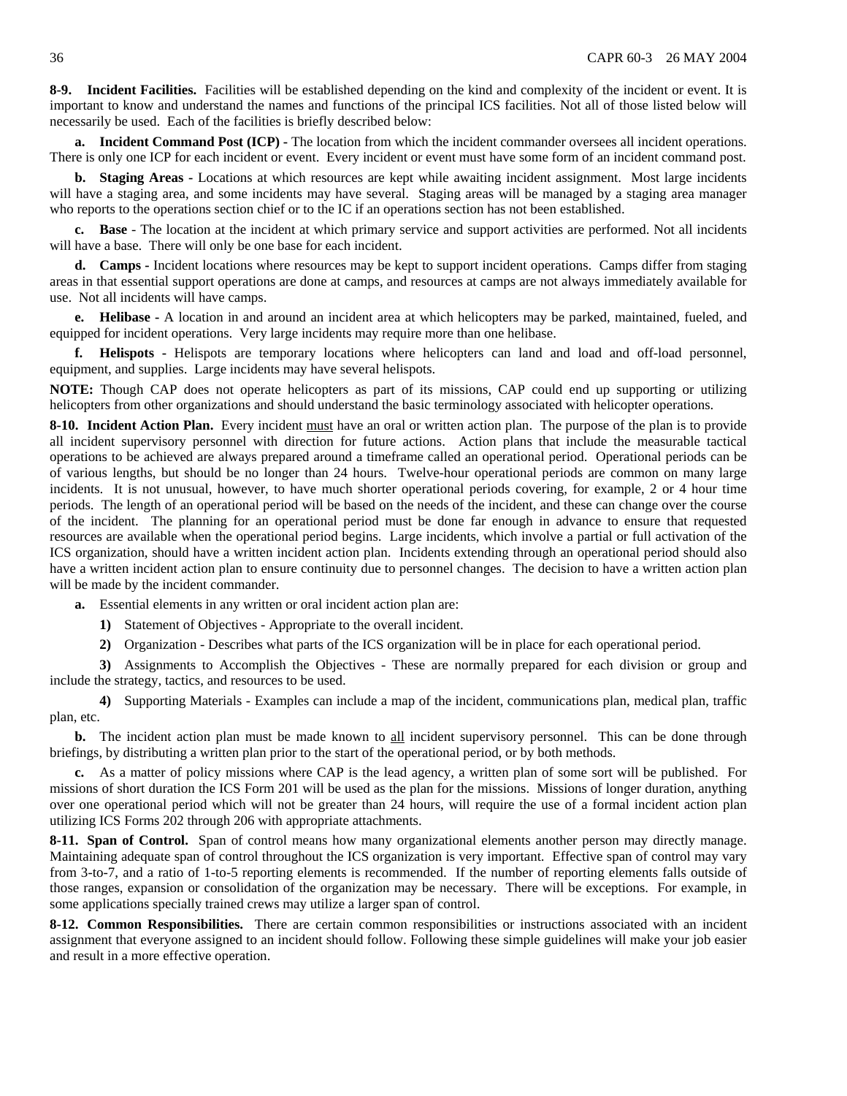**8-9. Incident Facilities.** Facilities will be established depending on the kind and complexity of the incident or event. It is important to know and understand the names and functions of the principal ICS facilities. Not all of those listed below will necessarily be used. Each of the facilities is briefly described below:

**a. Incident Command Post (ICP) -** The location from which the incident commander oversees all incident operations. There is only one ICP for each incident or event. Every incident or event must have some form of an incident command post.

**b. Staging Areas -** Locations at which resources are kept while awaiting incident assignment. Most large incidents will have a staging area, and some incidents may have several. Staging areas will be managed by a staging area manager who reports to the operations section chief or to the IC if an operations section has not been established.

**c. Base** - The location at the incident at which primary service and support activities are performed. Not all incidents will have a base. There will only be one base for each incident.

**d. Camps -** Incident locations where resources may be kept to support incident operations. Camps differ from staging areas in that essential support operations are done at camps, and resources at camps are not always immediately available for use. Not all incidents will have camps.

**e. Helibase -** A location in and around an incident area at which helicopters may be parked, maintained, fueled, and equipped for incident operations. Very large incidents may require more than one helibase.

**f. Helispots -** Helispots are temporary locations where helicopters can land and load and off-load personnel, equipment, and supplies. Large incidents may have several helispots.

**NOTE:** Though CAP does not operate helicopters as part of its missions, CAP could end up supporting or utilizing helicopters from other organizations and should understand the basic terminology associated with helicopter operations.

**8-10. Incident Action Plan.** Every incident must have an oral or written action plan. The purpose of the plan is to provide all incident supervisory personnel with direction for future actions. Action plans that include the measurable tactical operations to be achieved are always prepared around a timeframe called an operational period. Operational periods can be of various lengths, but should be no longer than 24 hours. Twelve-hour operational periods are common on many large incidents. It is not unusual, however, to have much shorter operational periods covering, for example, 2 or 4 hour time periods. The length of an operational period will be based on the needs of the incident, and these can change over the course of the incident. The planning for an operational period must be done far enough in advance to ensure that requested resources are available when the operational period begins. Large incidents, which involve a partial or full activation of the ICS organization, should have a written incident action plan. Incidents extending through an operational period should also have a written incident action plan to ensure continuity due to personnel changes. The decision to have a written action plan will be made by the incident commander.

**a.** Essential elements in any written or oral incident action plan are:

**1)** Statement of Objectives - Appropriate to the overall incident.

**2)** Organization - Describes what parts of the ICS organization will be in place for each operational period.

**3)** Assignments to Accomplish the Objectives - These are normally prepared for each division or group and include the strategy, tactics, and resources to be used.

**4)** Supporting Materials - Examples can include a map of the incident, communications plan, medical plan, traffic plan, etc.

**b.** The incident action plan must be made known to all incident supervisory personnel. This can be done through briefings, by distributing a written plan prior to the start of the operational period, or by both methods.

**c.** As a matter of policy missions where CAP is the lead agency, a written plan of some sort will be published. For missions of short duration the ICS Form 201 will be used as the plan for the missions. Missions of longer duration, anything over one operational period which will not be greater than 24 hours, will require the use of a formal incident action plan utilizing ICS Forms 202 through 206 with appropriate attachments.

**8-11. Span of Control.** Span of control means how many organizational elements another person may directly manage. Maintaining adequate span of control throughout the ICS organization is very important. Effective span of control may vary from 3-to-7, and a ratio of 1-to-5 reporting elements is recommended. If the number of reporting elements falls outside of those ranges, expansion or consolidation of the organization may be necessary. There will be exceptions. For example, in some applications specially trained crews may utilize a larger span of control.

**8-12. Common Responsibilities.** There are certain common responsibilities or instructions associated with an incident assignment that everyone assigned to an incident should follow. Following these simple guidelines will make your job easier and result in a more effective operation.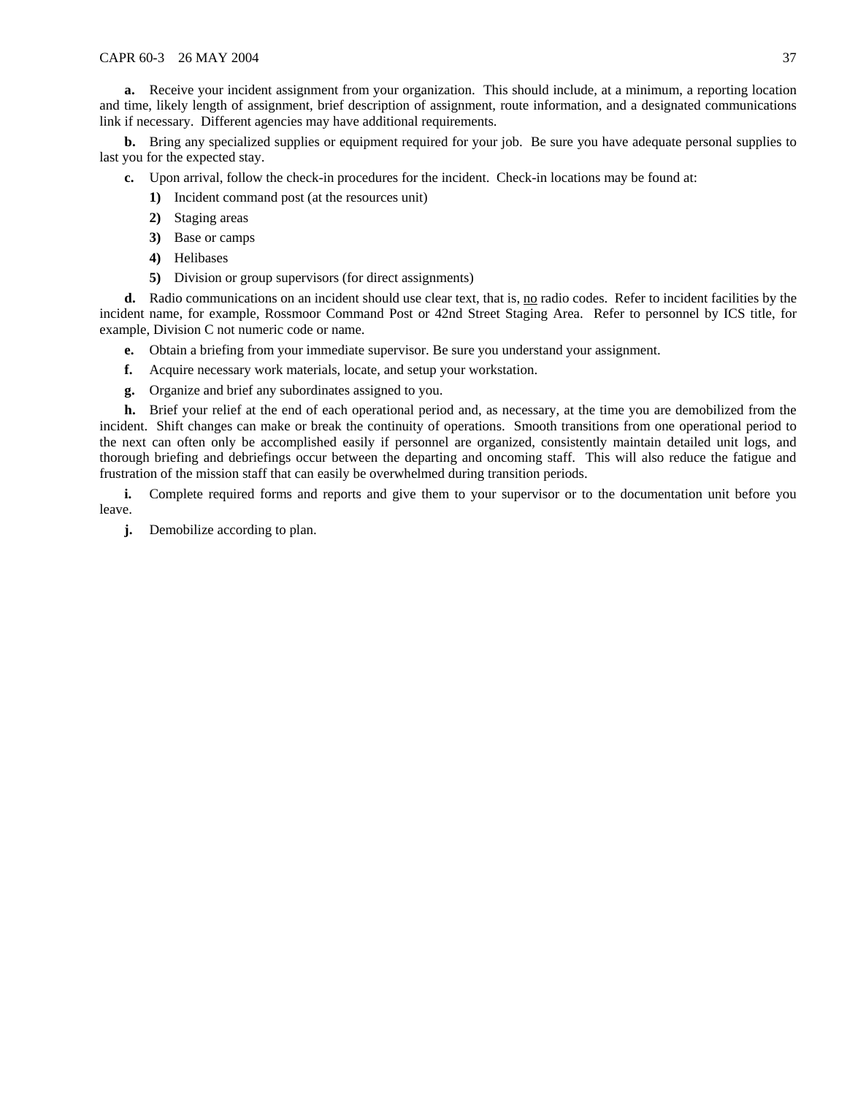**a.** Receive your incident assignment from your organization. This should include, at a minimum, a reporting location and time, likely length of assignment, brief description of assignment, route information, and a designated communications link if necessary. Different agencies may have additional requirements.

**b.** Bring any specialized supplies or equipment required for your job. Be sure you have adequate personal supplies to last you for the expected stay.

- **c.** Upon arrival, follow the check-in procedures for the incident. Check-in locations may be found at:
	- **1)** Incident command post (at the resources unit)
	- **2)** Staging areas
	- **3)** Base or camps
	- **4)** Helibases
	- **5)** Division or group supervisors (for direct assignments)

**d.** Radio communications on an incident should use clear text, that is, no radio codes. Refer to incident facilities by the incident name, for example, Rossmoor Command Post or 42nd Street Staging Area. Refer to personnel by ICS title, for example, Division C not numeric code or name.

- **e.** Obtain a briefing from your immediate supervisor. Be sure you understand your assignment.
- **f.** Acquire necessary work materials, locate, and setup your workstation.
- **g.** Organize and brief any subordinates assigned to you.

**h.** Brief your relief at the end of each operational period and, as necessary, at the time you are demobilized from the incident. Shift changes can make or break the continuity of operations. Smooth transitions from one operational period to the next can often only be accomplished easily if personnel are organized, consistently maintain detailed unit logs, and thorough briefing and debriefings occur between the departing and oncoming staff. This will also reduce the fatigue and frustration of the mission staff that can easily be overwhelmed during transition periods.

**i.** Complete required forms and reports and give them to your supervisor or to the documentation unit before you leave.

**j.** Demobilize according to plan.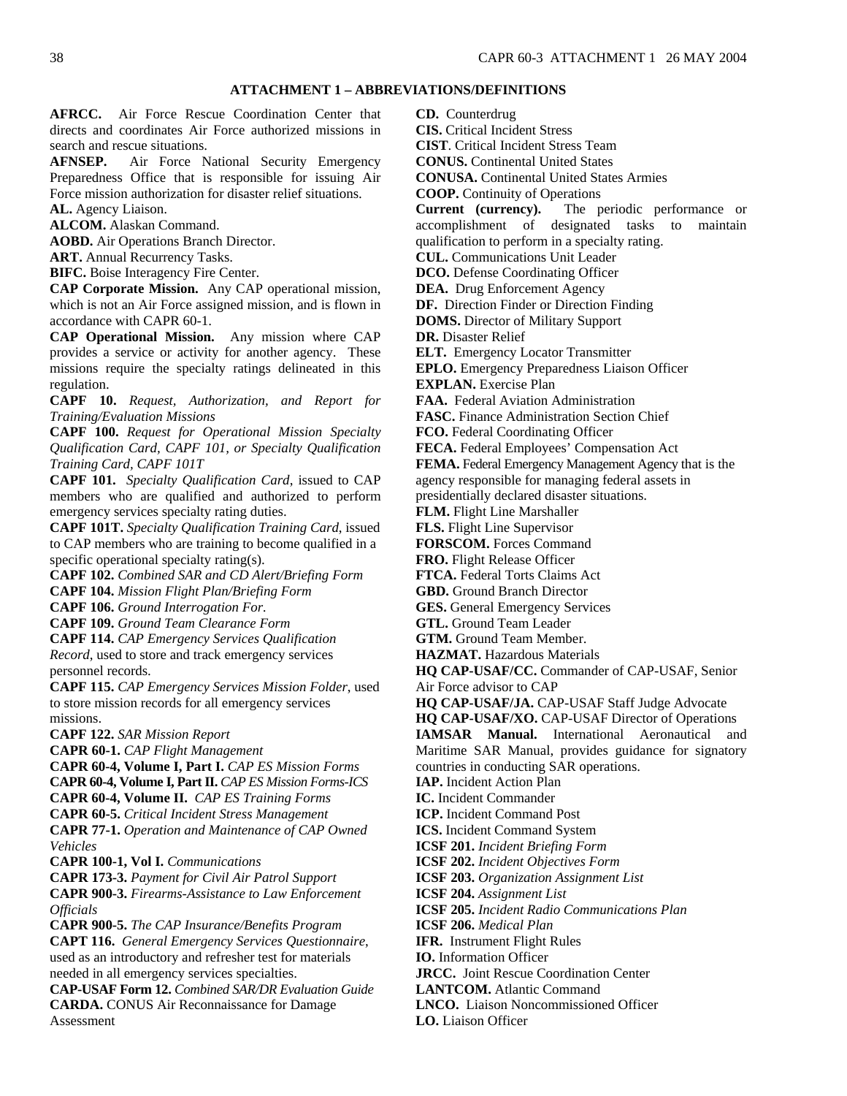### **ATTACHMENT 1 – ABBREVIATIONS/DEFINITIONS**

<span id="page-37-0"></span>**AFRCC.** Air Force Rescue Coordination Center that directs and coordinates Air Force authorized missions in search and rescue situations.

**AFNSEP.** Air Force National Security Emergency Preparedness Office that is responsible for issuing Air Force mission authorization for disaster relief situations. **AL.** Agency Liaison.

**ALCOM.** Alaskan Command.

**AOBD.** Air Operations Branch Director.

**ART.** Annual Recurrency Tasks.

**BIFC.** Boise Interagency Fire Center.

**CAP Corporate Mission.** Any CAP operational mission, which is not an Air Force assigned mission, and is flown in accordance with CAPR 60-1.

**CAP Operational Mission.** Any mission where CAP provides a service or activity for another agency. These missions require the specialty ratings delineated in this regulation.

**CAPF 10.** *Request, Authorization, and Report for Training/Evaluation Missions* 

**CAPF 100.** *Request for Operational Mission Specialty Qualification Card, CAPF 101, or Specialty Qualification Training Card, CAPF 101T* 

**CAPF 101.** *Specialty Qualification Card*, issued to CAP members who are qualified and authorized to perform emergency services specialty rating duties.

**CAPF 101T.** *Specialty Qualification Training Card*, issued to CAP members who are training to become qualified in a specific operational specialty rating(s).

**CAPF 102.** *Combined SAR and CD Alert/Briefing Form*

**CAPF 104.** *Mission Flight Plan/Briefing Form*

**CAPF 106.** *Ground Interrogation For.*

**CAPF 109.** *Ground Team Clearance Form*

**CAPF 114.** *CAP Emergency Services Qualification Record*, used to store and track emergency services personnel records.

**CAPF 115.** *CAP Emergency Services Mission Folder*, used to store mission records for all emergency services missions.

**CAPF 122.** *SAR Mission Report*

**CAPR 60-1.** *CAP Flight Management* 

**CAPR 60-4, Volume I, Part I.** *CAP ES Mission Forms*  **CAPR 60-4, Volume I, Part II.** *CAP ES Mission Forms-ICS* 

**CAPR 60-4, Volume II.** *CAP ES Training Forms* 

**CAPR 60-5.** *Critical Incident Stress Management*

**CAPR 77-1.** *Operation and Maintenance of CAP Owned Vehicles*

**CAPR 100-1, Vol I.** *Communications*

**CAPR 173-3.** *Payment for Civil Air Patrol Support*

**CAPR 900-3.** *Firearms-Assistance to Law Enforcement Officials*

**CAPR 900-5.** *The CAP Insurance/Benefits Program* **CAPT 116.** *General Emergency Services Questionnaire*, used as an introductory and refresher test for materials needed in all emergency services specialties.

**CAP-USAF Form 12.** *Combined SAR/DR Evaluation Guide* **CARDA.** CONUS Air Reconnaissance for Damage Assessment

**CD.** Counterdrug

**CIS.** Critical Incident Stress

**CIST**. Critical Incident Stress Team

**CONUS.** Continental United States

**CONUSA.** Continental United States Armies

**COOP.** Continuity of Operations

**Current (currency).** The periodic performance or accomplishment of designated tasks to maintain qualification to perform in a specialty rating.

**CUL.** Communications Unit Leader

**DCO.** Defense Coordinating Officer

**DEA.** Drug Enforcement Agency

**DF.** Direction Finder or Direction Finding

**DOMS.** Director of Military Support

**DR.** Disaster Relief

**ELT.** Emergency Locator Transmitter

**EPLO.** Emergency Preparedness Liaison Officer

**EXPLAN.** Exercise Plan

**FAA.** Federal Aviation Administration

**FASC.** Finance Administration Section Chief

**FCO.** Federal Coordinating Officer

**FECA.** Federal Employees' Compensation Act

**FEMA.** Federal Emergency Management Agency that is the agency responsible for managing federal assets in

presidentially declared disaster situations.

**FLM.** Flight Line Marshaller

**FLS.** Flight Line Supervisor

**FORSCOM.** Forces Command

**FRO.** Flight Release Officer

**FTCA.** Federal Torts Claims Act

**GBD.** Ground Branch Director

**GES.** General Emergency Services

**GTL.** Ground Team Leader

**GTM.** Ground Team Member.

**HAZMAT.** Hazardous Materials

**HQ CAP-USAF/CC.** Commander of CAP-USAF, Senior Air Force advisor to CAP

**HQ CAP-USAF/JA.** CAP-USAF Staff Judge Advocate

**HQ CAP-USAF/XO.** CAP-USAF Director of Operations

**IAMSAR Manual.** International Aeronautical and Maritime SAR Manual, provides guidance for signatory countries in conducting SAR operations.

**IAP.** Incident Action Plan

**IC.** Incident Commander

**ICP.** Incident Command Post

**ICS.** Incident Command System

**ICSF 201.** *Incident Briefing Form*

**ICSF 202.** *Incident Objectives Form*

**ICSF 203.** *Organization Assignment List*

**ICSF 204.** *Assignment List*

**ICSF 205.** *Incident Radio Communications Plan*

**ICSF 206.** *Medical Plan*

**IFR.** Instrument Flight Rules

**IO.** Information Officer

**JRCC.** Joint Rescue Coordination Center

**LANTCOM.** Atlantic Command

**LNCO.** Liaison Noncommissioned Officer

**LO.** Liaison Officer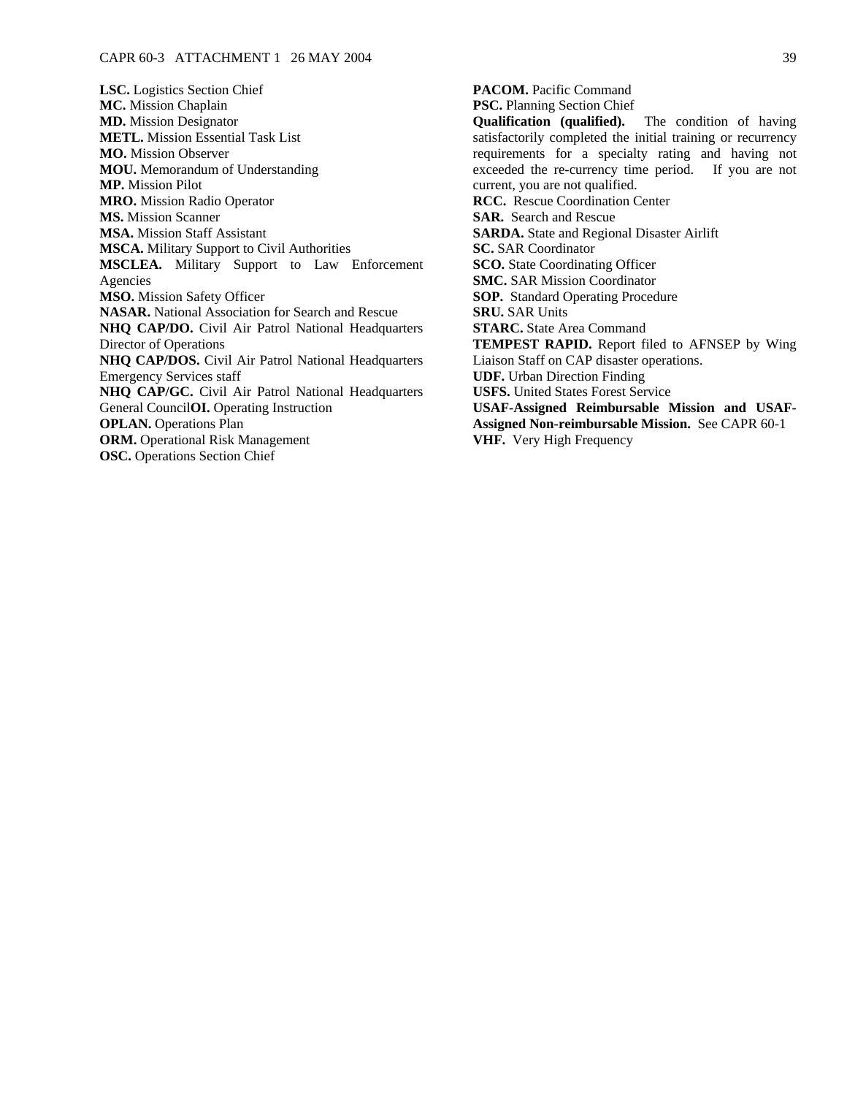**LSC.** Logistics Section Chief **MC.** Mission Chaplain **MD.** Mission Designator **METL.** Mission Essential Task List **MO.** Mission Observer **MOU.** Memorandum of Understanding **MP.** Mission Pilot **MRO.** Mission Radio Operator **MS.** Mission Scanner **MSA.** Mission Staff Assistant **MSCA.** Military Support to Civil Authorities **MSCLEA.** Military Support to Law Enforcement Agencies **MSO.** Mission Safety Officer **NASAR.** National Association for Search and Rescue **NHQ CAP/DO.** Civil Air Patrol National Headquarters Director of Operations **NHQ CAP/DOS.** Civil Air Patrol National Headquarters Emergency Services staff **NHQ CAP/GC.** Civil Air Patrol National Headquarters General Council**OI.** Operating Instruction **OPLAN.** Operations Plan **ORM.** Operational Risk Management **OSC.** Operations Section Chief

**PACOM.** Pacific Command **PSC.** Planning Section Chief **Qualification (qualified).** The condition of having satisfactorily completed the initial training or recurrency requirements for a specialty rating and having not exceeded the re-currency time period. If you are not current, you are not qualified. **RCC.** Rescue Coordination Center **SAR.** Search and Rescue **SARDA.** State and Regional Disaster Airlift **SC.** SAR Coordinator **SCO.** State Coordinating Officer **SMC.** SAR Mission Coordinator **SOP.** Standard Operating Procedure **SRU.** SAR Units **STARC.** State Area Command **TEMPEST RAPID.** Report filed to AFNSEP by Wing Liaison Staff on CAP disaster operations. **UDF.** Urban Direction Finding **USFS.** United States Forest Service **USAF-Assigned Reimbursable Mission and USAF-Assigned Non-reimbursable Mission.** See CAPR 60-1 **VHF.** Very High Frequency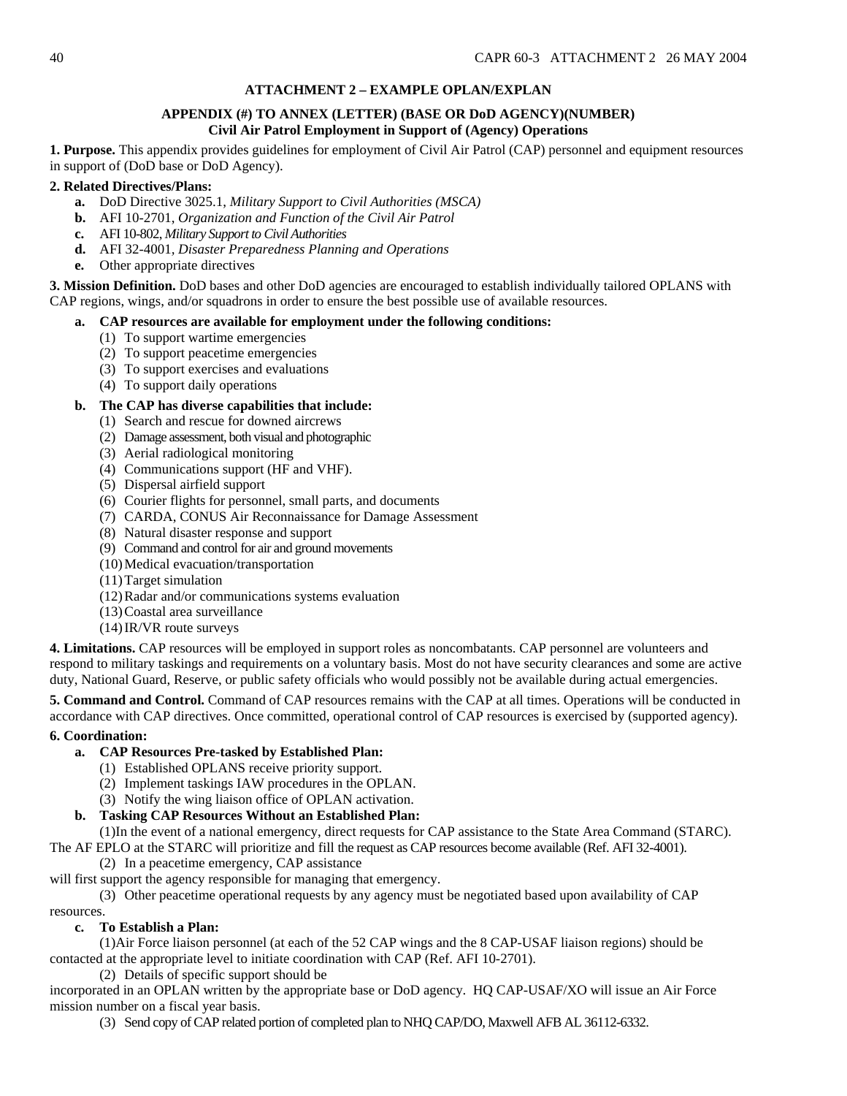# **ATTACHMENT 2 – EXAMPLE OPLAN/EXPLAN**

## **APPENDIX (#) TO ANNEX (LETTER) (BASE OR DoD AGENCY)(NUMBER) Civil Air Patrol Employment in Support of (Agency) Operations**

<span id="page-39-0"></span>**1. Purpose.** This appendix provides guidelines for employment of Civil Air Patrol (CAP) personnel and equipment resources in support of (DoD base or DoD Agency).

## **2. Related Directives/Plans:**

- **a.** DoD Directive 3025.1, *Military Support to Civil Authorities (MSCA)*
- **b.** AFI 10-2701, *Organization and Function of the Civil Air Patrol*
- **c.** AFI 10-802, *Military Support to Civil Authorities*
- **d.** AFI 32-4001*, Disaster Preparedness Planning and Operations*
- **e.** Other appropriate directives

**3. Mission Definition.** DoD bases and other DoD agencies are encouraged to establish individually tailored OPLANS with CAP regions, wings, and/or squadrons in order to ensure the best possible use of available resources.

### **a. CAP resources are available for employment under the following conditions:**

- (1) To support wartime emergencies
- (2) To support peacetime emergencies
- (3) To support exercises and evaluations
- (4) To support daily operations

### **b. The CAP has diverse capabilities that include:**

- (1) Search and rescue for downed aircrews
- (2) Damage assessment, both visual and photographic
- (3) Aerial radiological monitoring
- (4) Communications support (HF and VHF).
- (5) Dispersal airfield support
- (6) Courier flights for personnel, small parts, and documents
- (7) CARDA, CONUS Air Reconnaissance for Damage Assessment
- (8) Natural disaster response and support
- (9) Command and control for air and ground movements
- (10) Medical evacuation/transportation
- (11) Target simulation
- (12) Radar and/or communications systems evaluation
- (13) Coastal area surveillance
- (14) IR/VR route surveys

**4. Limitations.** CAP resources will be employed in support roles as noncombatants. CAP personnel are volunteers and respond to military taskings and requirements on a voluntary basis. Most do not have security clearances and some are active duty, National Guard, Reserve, or public safety officials who would possibly not be available during actual emergencies.

**5. Command and Control.** Command of CAP resources remains with the CAP at all times. Operations will be conducted in accordance with CAP directives. Once committed, operational control of CAP resources is exercised by (supported agency).

## **6. Coordination:**

## **a. CAP Resources Pre-tasked by Established Plan:**

- (1) Established OPLANS receive priority support.
- (2) Implement taskings IAW procedures in the OPLAN.
- (3) Notify the wing liaison office of OPLAN activation.

## **b. Tasking CAP Resources Without an Established Plan:**

(1)In the event of a national emergency, direct requests for CAP assistance to the State Area Command (STARC).

The AF EPLO at the STARC will prioritize and fill the request as CAP resources become available (Ref. AFI 32-4001). (2) In a peacetime emergency, CAP assistance

will first support the agency responsible for managing that emergency.

(3) Other peacetime operational requests by any agency must be negotiated based upon availability of CAP

#### resources. **c. To Establish a Plan:**

(1)Air Force liaison personnel (at each of the 52 CAP wings and the 8 CAP-USAF liaison regions) should be contacted at the appropriate level to initiate coordination with CAP (Ref. AFI 10-2701).

(2) Details of specific support should be

incorporated in an OPLAN written by the appropriate base or DoD agency. HQ CAP-USAF/XO will issue an Air Force mission number on a fiscal year basis.

(3) Send copy of CAP related portion of completed plan to NHQ CAP/DO, Maxwell AFB AL 36112-6332.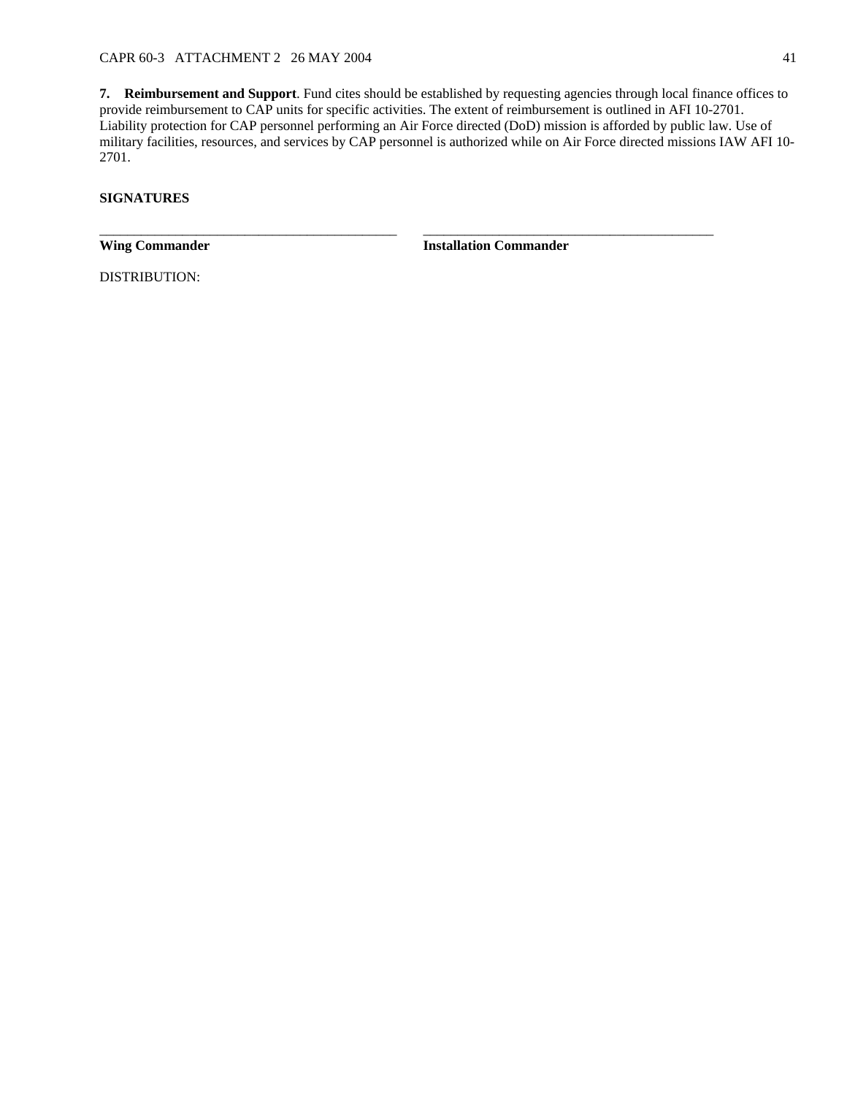**7. Reimbursement and Support**. Fund cites should be established by requesting agencies through local finance offices to provide reimbursement to CAP units for specific activities. The extent of reimbursement is outlined in AFI 10-2701. Liability protection for CAP personnel performing an Air Force directed (DoD) mission is afforded by public law. Use of military facilities, resources, and services by CAP personnel is authorized while on Air Force directed missions IAW AFI 10- 2701.

\_\_\_\_\_\_\_\_\_\_\_\_\_\_\_\_\_\_\_\_\_\_\_\_\_\_\_\_\_\_\_\_\_\_\_\_\_\_\_\_\_\_\_ \_\_\_\_\_\_\_\_\_\_\_\_\_\_\_\_\_\_\_\_\_\_\_\_\_\_\_\_\_\_\_\_\_\_\_\_\_\_\_\_\_\_

# **SIGNATURES**

**Wing Commander Installation Commander** 

DISTRIBUTION: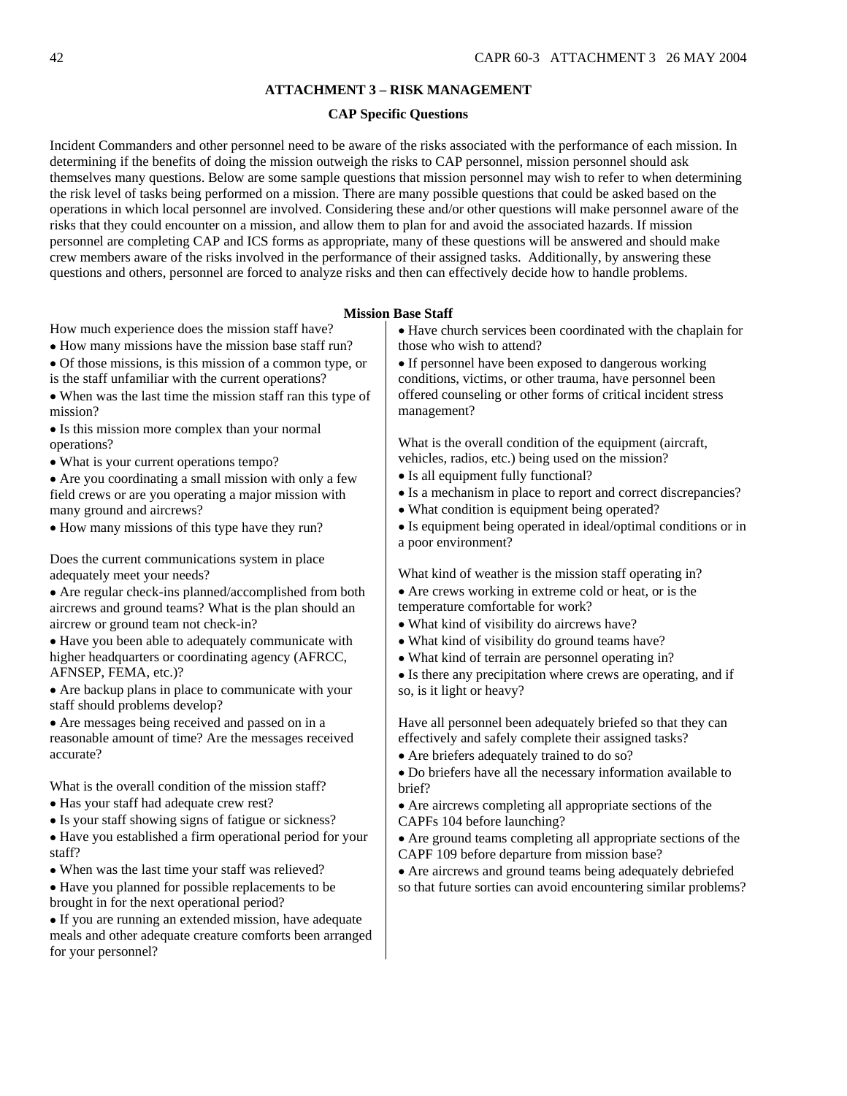#### **ATTACHMENT 3 – RISK MANAGEMENT**

#### **CAP Specific Questions**

<span id="page-41-0"></span>Incident Commanders and other personnel need to be aware of the risks associated with the performance of each mission. In determining if the benefits of doing the mission outweigh the risks to CAP personnel, mission personnel should ask themselves many questions. Below are some sample questions that mission personnel may wish to refer to when determining the risk level of tasks being performed on a mission. There are many possible questions that could be asked based on the operations in which local personnel are involved. Considering these and/or other questions will make personnel aware of the risks that they could encounter on a mission, and allow them to plan for and avoid the associated hazards. If mission personnel are completing CAP and ICS forms as appropriate, many of these questions will be answered and should make crew members aware of the risks involved in the performance of their assigned tasks. Additionally, by answering these questions and others, personnel are forced to analyze risks and then can effectively decide how to handle problems.

#### **Mission Base Staff**

How much experience does the mission staff have?

- How many missions have the mission base staff run?
- Of those missions, is this mission of a common type, or
- is the staff unfamiliar with the current operations?
- When was the last time the mission staff ran this type of mission?
- Is this mission more complex than your normal operations?
- What is your current operations tempo?

• Are you coordinating a small mission with only a few field crews or are you operating a major mission with many ground and aircrews?

• How many missions of this type have they run?

Does the current communications system in place adequately meet your needs?

• Are regular check-ins planned/accomplished from both aircrews and ground teams? What is the plan should an aircrew or ground team not check-in?

• Have you been able to adequately communicate with higher headquarters or coordinating agency (AFRCC, AFNSEP, FEMA, etc.)?

• Are backup plans in place to communicate with your staff should problems develop?

• Are messages being received and passed on in a reasonable amount of time? Are the messages received accurate?

What is the overall condition of the mission staff?

- Has your staff had adequate crew rest?
- Is your staff showing signs of fatigue or sickness?

• Have you established a firm operational period for your staff?

- When was the last time your staff was relieved?
- Have you planned for possible replacements to be brought in for the next operational period?

• If you are running an extended mission, have adequate meals and other adequate creature comforts been arranged for your personnel?

• Have church services been coordinated with the chaplain for those who wish to attend?

• If personnel have been exposed to dangerous working conditions, victims, or other trauma, have personnel been offered counseling or other forms of critical incident stress management?

What is the overall condition of the equipment (aircraft, vehicles, radios, etc.) being used on the mission?

- Is all equipment fully functional?
- Is a mechanism in place to report and correct discrepancies?
- What condition is equipment being operated?
- Is equipment being operated in ideal/optimal conditions or in a poor environment?

What kind of weather is the mission staff operating in? • Are crews working in extreme cold or heat, or is the temperature comfortable for work?

- What kind of visibility do aircrews have?
- What kind of visibility do ground teams have?
- What kind of terrain are personnel operating in?

• Is there any precipitation where crews are operating, and if so, is it light or heavy?

Have all personnel been adequately briefed so that they can effectively and safely complete their assigned tasks?

• Are briefers adequately trained to do so?

• Do briefers have all the necessary information available to brief?

• Are aircrews completing all appropriate sections of the CAPFs 104 before launching?

• Are ground teams completing all appropriate sections of the CAPF 109 before departure from mission base?

• Are aircrews and ground teams being adequately debriefed so that future sorties can avoid encountering similar problems?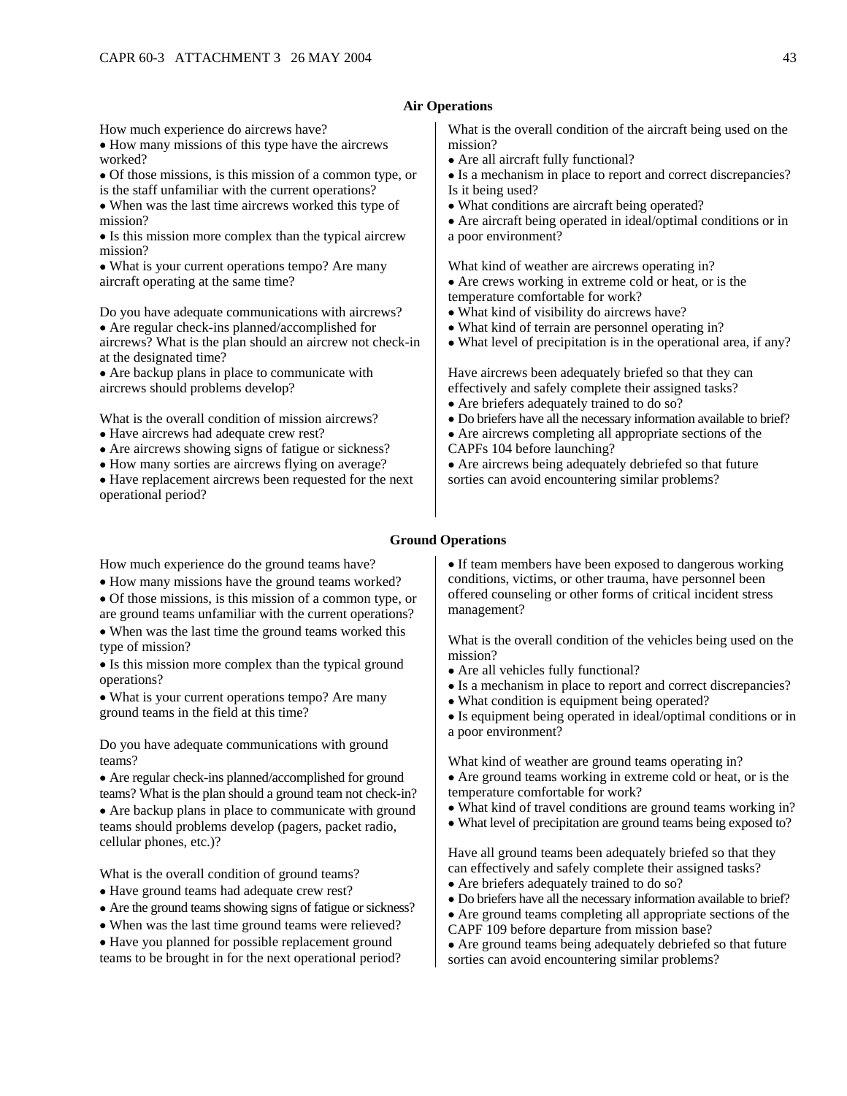### **Air Operations**

How much experience do aircrews have?

• How many missions of this type have the aircrews worked?

- Of those missions, is this mission of a common type, or
- is the staff unfamiliar with the current operations? • When was the last time aircrews worked this type of
- mission? • Is this mission more complex than the typical aircrew mission?

• What is your current operations tempo? Are many aircraft operating at the same time?

Do you have adequate communications with aircrews? • Are regular check-ins planned/accomplished for aircrews? What is the plan should an aircrew not check-in at the designated time?

• Are backup plans in place to communicate with aircrews should problems develop?

What is the overall condition of mission aircrews?

- Have aircrews had adequate crew rest?
- Are aircrews showing signs of fatigue or sickness?
- How many sorties are aircrews flying on average?

• Have replacement aircrews been requested for the next operational period?

#### What is the overall condition of the aircraft being used on the mission?

• Are all aircraft fully functional?

• Is a mechanism in place to report and correct discrepancies? Is it being used?

• What conditions are aircraft being operated?

• Are aircraft being operated in ideal/optimal conditions or in a poor environment?

What kind of weather are aircrews operating in?

- Are crews working in extreme cold or heat, or is the temperature comfortable for work?
- What kind of visibility do aircrews have?
- What kind of terrain are personnel operating in?
- What level of precipitation is in the operational area, if any?

Have aircrews been adequately briefed so that they can effectively and safely complete their assigned tasks?

- Are briefers adequately trained to do so?
- Do briefers have all the necessary information available to brief?
- Are aircrews completing all appropriate sections of the
- CAPFs 104 before launching?

• Are aircrews being adequately debriefed so that future sorties can avoid encountering similar problems?

### **Ground Operations**

How much experience do the ground teams have?

- How many missions have the ground teams worked?
- Of those missions, is this mission of a common type, or are ground teams unfamiliar with the current operations?
- When was the last time the ground teams worked this type of mission?

• Is this mission more complex than the typical ground operations?

• What is your current operations tempo? Are many ground teams in the field at this time?

Do you have adequate communications with ground teams?

• Are regular check-ins planned/accomplished for ground teams? What is the plan should a ground team not check-in?

• Are backup plans in place to communicate with ground teams should problems develop (pagers, packet radio, cellular phones, etc.)?

What is the overall condition of ground teams?

- Have ground teams had adequate crew rest?
- Are the ground teams showing signs of fatigue or sickness?
- When was the last time ground teams were relieved?
- Have you planned for possible replacement ground teams to be brought in for the next operational period?

• If team members have been exposed to dangerous working conditions, victims, or other trauma, have personnel been offered counseling or other forms of critical incident stress management?

What is the overall condition of the vehicles being used on the mission?

- Are all vehicles fully functional?
- Is a mechanism in place to report and correct discrepancies?
- What condition is equipment being operated?
- Is equipment being operated in ideal/optimal conditions or in a poor environment?

What kind of weather are ground teams operating in?

- Are ground teams working in extreme cold or heat, or is the temperature comfortable for work?
- What kind of travel conditions are ground teams working in?
- What level of precipitation are ground teams being exposed to?

Have all ground teams been adequately briefed so that they can effectively and safely complete their assigned tasks? • Are briefers adequately trained to do so?

- 
- Do briefers have all the necessary information available to brief?
- Are ground teams completing all appropriate sections of the
- CAPF 109 before departure from mission base?
- Are ground teams being adequately debriefed so that future sorties can avoid encountering similar problems?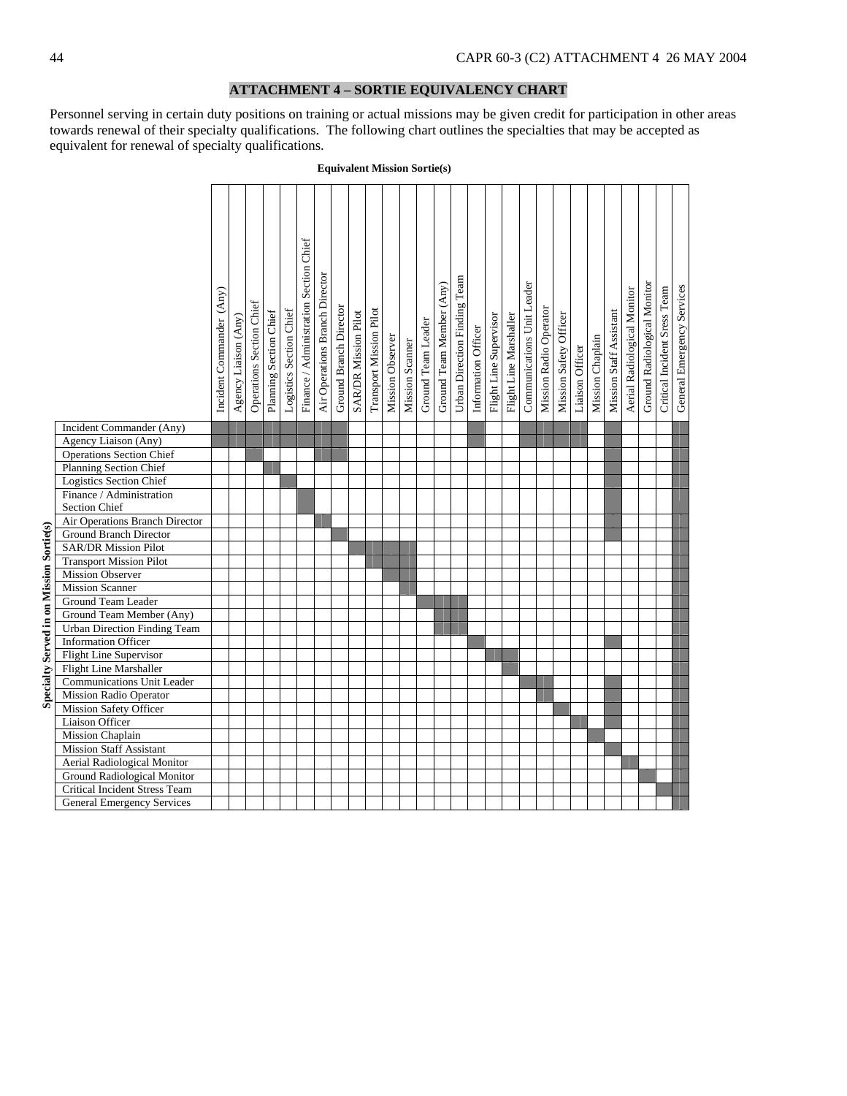# **ATTACHMENT 4 – SORTIE EQUIVALENCY CHART**

Personnel serving in certain duty positions on training or actual missions may be given credit for participation in other areas towards renewal of their specialty qualifications. The following chart outlines the specialties that may be accepted as equivalent for renewal of specialty qualifications.

|                                                                    | Incident Commander (Any) | Agency Liaison (Any) | Operations Section Chief | Planning Section Chief | Logistics Section Chief | Finance / Administration Section Chief | Air Operations Branch Director | Ground Branch Director | <b>SARDR Mission Pilot</b> | Transport Mission Pilot | Mission Observer | Mission Scanner | Ground Team Leader | Ground Team Member (Any) | Urban Direction Finding Team | Information Officer | Flight Line Supervisor | Flight Line Marshaller | Communications Unit Leader | Mission Radio Operator | Mission Safety Officer | Liaison Officer | Mission Chaplain | Mission Staff Assistant | Aerial Radiological Monitor | Ground Radiological Monitor | Critical Incident Sress Team | General Emergency Services |
|--------------------------------------------------------------------|--------------------------|----------------------|--------------------------|------------------------|-------------------------|----------------------------------------|--------------------------------|------------------------|----------------------------|-------------------------|------------------|-----------------|--------------------|--------------------------|------------------------------|---------------------|------------------------|------------------------|----------------------------|------------------------|------------------------|-----------------|------------------|-------------------------|-----------------------------|-----------------------------|------------------------------|----------------------------|
|                                                                    |                          |                      |                          |                        |                         |                                        |                                |                        |                            |                         |                  |                 |                    |                          |                              |                     |                        |                        |                            |                        |                        |                 |                  |                         |                             |                             |                              |                            |
| Incident Commander (Any)                                           |                          |                      |                          |                        |                         |                                        |                                |                        |                            |                         |                  |                 |                    |                          |                              |                     |                        |                        |                            |                        |                        |                 |                  |                         |                             |                             |                              |                            |
| Agency Liaison (Any)                                               |                          |                      |                          |                        |                         |                                        |                                |                        |                            |                         |                  |                 |                    |                          |                              |                     |                        |                        |                            |                        |                        |                 |                  |                         |                             |                             |                              |                            |
| <b>Operations Section Chief</b>                                    |                          |                      |                          |                        |                         |                                        |                                |                        |                            |                         |                  |                 |                    |                          |                              |                     |                        |                        |                            |                        |                        |                 |                  |                         |                             |                             |                              |                            |
| <b>Planning Section Chief</b>                                      |                          |                      |                          |                        |                         |                                        |                                |                        |                            |                         |                  |                 |                    |                          |                              |                     |                        |                        |                            |                        |                        |                 |                  |                         |                             |                             |                              |                            |
| <b>Logistics Section Chief</b>                                     |                          |                      |                          |                        |                         |                                        |                                |                        |                            |                         |                  |                 |                    |                          |                              |                     |                        |                        |                            |                        |                        |                 |                  |                         |                             |                             |                              |                            |
| Finance / Administration                                           |                          |                      |                          |                        |                         |                                        |                                |                        |                            |                         |                  |                 |                    |                          |                              |                     |                        |                        |                            |                        |                        |                 |                  |                         |                             |                             |                              |                            |
| Section Chief                                                      |                          |                      |                          |                        |                         |                                        |                                |                        |                            |                         |                  |                 |                    |                          |                              |                     |                        |                        |                            |                        |                        |                 |                  |                         |                             |                             |                              |                            |
| Air Operations Branch Director                                     |                          |                      |                          |                        |                         |                                        |                                |                        |                            |                         |                  |                 |                    |                          |                              |                     |                        |                        |                            |                        |                        |                 |                  |                         |                             |                             |                              |                            |
| <b>Ground Branch Director</b>                                      |                          |                      |                          |                        |                         |                                        |                                |                        |                            |                         |                  |                 |                    |                          |                              |                     |                        |                        |                            |                        |                        |                 |                  |                         |                             |                             |                              |                            |
| <b>SAR/DR Mission Pilot</b>                                        |                          |                      |                          |                        |                         |                                        |                                |                        |                            |                         |                  |                 |                    |                          |                              |                     |                        |                        |                            |                        |                        |                 |                  |                         |                             |                             |                              |                            |
| <b>Transport Mission Pilot</b>                                     |                          |                      |                          |                        |                         |                                        |                                |                        |                            |                         |                  |                 |                    |                          |                              |                     |                        |                        |                            |                        |                        |                 |                  |                         |                             |                             |                              |                            |
| Mission Observer                                                   |                          |                      |                          |                        |                         |                                        |                                |                        |                            |                         |                  |                 |                    |                          |                              |                     |                        |                        |                            |                        |                        |                 |                  |                         |                             |                             |                              |                            |
| <b>Mission Scanner</b>                                             |                          |                      |                          |                        |                         |                                        |                                |                        |                            |                         |                  |                 |                    |                          |                              |                     |                        |                        |                            |                        |                        |                 |                  |                         |                             |                             |                              |                            |
| Ground Team Leader                                                 |                          |                      |                          |                        |                         |                                        |                                |                        |                            |                         |                  |                 |                    |                          |                              |                     |                        |                        |                            |                        |                        |                 |                  |                         |                             |                             |                              |                            |
| Ground Team Member (Any)                                           |                          |                      |                          |                        |                         |                                        |                                |                        |                            |                         |                  |                 |                    |                          |                              |                     |                        |                        |                            |                        |                        |                 |                  |                         |                             |                             |                              |                            |
| <b>Urban Direction Finding Team</b>                                |                          |                      |                          |                        |                         |                                        |                                |                        |                            |                         |                  |                 |                    |                          |                              |                     |                        |                        |                            |                        |                        |                 |                  |                         |                             |                             |                              |                            |
| <b>Information Officer</b>                                         |                          |                      |                          |                        |                         |                                        |                                |                        |                            |                         |                  |                 |                    |                          |                              |                     |                        |                        |                            |                        |                        |                 |                  |                         |                             |                             |                              |                            |
| <b>Flight Line Supervisor</b>                                      |                          |                      |                          |                        |                         |                                        |                                |                        |                            |                         |                  |                 |                    |                          |                              |                     |                        |                        |                            |                        |                        |                 |                  |                         |                             |                             |                              |                            |
| Flight Line Marshaller                                             |                          |                      |                          |                        |                         |                                        |                                |                        |                            |                         |                  |                 |                    |                          |                              |                     |                        |                        |                            |                        |                        |                 |                  |                         |                             |                             |                              |                            |
| <b>Communications Unit Leader</b>                                  |                          |                      |                          |                        |                         |                                        |                                |                        |                            |                         |                  |                 |                    |                          |                              |                     |                        |                        |                            |                        |                        |                 |                  |                         |                             |                             |                              |                            |
| <b>Mission Radio Operator</b>                                      |                          |                      |                          |                        |                         |                                        |                                |                        |                            |                         |                  |                 |                    |                          |                              |                     |                        |                        |                            |                        |                        |                 |                  |                         |                             |                             |                              |                            |
| <b>Mission Safety Officer</b>                                      |                          |                      |                          |                        |                         |                                        |                                |                        |                            |                         |                  |                 |                    |                          |                              |                     |                        |                        |                            |                        |                        |                 |                  |                         |                             |                             |                              |                            |
| <b>Liaison Officer</b>                                             |                          |                      |                          |                        |                         |                                        |                                |                        |                            |                         |                  |                 |                    |                          |                              |                     |                        |                        |                            |                        |                        |                 |                  |                         |                             |                             |                              |                            |
| <b>Mission Chaplain</b>                                            |                          |                      |                          |                        |                         |                                        |                                |                        |                            |                         |                  |                 |                    |                          |                              |                     |                        |                        |                            |                        |                        |                 |                  |                         |                             |                             |                              |                            |
| <b>Mission Staff Assistant</b>                                     |                          |                      |                          |                        |                         |                                        |                                |                        |                            |                         |                  |                 |                    |                          |                              |                     |                        |                        |                            |                        |                        |                 |                  |                         |                             |                             |                              |                            |
| Aerial Radiological Monitor                                        |                          |                      |                          |                        |                         |                                        |                                |                        |                            |                         |                  |                 |                    |                          |                              |                     |                        |                        |                            |                        |                        |                 |                  |                         |                             |                             |                              |                            |
| <b>Ground Radiological Monitor</b>                                 |                          |                      |                          |                        |                         |                                        |                                |                        |                            |                         |                  |                 |                    |                          |                              |                     |                        |                        |                            |                        |                        |                 |                  |                         |                             |                             |                              |                            |
| Critical Incident Stress Team<br><b>General Emergency Services</b> |                          |                      |                          |                        |                         |                                        |                                |                        |                            |                         |                  |                 |                    |                          |                              |                     |                        |                        |                            |                        |                        |                 |                  |                         |                             |                             |                              |                            |
|                                                                    |                          |                      |                          |                        |                         |                                        |                                |                        |                            |                         |                  |                 |                    |                          |                              |                     |                        |                        |                            |                        |                        |                 |                  |                         |                             |                             |                              |                            |

#### **Equivalent Mission Sortie(s)**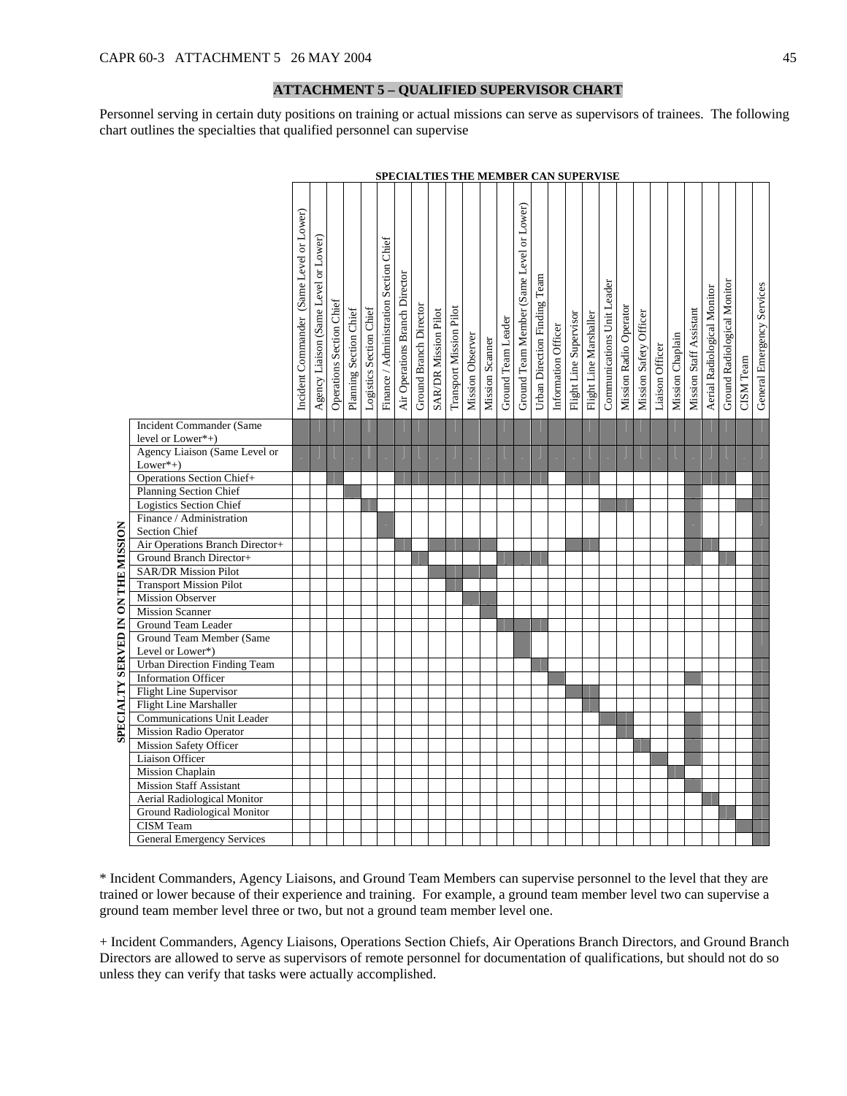## **ATTACHMENT 5 – QUALIFIED SUPERVISOR CHART**

Personnel serving in certain duty positions on training or actual missions can serve as supervisors of trainees. The following chart outlines the specialties that qualified personnel can supervise

|                                           |                                                                      |                                          |                                      |                          |                        |                         |                                           |                                |                        |                             | <b>SPECIALTIES THE MEMBER CAN SUPERVISE</b> |                  |                 |                    |                                          |                              |                     |                        |                        |                            |                        |                        |                 |                  |                         |                             |                             |           |                            |
|-------------------------------------------|----------------------------------------------------------------------|------------------------------------------|--------------------------------------|--------------------------|------------------------|-------------------------|-------------------------------------------|--------------------------------|------------------------|-----------------------------|---------------------------------------------|------------------|-----------------|--------------------|------------------------------------------|------------------------------|---------------------|------------------------|------------------------|----------------------------|------------------------|------------------------|-----------------|------------------|-------------------------|-----------------------------|-----------------------------|-----------|----------------------------|
|                                           |                                                                      | Incident Commander (Same Level or Lower) | Agency Liaison (Same Level or Lower) | Operations Section Chief | Planning Section Chief | Logistics Section Chief | Section Chief<br>Finance / Administration | Air Operations Branch Director | Ground Branch Director | <b>SAR/DR</b> Mission Pilot | Transport Mission Pilot                     | Mission Observer | Mission Scanner | Ground Team Leader | Ground Team Member (Same Level or Lower) | Urban Direction Finding Team | Information Officer | Flight Line Supervisor | Flight Line Marshaller | Communications Unit Leader | Mission Radio Operator | Mission Safety Officer | Liaison Officer | Mission Chaplain | Mission Staff Assistant | Aerial Radiological Monitor | Ground Radiological Monitor | CISM Team | General Emergency Services |
|                                           | <b>Incident Commander (Same</b>                                      |                                          |                                      |                          |                        |                         |                                           |                                |                        |                             |                                             |                  |                 |                    |                                          |                              |                     |                        |                        |                            |                        |                        |                 |                  |                         |                             |                             |           |                            |
|                                           | level or $Lower*+)$                                                  |                                          |                                      |                          |                        |                         |                                           |                                |                        |                             |                                             |                  |                 |                    |                                          |                              |                     |                        |                        |                            |                        |                        |                 |                  |                         |                             |                             |           |                            |
|                                           | Agency Liaison (Same Level or                                        |                                          |                                      |                          |                        |                         |                                           |                                |                        |                             |                                             |                  |                 |                    |                                          |                              |                     |                        |                        |                            |                        |                        |                 |                  |                         |                             |                             |           |                            |
|                                           | $Lower*+)$<br><b>Operations Section Chief+</b>                       |                                          |                                      |                          |                        |                         |                                           |                                |                        |                             |                                             |                  |                 |                    |                                          |                              |                     |                        |                        |                            |                        |                        |                 |                  |                         |                             |                             |           |                            |
|                                           | Planning Section Chief                                               |                                          |                                      |                          |                        |                         |                                           |                                |                        |                             |                                             |                  |                 |                    |                                          |                              |                     |                        |                        |                            |                        |                        |                 |                  |                         |                             |                             |           |                            |
|                                           | <b>Logistics Section Chief</b>                                       |                                          |                                      |                          |                        |                         |                                           |                                |                        |                             |                                             |                  |                 |                    |                                          |                              |                     |                        |                        |                            |                        |                        |                 |                  |                         |                             |                             |           |                            |
|                                           | Finance / Administration                                             |                                          |                                      |                          |                        |                         |                                           |                                |                        |                             |                                             |                  |                 |                    |                                          |                              |                     |                        |                        |                            |                        |                        |                 |                  |                         |                             |                             |           |                            |
|                                           | Section Chief                                                        |                                          |                                      |                          |                        |                         |                                           |                                |                        |                             |                                             |                  |                 |                    |                                          |                              |                     |                        |                        |                            |                        |                        |                 |                  |                         |                             |                             |           |                            |
|                                           | Air Operations Branch Director+                                      |                                          |                                      |                          |                        |                         |                                           |                                |                        |                             |                                             |                  |                 |                    |                                          |                              |                     |                        |                        |                            |                        |                        |                 |                  |                         |                             |                             |           |                            |
|                                           | Ground Branch Director+                                              |                                          |                                      |                          |                        |                         |                                           |                                |                        |                             |                                             |                  |                 |                    |                                          |                              |                     |                        |                        |                            |                        |                        |                 |                  |                         |                             |                             |           |                            |
| <b>SPECIALTY SERVED IN ON THE MISSION</b> | <b>SAR/DR Mission Pilot</b>                                          |                                          |                                      |                          |                        |                         |                                           |                                |                        |                             |                                             |                  |                 |                    |                                          |                              |                     |                        |                        |                            |                        |                        |                 |                  |                         |                             |                             |           |                            |
|                                           | <b>Transport Mission Pilot</b>                                       |                                          |                                      |                          |                        |                         |                                           |                                |                        |                             |                                             |                  |                 |                    |                                          |                              |                     |                        |                        |                            |                        |                        |                 |                  |                         |                             |                             |           |                            |
|                                           | <b>Mission Observer</b>                                              |                                          |                                      |                          |                        |                         |                                           |                                |                        |                             |                                             |                  |                 |                    |                                          |                              |                     |                        |                        |                            |                        |                        |                 |                  |                         |                             |                             |           |                            |
|                                           | <b>Mission Scanner</b>                                               |                                          |                                      |                          |                        |                         |                                           |                                |                        |                             |                                             |                  |                 |                    |                                          |                              |                     |                        |                        |                            |                        |                        |                 |                  |                         |                             |                             |           |                            |
|                                           | Ground Team Leader                                                   |                                          |                                      |                          |                        |                         |                                           |                                |                        |                             |                                             |                  |                 |                    |                                          |                              |                     |                        |                        |                            |                        |                        |                 |                  |                         |                             |                             |           |                            |
|                                           | Ground Team Member (Same                                             |                                          |                                      |                          |                        |                         |                                           |                                |                        |                             |                                             |                  |                 |                    |                                          |                              |                     |                        |                        |                            |                        |                        |                 |                  |                         |                             |                             |           |                            |
|                                           | Level or Lower*)                                                     |                                          |                                      |                          |                        |                         |                                           |                                |                        |                             |                                             |                  |                 |                    |                                          |                              |                     |                        |                        |                            |                        |                        |                 |                  |                         |                             |                             |           |                            |
|                                           | <b>Urban Direction Finding Team</b>                                  |                                          |                                      |                          |                        |                         |                                           |                                |                        |                             |                                             |                  |                 |                    |                                          |                              |                     |                        |                        |                            |                        |                        |                 |                  |                         |                             |                             |           |                            |
|                                           | <b>Information Officer</b>                                           |                                          |                                      |                          |                        |                         |                                           |                                |                        |                             |                                             |                  |                 |                    |                                          |                              |                     |                        |                        |                            |                        |                        |                 |                  |                         |                             |                             |           |                            |
|                                           | Flight Line Supervisor                                               |                                          |                                      |                          |                        |                         |                                           |                                |                        |                             |                                             |                  |                 |                    |                                          |                              |                     |                        |                        |                            |                        |                        |                 |                  |                         |                             |                             |           |                            |
|                                           | Flight Line Marshaller                                               |                                          |                                      |                          |                        |                         |                                           |                                |                        |                             |                                             |                  |                 |                    |                                          |                              |                     |                        |                        |                            |                        |                        |                 |                  |                         |                             |                             |           |                            |
|                                           | <b>Communications Unit Leader</b>                                    |                                          |                                      |                          |                        |                         |                                           |                                |                        |                             |                                             |                  |                 |                    |                                          |                              |                     |                        |                        |                            |                        |                        |                 |                  |                         |                             |                             |           |                            |
|                                           | <b>Mission Radio Operator</b>                                        |                                          |                                      |                          |                        |                         |                                           |                                |                        |                             |                                             |                  |                 |                    |                                          |                              |                     |                        |                        |                            |                        |                        |                 |                  |                         |                             |                             |           |                            |
|                                           | <b>Mission Safety Officer</b>                                        |                                          |                                      |                          |                        |                         |                                           |                                |                        |                             |                                             |                  |                 |                    |                                          |                              |                     |                        |                        |                            |                        |                        |                 |                  |                         |                             |                             |           |                            |
|                                           | Liaison Officer                                                      |                                          |                                      |                          |                        |                         |                                           |                                |                        |                             |                                             |                  |                 |                    |                                          |                              |                     |                        |                        |                            |                        |                        |                 |                  |                         |                             |                             |           |                            |
|                                           | <b>Mission Chaplain</b>                                              |                                          |                                      |                          |                        |                         |                                           |                                |                        |                             |                                             |                  |                 |                    |                                          |                              |                     |                        |                        |                            |                        |                        |                 |                  |                         |                             |                             |           |                            |
|                                           | <b>Mission Staff Assistant</b><br><b>Aerial Radiological Monitor</b> |                                          |                                      |                          |                        |                         |                                           |                                |                        |                             |                                             |                  |                 |                    |                                          |                              |                     |                        |                        |                            |                        |                        |                 |                  |                         |                             |                             |           |                            |
|                                           | <b>Ground Radiological Monitor</b>                                   |                                          |                                      |                          |                        |                         |                                           |                                |                        |                             |                                             |                  |                 |                    |                                          |                              |                     |                        |                        |                            |                        |                        |                 |                  |                         |                             |                             |           |                            |
|                                           | <b>CISM</b> Team                                                     |                                          |                                      |                          |                        |                         |                                           |                                |                        |                             |                                             |                  |                 |                    |                                          |                              |                     |                        |                        |                            |                        |                        |                 |                  |                         |                             |                             |           |                            |
|                                           | <b>General Emergency Services</b>                                    |                                          |                                      |                          |                        |                         |                                           |                                |                        |                             |                                             |                  |                 |                    |                                          |                              |                     |                        |                        |                            |                        |                        |                 |                  |                         |                             |                             |           |                            |
|                                           |                                                                      |                                          |                                      |                          |                        |                         |                                           |                                |                        |                             |                                             |                  |                 |                    |                                          |                              |                     |                        |                        |                            |                        |                        |                 |                  |                         |                             |                             |           |                            |

\* Incident Commanders, Agency Liaisons, and Ground Team Members can supervise personnel to the level that they are trained or lower because of their experience and training. For example, a ground team member level two can supervise a ground team member level three or two, but not a ground team member level one.

+ Incident Commanders, Agency Liaisons, Operations Section Chiefs, Air Operations Branch Directors, and Ground Branch Directors are allowed to serve as supervisors of remote personnel for documentation of qualifications, but should not do so unless they can verify that tasks were actually accomplished.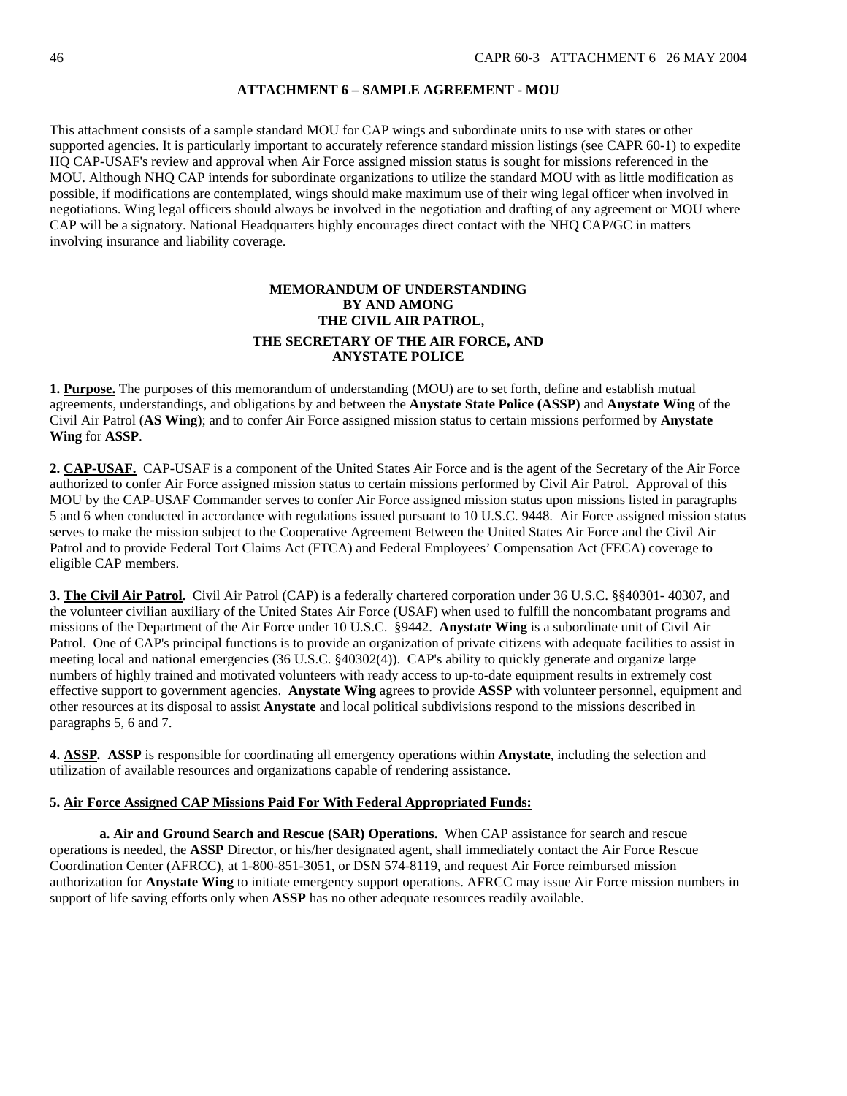### **ATTACHMENT 6 – SAMPLE AGREEMENT - MOU**

<span id="page-45-0"></span>This attachment consists of a sample standard MOU for CAP wings and subordinate units to use with states or other supported agencies. It is particularly important to accurately reference standard mission listings (see CAPR 60-1) to expedite HQ CAP-USAF's review and approval when Air Force assigned mission status is sought for missions referenced in the MOU. Although NHQ CAP intends for subordinate organizations to utilize the standard MOU with as little modification as possible, if modifications are contemplated, wings should make maximum use of their wing legal officer when involved in negotiations. Wing legal officers should always be involved in the negotiation and drafting of any agreement or MOU where CAP will be a signatory. National Headquarters highly encourages direct contact with the NHQ CAP/GC in matters involving insurance and liability coverage.

## **MEMORANDUM OF UNDERSTANDING BY AND AMONG THE CIVIL AIR PATROL, THE SECRETARY OF THE AIR FORCE, AND ANYSTATE POLICE**

**1. Purpose.** The purposes of this memorandum of understanding (MOU) are to set forth, define and establish mutual agreements, understandings, and obligations by and between the **Anystate State Police (ASSP)** and **Anystate Wing** of the Civil Air Patrol (**AS Wing**); and to confer Air Force assigned mission status to certain missions performed by **Anystate Wing** for **ASSP**.

**2. CAP-USAF.** CAP-USAF is a component of the United States Air Force and is the agent of the Secretary of the Air Force authorized to confer Air Force assigned mission status to certain missions performed by Civil Air Patrol. Approval of this MOU by the CAP-USAF Commander serves to confer Air Force assigned mission status upon missions listed in paragraphs 5 and 6 when conducted in accordance with regulations issued pursuant to 10 U.S.C. 9448. Air Force assigned mission status serves to make the mission subject to the Cooperative Agreement Between the United States Air Force and the Civil Air Patrol and to provide Federal Tort Claims Act (FTCA) and Federal Employees' Compensation Act (FECA) coverage to eligible CAP members.

**3. The Civil Air Patrol.** Civil Air Patrol (CAP) is a federally chartered corporation under 36 U.S.C. §§40301- 40307, and the volunteer civilian auxiliary of the United States Air Force (USAF) when used to fulfill the noncombatant programs and missions of the Department of the Air Force under 10 U.S.C. §9442. **Anystate Wing** is a subordinate unit of Civil Air Patrol. One of CAP's principal functions is to provide an organization of private citizens with adequate facilities to assist in meeting local and national emergencies (36 U.S.C. §40302(4)). CAP's ability to quickly generate and organize large numbers of highly trained and motivated volunteers with ready access to up-to-date equipment results in extremely cost effective support to government agencies. **Anystate Wing** agrees to provide **ASSP** with volunteer personnel, equipment and other resources at its disposal to assist **Anystate** and local political subdivisions respond to the missions described in paragraphs 5, 6 and 7.

**4. ASSP***.* **ASSP** is responsible for coordinating all emergency operations within **Anystate**, including the selection and utilization of available resources and organizations capable of rendering assistance.

### **5. Air Force Assigned CAP Missions Paid For With Federal Appropriated Funds:**

**a. Air and Ground Search and Rescue (SAR) Operations.** When CAP assistance for search and rescue operations is needed, the **ASSP** Director, or his/her designated agent, shall immediately contact the Air Force Rescue Coordination Center (AFRCC), at 1-800-851-3051, or DSN 574-8119, and request Air Force reimbursed mission authorization for **Anystate Wing** to initiate emergency support operations. AFRCC may issue Air Force mission numbers in support of life saving efforts only when **ASSP** has no other adequate resources readily available.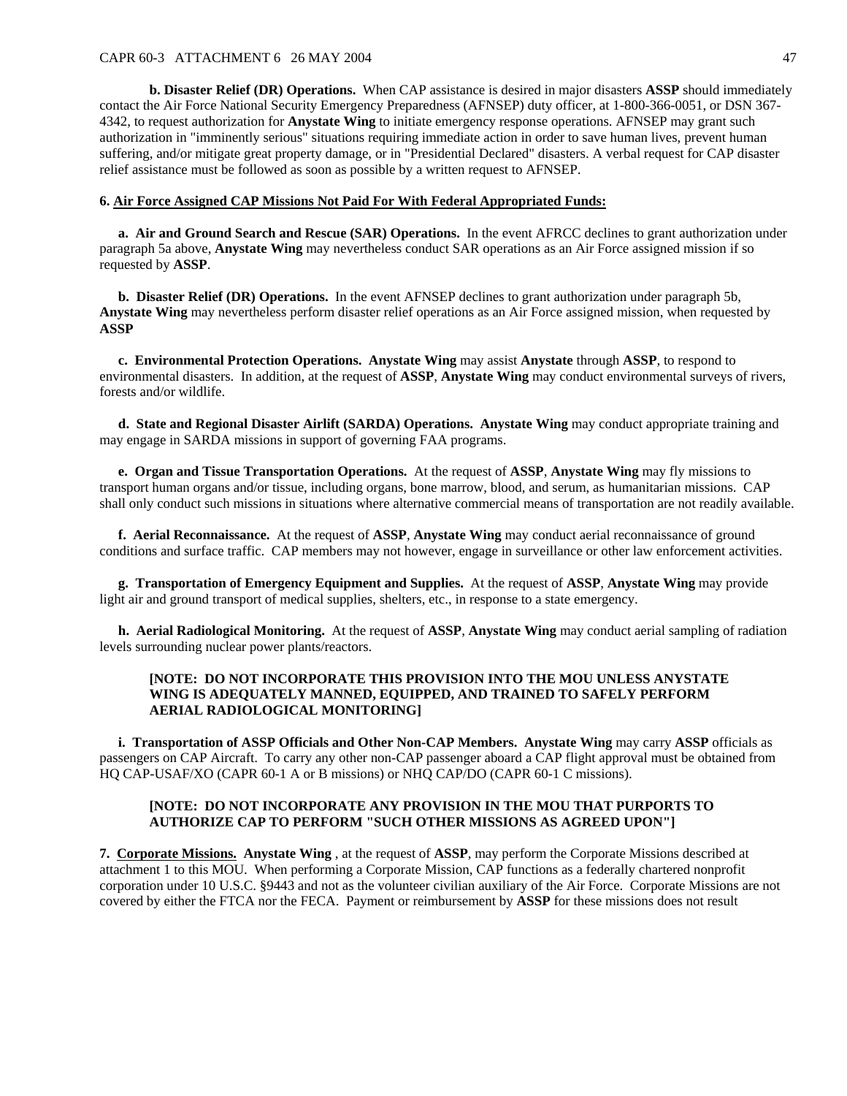#### CAPR 60-3 ATTACHMENT 6 26 MAY 2004 47

**b. Disaster Relief (DR) Operations.** When CAP assistance is desired in major disasters **ASSP** should immediately contact the Air Force National Security Emergency Preparedness (AFNSEP) duty officer, at 1-800-366-0051, or DSN 367- 4342, to request authorization for **Anystate Wing** to initiate emergency response operations. AFNSEP may grant such authorization in "imminently serious" situations requiring immediate action in order to save human lives, prevent human suffering, and/or mitigate great property damage, or in "Presidential Declared" disasters. A verbal request for CAP disaster relief assistance must be followed as soon as possible by a written request to AFNSEP.

#### **6. Air Force Assigned CAP Missions Not Paid For With Federal Appropriated Funds:**

 **a. Air and Ground Search and Rescue (SAR) Operations.** In the event AFRCC declines to grant authorization under paragraph 5a above, **Anystate Wing** may nevertheless conduct SAR operations as an Air Force assigned mission if so requested by **ASSP**.

 **b. Disaster Relief (DR) Operations.** In the event AFNSEP declines to grant authorization under paragraph 5b, **Anystate Wing** may nevertheless perform disaster relief operations as an Air Force assigned mission, when requested by **ASSP**

**c. Environmental Protection Operations. Anystate Wing** may assist **Anystate** through **ASSP**, to respond to environmental disasters. In addition, at the request of **ASSP**, **Anystate Wing** may conduct environmental surveys of rivers, forests and/or wildlife.

**d. State and Regional Disaster Airlift (SARDA) Operations. Anystate Wing** may conduct appropriate training and may engage in SARDA missions in support of governing FAA programs.

**e. Organ and Tissue Transportation Operations.** At the request of **ASSP**, **Anystate Wing** may fly missions to transport human organs and/or tissue, including organs, bone marrow, blood, and serum, as humanitarian missions. CAP shall only conduct such missions in situations where alternative commercial means of transportation are not readily available.

**f. Aerial Reconnaissance.** At the request of **ASSP**, **Anystate Wing** may conduct aerial reconnaissance of ground conditions and surface traffic. CAP members may not however, engage in surveillance or other law enforcement activities.

**g. Transportation of Emergency Equipment and Supplies.** At the request of **ASSP**, **Anystate Wing** may provide light air and ground transport of medical supplies, shelters, etc., in response to a state emergency.

**h. Aerial Radiological Monitoring.** At the request of **ASSP**, **Anystate Wing** may conduct aerial sampling of radiation levels surrounding nuclear power plants/reactors.

## **[NOTE: DO NOT INCORPORATE THIS PROVISION INTO THE MOU UNLESS ANYSTATE WING IS ADEQUATELY MANNED, EQUIPPED, AND TRAINED TO SAFELY PERFORM AERIAL RADIOLOGICAL MONITORING]**

**i. Transportation of ASSP Officials and Other Non-CAP Members. Anystate Wing** may carry **ASSP** officials as passengers on CAP Aircraft. To carry any other non-CAP passenger aboard a CAP flight approval must be obtained from HQ CAP-USAF/XO (CAPR 60-1 A or B missions) or NHQ CAP/DO (CAPR 60-1 C missions).

### **[NOTE: DO NOT INCORPORATE ANY PROVISION IN THE MOU THAT PURPORTS TO AUTHORIZE CAP TO PERFORM "SUCH OTHER MISSIONS AS AGREED UPON"]**

**7. Corporate Missions. Anystate Wing** , at the request of **ASSP**, may perform the Corporate Missions described at attachment 1 to this MOU. When performing a Corporate Mission, CAP functions as a federally chartered nonprofit corporation under 10 U.S.C. §9443 and not as the volunteer civilian auxiliary of the Air Force. Corporate Missions are not covered by either the FTCA nor the FECA. Payment or reimbursement by **ASSP** for these missions does not result